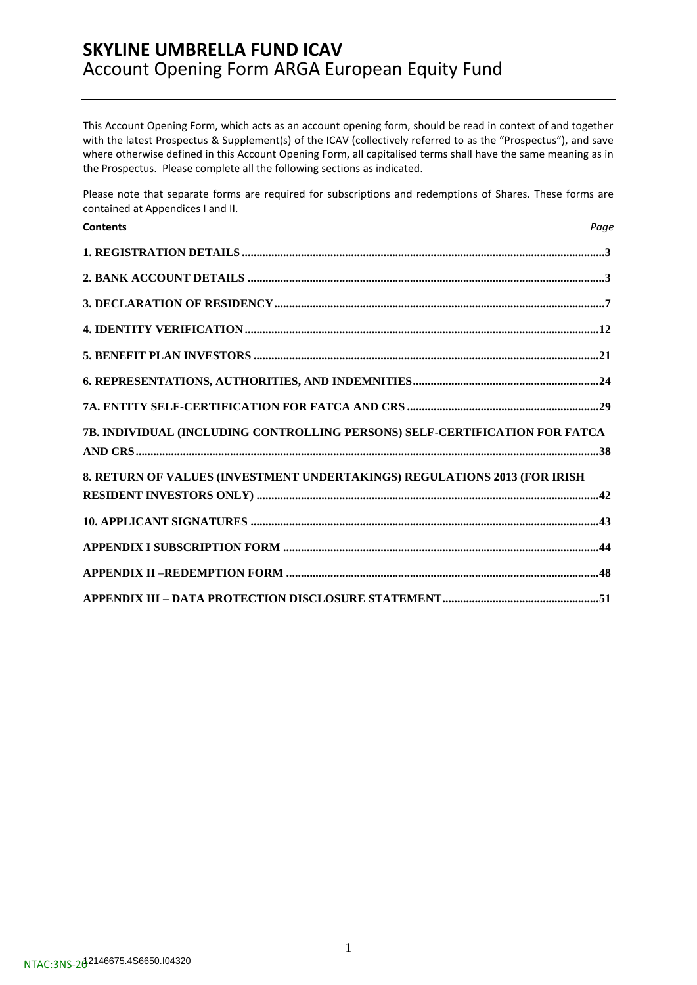This Account Opening Form, which acts as an account opening form, should be read in context of and together with the latest Prospectus & Supplement(s) of the ICAV (collectively referred to as the "Prospectus"), and save where otherwise defined in this Account Opening Form, all capitalised terms shall have the same meaning as in the Prospectus. Please complete all the following sections as indicated.

Please note that separate forms are required for subscriptions and redemptions of Shares. These forms are contained at Appendices I and II.

| <b>Contents</b>                                                             | Page |
|-----------------------------------------------------------------------------|------|
|                                                                             |      |
|                                                                             |      |
|                                                                             |      |
|                                                                             |      |
|                                                                             |      |
|                                                                             |      |
|                                                                             |      |
| 7B. INDIVIDUAL (INCLUDING CONTROLLING PERSONS) SELF-CERTIFICATION FOR FATCA |      |
| 8. RETURN OF VALUES (INVESTMENT UNDERTAKINGS) REGULATIONS 2013 (FOR IRISH   |      |
|                                                                             |      |
|                                                                             |      |
|                                                                             |      |
|                                                                             |      |
|                                                                             |      |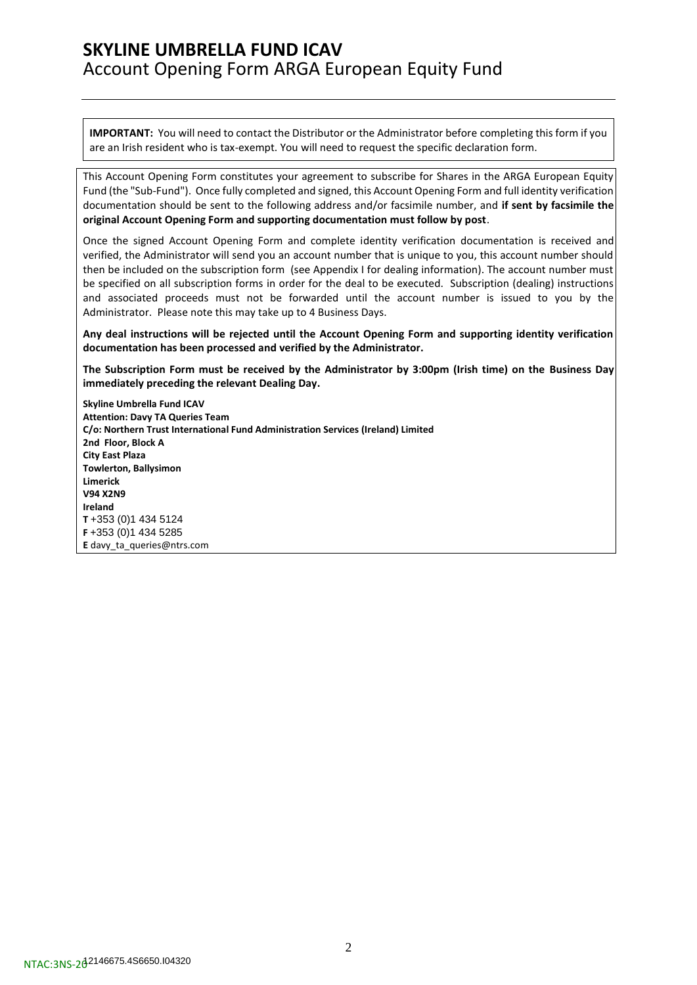**IMPORTANT:** You will need to contact the Distributor or the Administrator before completing this form if you are an Irish resident who is tax-exempt. You will need to request the specific declaration form.

This Account Opening Form constitutes your agreement to subscribe for Shares in the ARGA European Equity Fund (the "Sub-Fund"). Once fully completed and signed, this Account Opening Form and full identity verification documentation should be sent to the following address and/or facsimile number, and **if sent by facsimile the original Account Opening Form and supporting documentation must follow by post**.

Once the signed Account Opening Form and complete identity verification documentation is received and verified, the Administrator will send you an account number that is unique to you, this account number should then be included on the subscription form (see Appendix I for dealing information). The account number must be specified on all subscription forms in order for the deal to be executed. Subscription (dealing) instructions and associated proceeds must not be forwarded until the account number is issued to you by the Administrator. Please note this may take up to 4 Business Days.

**Any deal instructions will be rejected until the Account Opening Form and supporting identity verification documentation has been processed and verified by the Administrator.**

**The Subscription Form must be received by the Administrator by 3:00pm (Irish time) on the Business Day immediately preceding the relevant Dealing Day.**

**Skyline Umbrella Fund ICAV Attention: Davy TA Queries Team C/o: Northern Trust International Fund Administration Services (Ireland) Limited 2nd Floor, Block A City East Plaza Towlerton, Ballysimon Limerick V94 X2N9 Ireland T** +353 (0)1 434 5124 **F** +353 (0)1 434 5285 **E** [davy\\_ta\\_queries@ntrs.com](mailto:davy_ta_queries@ntrs.com)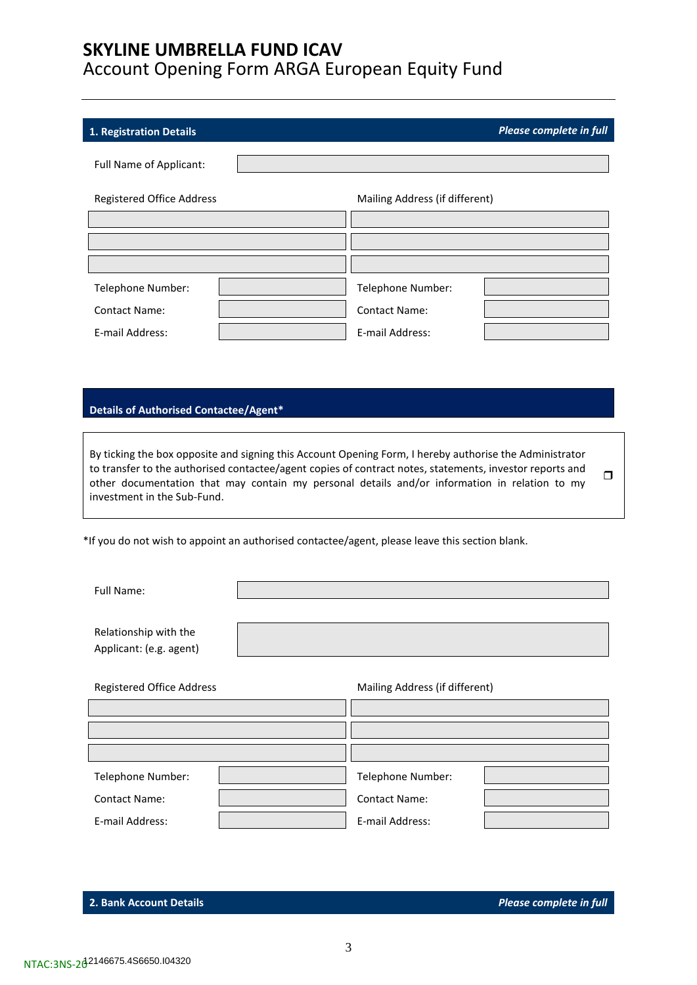E-mail Address: E-mail Address:

<span id="page-2-0"></span>

| 1. Registration Details          |                                | Please complete in full |
|----------------------------------|--------------------------------|-------------------------|
| <b>Full Name of Applicant:</b>   |                                |                         |
| <b>Registered Office Address</b> | Mailing Address (if different) |                         |
|                                  |                                |                         |
|                                  |                                |                         |
|                                  |                                |                         |
| Telephone Number:                | Telephone Number:              |                         |
| <b>Contact Name:</b>             | <b>Contact Name:</b>           |                         |
|                                  |                                |                         |

### **Details of Authorised Contactee/Agent\***

By ticking the box opposite and signing this Account Opening Form, I hereby authorise the Administrator to transfer to the authorised contactee/agent copies of contract notes, statements, investor reports and other documentation that may contain my personal details and/or information in relation to my investment in the Sub-Fund.  $\Box$ 

\*If you do not wish to appoint an authorised contactee/agent, please leave this section blank.

| <b>Full Name:</b>                                |                                |  |
|--------------------------------------------------|--------------------------------|--|
| Relationship with the<br>Applicant: (e.g. agent) |                                |  |
| <b>Registered Office Address</b>                 | Mailing Address (if different) |  |
|                                                  |                                |  |
|                                                  |                                |  |
| Telephone Number:                                | Telephone Number:              |  |
| <b>Contact Name:</b>                             | <b>Contact Name:</b>           |  |
| E-mail Address:                                  | E-mail Address:                |  |

<span id="page-2-1"></span>**2. Bank Account Details** *Please complete in full*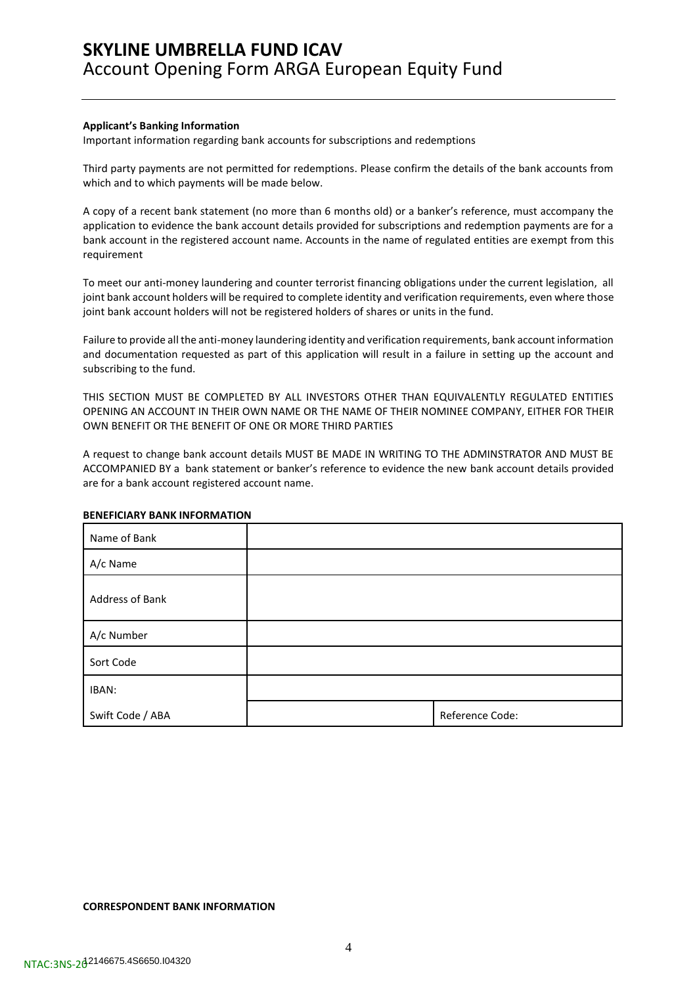#### **Applicant's Banking Information**

Important information regarding bank accounts for subscriptions and redemptions

Third party payments are not permitted for redemptions. Please confirm the details of the bank accounts from which and to which payments will be made below.

A copy of a recent bank statement (no more than 6 months old) or a banker's reference, must accompany the application to evidence the bank account details provided for subscriptions and redemption payments are for a bank account in the registered account name. Accounts in the name of regulated entities are exempt from this requirement

To meet our anti-money laundering and counter terrorist financing obligations under the current legislation, all joint bank account holders will be required to complete identity and verification requirements, even where those joint bank account holders will not be registered holders of shares or units in the fund.

Failure to provide all the anti-money laundering identity and verification requirements, bank account information and documentation requested as part of this application will result in a failure in setting up the account and subscribing to the fund.

THIS SECTION MUST BE COMPLETED BY ALL INVESTORS OTHER THAN EQUIVALENTLY REGULATED ENTITIES OPENING AN ACCOUNT IN THEIR OWN NAME OR THE NAME OF THEIR NOMINEE COMPANY, EITHER FOR THEIR OWN BENEFIT OR THE BENEFIT OF ONE OR MORE THIRD PARTIES

A request to change bank account details MUST BE MADE IN WRITING TO THE ADMINSTRATOR AND MUST BE ACCOMPANIED BY a bank statement or banker's reference to evidence the new bank account details provided are for a bank account registered account name.

#### **BENEFICIARY BANK INFORMATION**

| Name of Bank     |                 |
|------------------|-----------------|
| A/c Name         |                 |
| Address of Bank  |                 |
| A/c Number       |                 |
| Sort Code        |                 |
| IBAN:            |                 |
| Swift Code / ABA | Reference Code: |

#### **CORRESPONDENT BANK INFORMATION**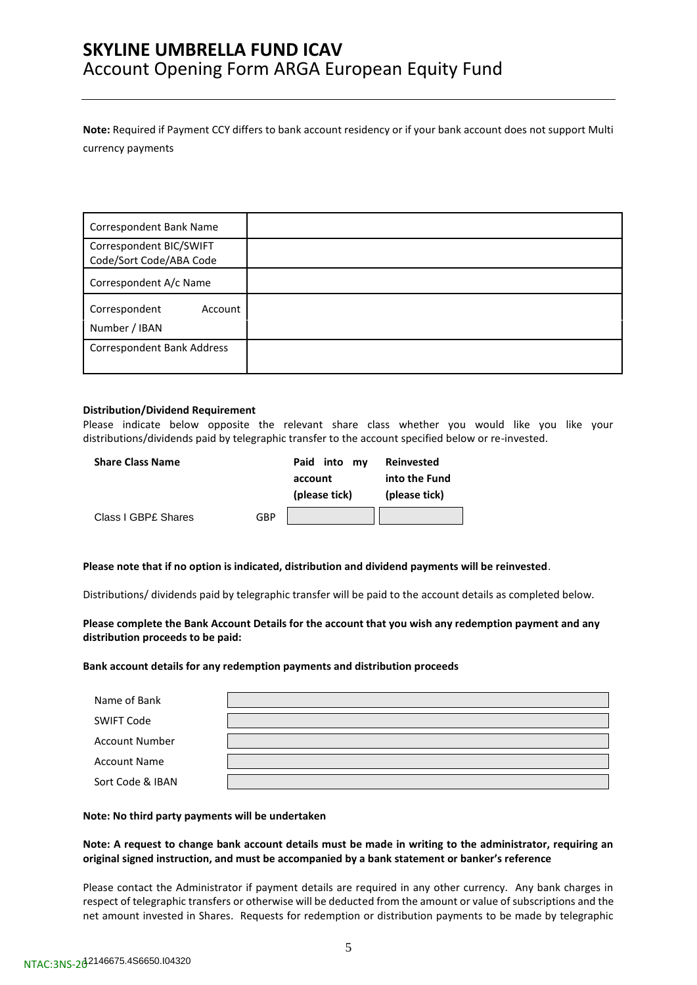**Note:** Required if Payment CCY differs to bank account residency or if your bank account does not support Multi currency payments

| Correspondent Bank Name                            |  |
|----------------------------------------------------|--|
| Correspondent BIC/SWIFT<br>Code/Sort Code/ABA Code |  |
| Correspondent A/c Name                             |  |
| Correspondent<br>Account<br>Number / IBAN          |  |
| <b>Correspondent Bank Address</b>                  |  |

#### **Distribution/Dividend Requirement**

Please indicate below opposite the relevant share class whether you would like you like your distributions/dividends paid by telegraphic transfer to the account specified below or re-invested.

| <b>Share Class Name</b> |     | Paid into<br>mv | Reinvested    |
|-------------------------|-----|-----------------|---------------|
|                         |     | account         | into the Fund |
|                         |     | (please tick)   | (please tick) |
| Class I GBP£ Shares     | GBP |                 |               |

**Please note that if no option is indicated, distribution and dividend payments will be reinvested**.

Distributions/ dividends paid by telegraphic transfer will be paid to the account details as completed below.

**Please complete the Bank Account Details for the account that you wish any redemption payment and any distribution proceeds to be paid:**

#### **Bank account details for any redemption payments and distribution proceeds**

| Name of Bank          |  |
|-----------------------|--|
| <b>SWIFT Code</b>     |  |
| <b>Account Number</b> |  |
| <b>Account Name</b>   |  |
| Sort Code & IBAN      |  |

#### **Note: No third party payments will be undertaken**

### **Note: A request to change bank account details must be made in writing to the administrator, requiring an original signed instruction, and must be accompanied by a bank statement or banker's reference**

Please contact the Administrator if payment details are required in any other currency. Any bank charges in respect of telegraphic transfers or otherwise will be deducted from the amount or value of subscriptions and the net amount invested in Shares. Requests for redemption or distribution payments to be made by telegraphic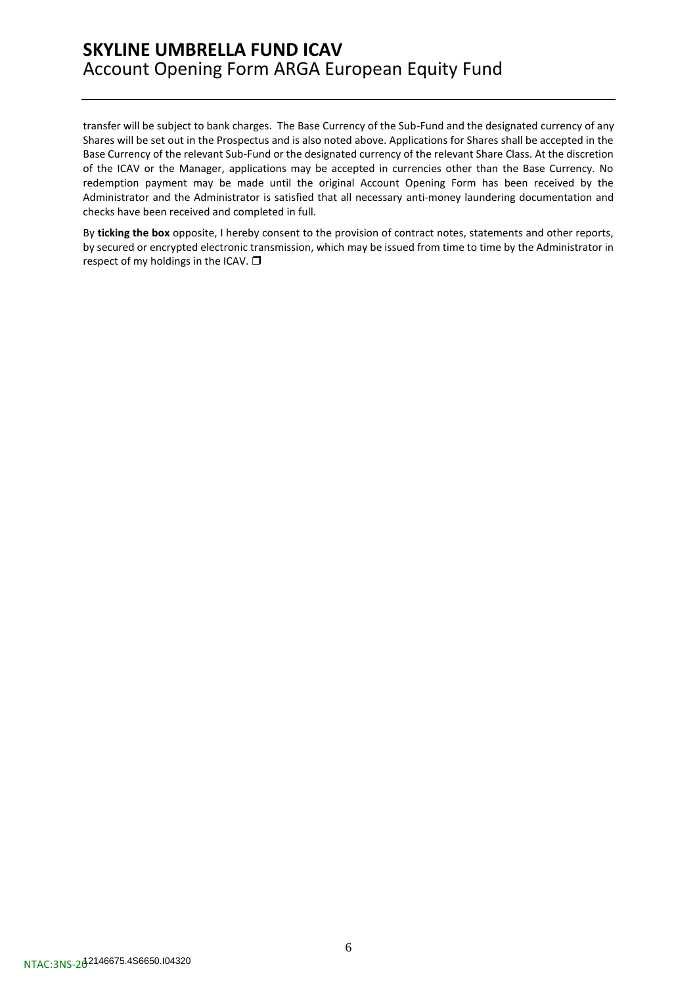transfer will be subject to bank charges. The Base Currency of the Sub-Fund and the designated currency of any Shares will be set out in the Prospectus and is also noted above. Applications for Shares shall be accepted in the Base Currency of the relevant Sub-Fund or the designated currency of the relevant Share Class. At the discretion of the ICAV or the Manager, applications may be accepted in currencies other than the Base Currency. No redemption payment may be made until the original Account Opening Form has been received by the Administrator and the Administrator is satisfied that all necessary anti-money laundering documentation and checks have been received and completed in full.

By **ticking the box** opposite, I hereby consent to the provision of contract notes, statements and other reports, by secured or encrypted electronic transmission, which may be issued from time to time by the Administrator in respect of my holdings in the ICAV.  $\square$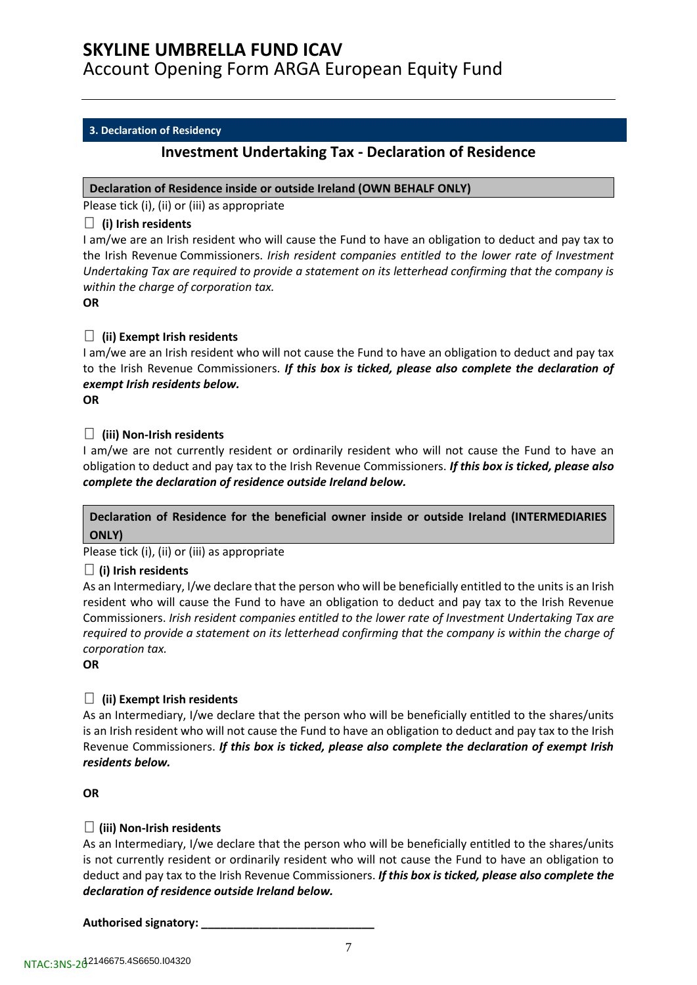### <span id="page-6-0"></span>**3. Declaration of Residency**

## **Investment Undertaking Tax - Declaration of Residence**

### **Declaration of Residence inside or outside Ireland (OWN BEHALF ONLY)**

Please tick (i), (ii) or (iii) as appropriate

### **(i) Irish residents**

I am/we are an Irish resident who will cause the Fund to have an obligation to deduct and pay tax to the Irish Revenue Commissioners. *Irish resident companies entitled to the lower rate of Investment Undertaking Tax are required to provide a statement on its letterhead confirming that the company is within the charge of corporation tax.*

**OR**

## **(ii) Exempt Irish residents**

I am/we are an Irish resident who will not cause the Fund to have an obligation to deduct and pay tax to the Irish Revenue Commissioners. *If this box is ticked, please also complete the declaration of exempt Irish residents below.*

**OR**

## **(iii) Non-Irish residents**

I am/we are not currently resident or ordinarily resident who will not cause the Fund to have an obligation to deduct and pay tax to the Irish Revenue Commissioners. *If this box is ticked, please also complete the declaration of residence outside Ireland below.*

## **Declaration of Residence for the beneficial owner inside or outside Ireland (INTERMEDIARIES ONLY)**

Please tick (i), (ii) or (iii) as appropriate

## **(i) Irish residents**

As an Intermediary, I/we declare that the person who will be beneficially entitled to the units is an Irish resident who will cause the Fund to have an obligation to deduct and pay tax to the Irish Revenue Commissioners. *Irish resident companies entitled to the lower rate of Investment Undertaking Tax are required to provide a statement on its letterhead confirming that the company is within the charge of corporation tax.*

**OR**

## **(ii) Exempt Irish residents**

As an Intermediary, I/we declare that the person who will be beneficially entitled to the shares/units is an Irish resident who will not cause the Fund to have an obligation to deduct and pay tax to the Irish Revenue Commissioners. *If this box is ticked, please also complete the declaration of exempt Irish residents below.*

### **OR**

## **(iii) Non-Irish residents**

As an Intermediary, I/we declare that the person who will be beneficially entitled to the shares/units is not currently resident or ordinarily resident who will not cause the Fund to have an obligation to deduct and pay tax to the Irish Revenue Commissioners. *If this box is ticked, please also complete the declaration of residence outside Ireland below.*

**Authorised signatory: \_\_\_\_\_\_\_\_\_\_\_\_\_\_\_\_\_\_\_\_\_\_\_\_\_\_\_**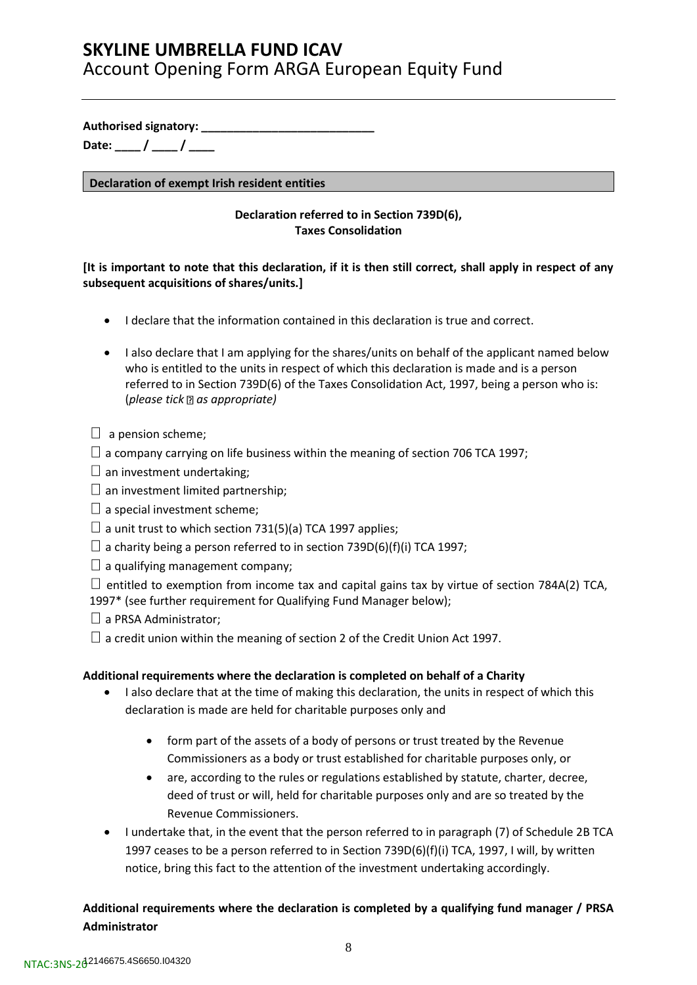**Authorised signatory: \_\_\_\_\_\_\_\_\_\_\_\_\_\_\_\_\_\_\_\_\_\_\_\_\_\_\_**

**Date: \_\_\_\_ / \_\_\_\_ / \_\_\_\_**

**Declaration of exempt Irish resident entities**

## **Declaration referred to in Section 739D(6), Taxes Consolidation**

## **[It is important to note that this declaration, if it is then still correct, shall apply in respect of any subsequent acquisitions of shares/units.]**

- I declare that the information contained in this declaration is true and correct.
- I also declare that I am applying for the shares/units on behalf of the applicant named below who is entitled to the units in respect of which this declaration is made and is a person referred to in Section 739D(6) of the Taxes Consolidation Act, 1997, being a person who is: (*please tick as appropriate)*
- $\Box$  a pension scheme;
- $\Box$  a company carrying on life business within the meaning of section 706 TCA 1997;
- $\square$  an investment undertaking;
- $\square$  an investment limited partnership;
- $\square$  a special investment scheme;
- $\Box$  a unit trust to which section 731(5)(a) TCA 1997 applies;
- $\Box$  a charity being a person referred to in section 739D(6)(f)(i) TCA 1997;
- $\Box$  a qualifying management company;
- $\Box$  entitled to exemption from income tax and capital gains tax by virtue of section 784A(2) TCA,
- 1997\* (see further requirement for Qualifying Fund Manager below);
- $\Box$  a PRSA Administrator;
- $\Box$  a credit union within the meaning of section 2 of the Credit Union Act 1997.

## **Additional requirements where the declaration is completed on behalf of a Charity**

- I also declare that at the time of making this declaration, the units in respect of which this declaration is made are held for charitable purposes only and
	- form part of the assets of a body of persons or trust treated by the Revenue Commissioners as a body or trust established for charitable purposes only, or
	- are, according to the rules or regulations established by statute, charter, decree, deed of trust or will, held for charitable purposes only and are so treated by the Revenue Commissioners.
- I undertake that, in the event that the person referred to in paragraph (7) of Schedule 2B TCA 1997 ceases to be a person referred to in Section 739D(6)(f)(i) TCA, 1997, I will, by written notice, bring this fact to the attention of the investment undertaking accordingly.

## **Additional requirements where the declaration is completed by a qualifying fund manager / PRSA Administrator**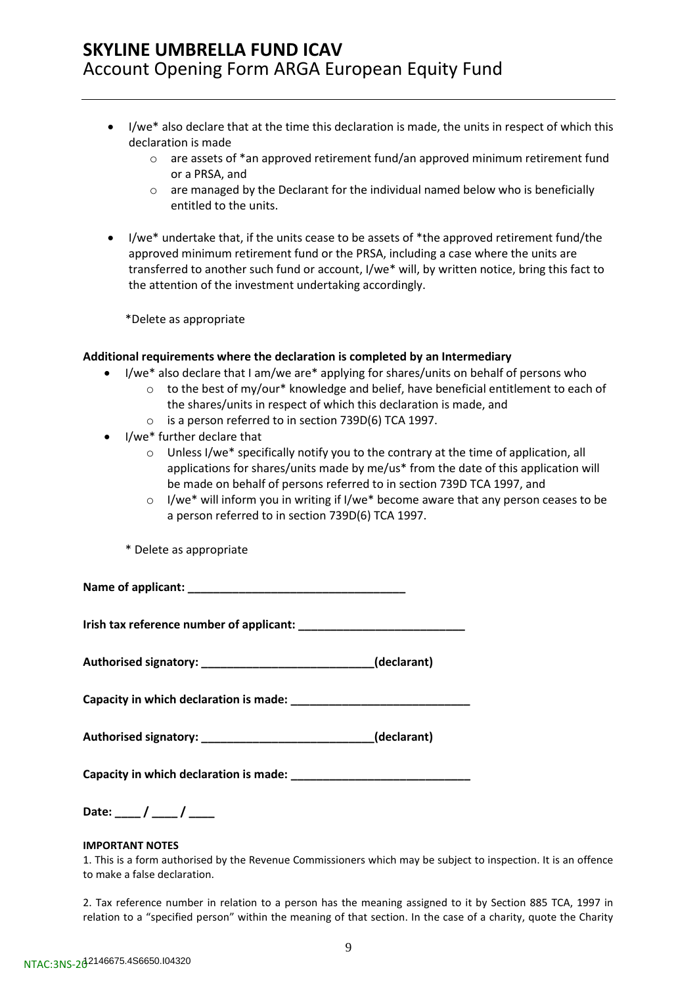- I/we\* also declare that at the time this declaration is made, the units in respect of which this declaration is made
	- o are assets of \*an approved retirement fund/an approved minimum retirement fund or a PRSA, and
	- $\circ$  are managed by the Declarant for the individual named below who is beneficially entitled to the units.
- I/we\* undertake that, if the units cease to be assets of \*the approved retirement fund/the approved minimum retirement fund or the PRSA, including a case where the units are transferred to another such fund or account, I/we\* will, by written notice, bring this fact to the attention of the investment undertaking accordingly.

\*Delete as appropriate

### **Additional requirements where the declaration is completed by an Intermediary**

- I/we\* also declare that I am/we are\* applying for shares/units on behalf of persons who
	- $\circ$  to the best of my/our\* knowledge and belief, have beneficial entitlement to each of the shares/units in respect of which this declaration is made, and
		- o is a person referred to in section 739D(6) TCA 1997.
- I/we\* further declare that
	- o Unless I/we\* specifically notify you to the contrary at the time of application, all applications for shares/units made by me/us\* from the date of this application will be made on behalf of persons referred to in section 739D TCA 1997, and
	- o I/we\* will inform you in writing if I/we\* become aware that any person ceases to be a person referred to in section 739D(6) TCA 1997.

|  |  |  | * Delete as appropriate |
|--|--|--|-------------------------|
|--|--|--|-------------------------|

Name of applicant:

**Irish tax reference number of applicant: \_\_\_\_\_\_\_\_\_\_\_\_\_\_\_\_\_\_\_\_\_\_\_\_\_\_**

**Authorised signatory: \_\_\_\_\_\_\_\_\_\_\_\_\_\_\_\_\_\_\_\_\_\_\_\_\_\_\_(declarant)**

**Capacity in which declaration is made: \_\_\_\_\_\_\_\_\_\_\_\_\_\_\_\_\_\_\_\_\_\_\_\_\_\_\_\_**

**Authorised signatory: \_\_\_\_\_\_\_\_\_\_\_\_\_\_\_\_\_\_\_\_\_\_\_\_\_\_\_(declarant)**

**Capacity in which declaration is made: \_\_\_\_\_\_\_\_\_\_\_\_\_\_\_\_\_\_\_\_\_\_\_\_\_\_\_\_**

Date: <u>/ / / \_</u>

### **IMPORTANT NOTES**

1. This is a form authorised by the Revenue Commissioners which may be subject to inspection. It is an offence to make a false declaration.

2. Tax reference number in relation to a person has the meaning assigned to it by Section 885 TCA, 1997 in relation to a "specified person" within the meaning of that section. In the case of a charity, quote the Charity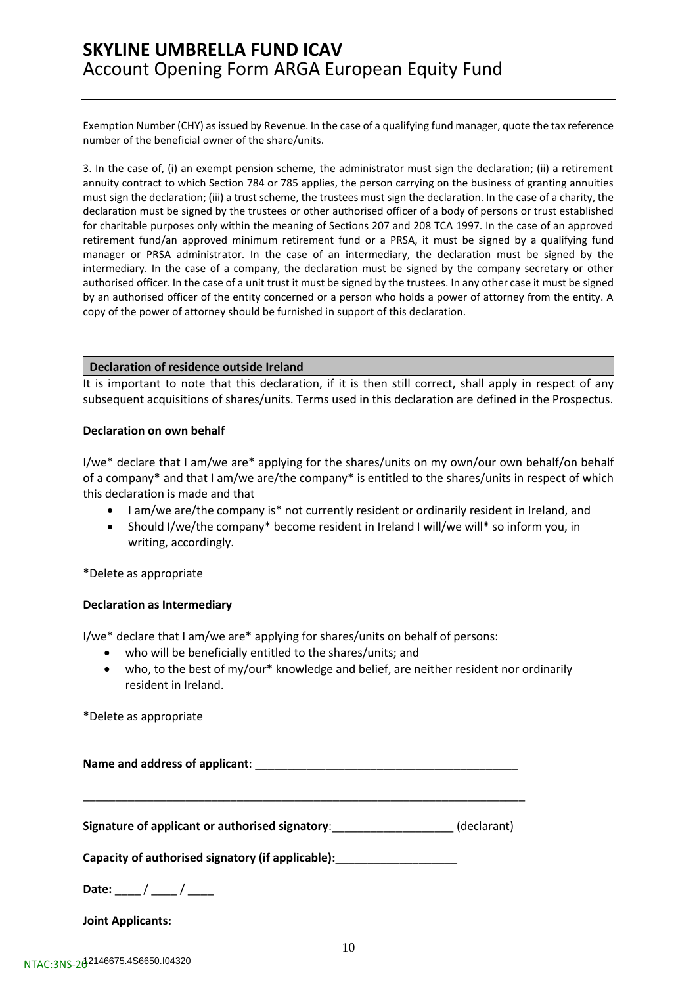Exemption Number (CHY) as issued by Revenue. In the case of a qualifying fund manager, quote the tax reference number of the beneficial owner of the share/units.

3. In the case of, (i) an exempt pension scheme, the administrator must sign the declaration; (ii) a retirement annuity contract to which Section 784 or 785 applies, the person carrying on the business of granting annuities must sign the declaration; (iii) a trust scheme, the trustees must sign the declaration. In the case of a charity, the declaration must be signed by the trustees or other authorised officer of a body of persons or trust established for charitable purposes only within the meaning of Sections 207 and 208 TCA 1997. In the case of an approved retirement fund/an approved minimum retirement fund or a PRSA, it must be signed by a qualifying fund manager or PRSA administrator. In the case of an intermediary, the declaration must be signed by the intermediary. In the case of a company, the declaration must be signed by the company secretary or other authorised officer. In the case of a unit trust it must be signed by the trustees. In any other case it must be signed by an authorised officer of the entity concerned or a person who holds a power of attorney from the entity. A copy of the power of attorney should be furnished in support of this declaration.

### **Declaration of residence outside Ireland**

It is important to note that this declaration, if it is then still correct, shall apply in respect of any subsequent acquisitions of shares/units. Terms used in this declaration are defined in the Prospectus.

### **Declaration on own behalf**

I/we\* declare that I am/we are\* applying for the shares/units on my own/our own behalf/on behalf of a company\* and that I am/we are/the company\* is entitled to the shares/units in respect of which this declaration is made and that

- I am/we are/the company is\* not currently resident or ordinarily resident in Ireland, and
- Should I/we/the company\* become resident in Ireland I will/we will\* so inform you, in writing, accordingly.

\*Delete as appropriate

### **Declaration as Intermediary**

I/we\* declare that I am/we are\* applying for shares/units on behalf of persons:

- who will be beneficially entitled to the shares/units; and
- who, to the best of my/our\* knowledge and belief, are neither resident nor ordinarily resident in Ireland.

\*Delete as appropriate

Name and address of applicant: **with a set of a set of a set of a set of a** 

\_\_\_\_\_\_\_\_\_\_\_\_\_\_\_\_\_\_\_\_\_\_\_\_\_\_\_\_\_\_\_\_\_\_\_\_\_\_\_\_\_\_\_\_\_\_\_\_\_\_\_\_\_\_\_\_\_\_\_\_\_\_\_\_\_\_\_\_\_

**Signature of applicant or authorised signatory**:\_\_\_\_\_\_\_\_\_\_\_\_\_\_\_\_\_\_\_ (declarant)

**Capacity of authorised signatory (if applicable):**\_\_\_\_\_\_\_\_\_\_\_\_\_\_\_\_\_\_\_

Date:  $\frac{1}{2}$  /  $\frac{1}{2}$ 

**Joint Applicants:**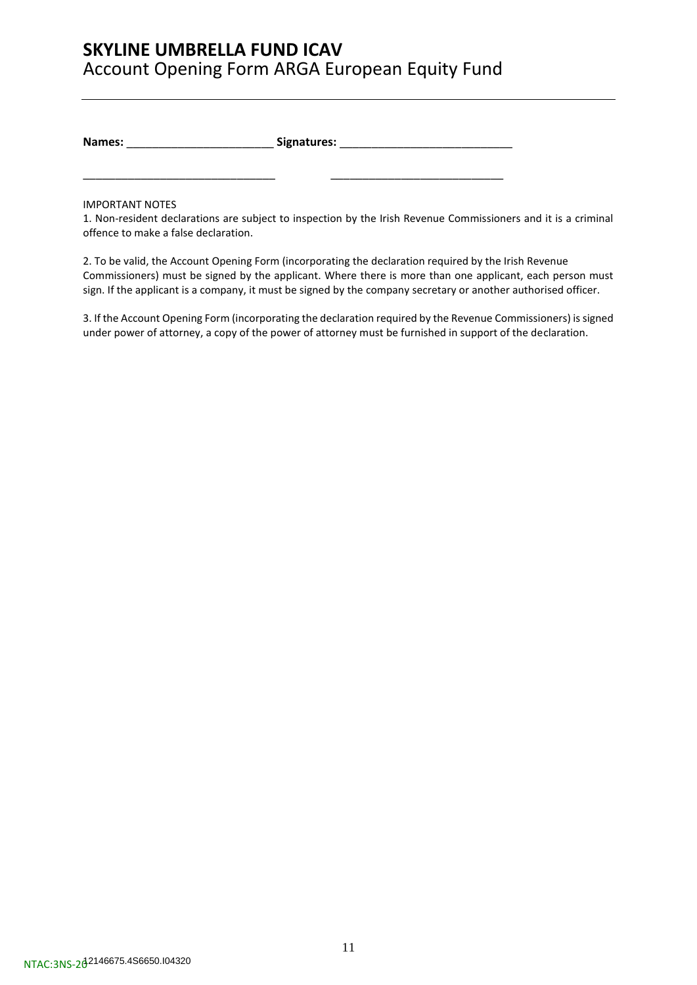**Names:** \_\_\_\_\_\_\_\_\_\_\_\_\_\_\_\_\_\_\_\_\_\_\_ **Signatures:** \_\_\_\_\_\_\_\_\_\_\_\_\_\_\_\_\_\_\_\_\_\_\_\_\_\_\_

\_\_\_\_\_\_\_\_\_\_\_\_\_\_\_\_\_\_\_\_\_\_\_\_\_\_\_\_\_\_ \_\_\_\_\_\_\_\_\_\_\_\_\_\_\_\_\_\_\_\_\_\_\_\_\_\_\_

IMPORTANT NOTES

1. Non-resident declarations are subject to inspection by the Irish Revenue Commissioners and it is a criminal offence to make a false declaration.

2. To be valid, the Account Opening Form (incorporating the declaration required by the Irish Revenue Commissioners) must be signed by the applicant. Where there is more than one applicant, each person must sign. If the applicant is a company, it must be signed by the company secretary or another authorised officer.

3. If the Account Opening Form (incorporating the declaration required by the Revenue Commissioners) is signed under power of attorney, a copy of the power of attorney must be furnished in support of the declaration.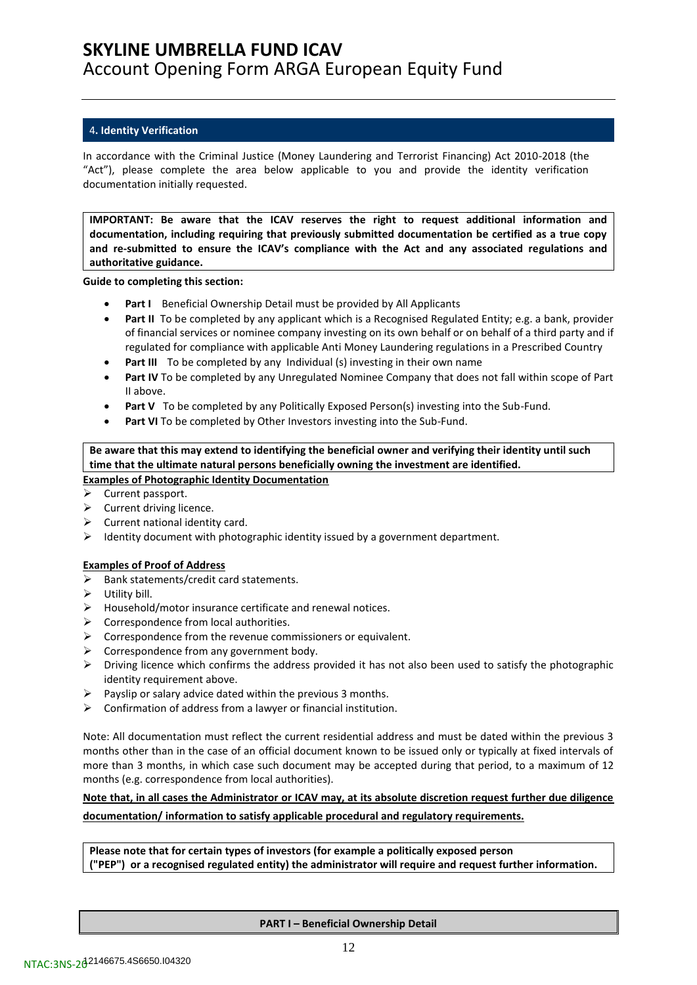### <span id="page-11-0"></span>4**. Identity Verification**

In accordance with the Criminal Justice (Money Laundering and Terrorist Financing) Act 2010-2018 (the "Act"), please complete the area below applicable to you and provide the identity verification documentation initially requested.

**IMPORTANT: Be aware that the ICAV reserves the right to request additional information and documentation, including requiring that previously submitted documentation be certified as a true copy and re-submitted to ensure the ICAV's compliance with the Act and any associated regulations and authoritative guidance.**

**Guide to completing this section:**

- **Part I** Beneficial Ownership Detail must be provided by All Applicants
- **Part II** To be completed by any applicant which is a Recognised Regulated Entity; e.g. a bank, provider of financial services or nominee company investing on its own behalf or on behalf of a third party and if regulated for compliance with applicable Anti Money Laundering regulations in a Prescribed Country
- **Part III** To be completed by any Individual (s) investing in their own name
- **Part IV** To be completed by any Unregulated Nominee Company that does not fall within scope of Part II above.
- **Part V** To be completed by any Politically Exposed Person(s) investing into the Sub-Fund.
- Part VI To be completed by Other Investors investing into the Sub-Fund.

**Be aware that this may extend to identifying the beneficial owner and verifying their identity until such time that the ultimate natural persons beneficially owning the investment are identified. Examples of Photographic Identity Documentation**

- ➢ Current passport.
- $\triangleright$  Current driving licence.
- $\triangleright$  Current national identity card.
- $\triangleright$  Identity document with photographic identity issued by a government department.

### **Examples of Proof of Address**

- ➢ Bank statements/credit card statements.
- $\triangleright$  Utility bill.
- ➢ Household/motor insurance certificate and renewal notices.
- $\triangleright$  Correspondence from local authorities.
- $\triangleright$  Correspondence from the revenue commissioners or equivalent.
- $\triangleright$  Correspondence from any government body.
- $\triangleright$  Driving licence which confirms the address provided it has not also been used to satisfy the photographic identity requirement above.
- $\triangleright$  Payslip or salary advice dated within the previous 3 months.
- $\triangleright$  Confirmation of address from a lawyer or financial institution.

Note: All documentation must reflect the current residential address and must be dated within the previous 3 months other than in the case of an official document known to be issued only or typically at fixed intervals of more than 3 months, in which case such document may be accepted during that period, to a maximum of 12 months (e.g. correspondence from local authorities).

## **Note that, in all cases the Administrator or ICAV may, at its absolute discretion request further due diligence documentation/ information to satisfy applicable procedural and regulatory requirements.**

**Please note that for certain types of investors (for example a politically exposed person ("PEP") or a recognised regulated entity) the administrator will require and request further information.**

**PART I – Beneficial Ownership Detail**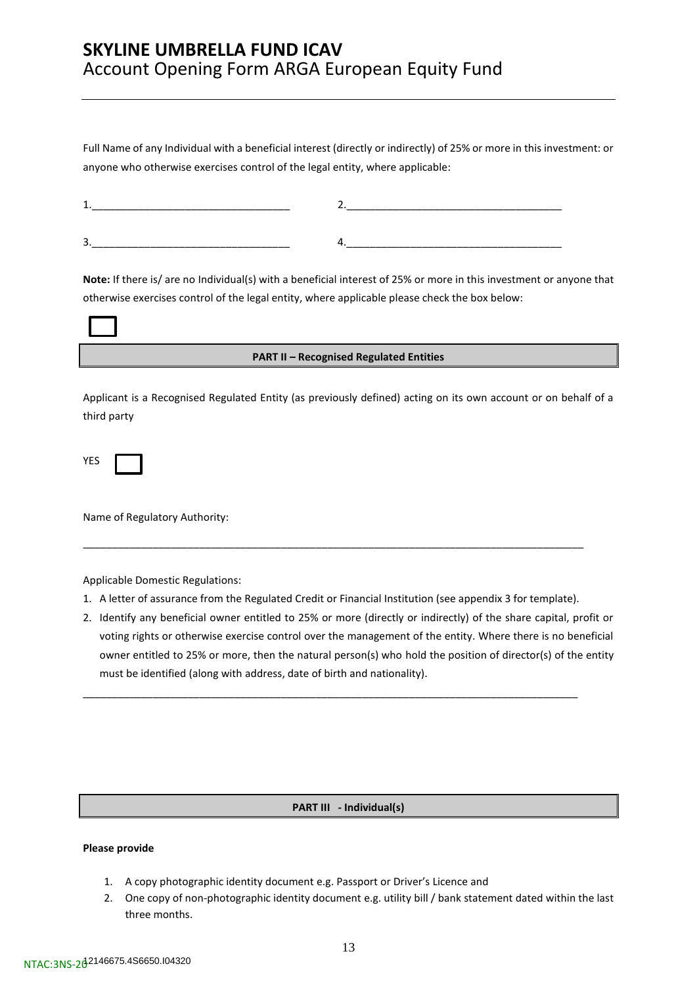Full Name of any Individual with a beneficial interest (directly or indirectly) of 25% or more in this investment: or anyone who otherwise exercises control of the legal entity, where applicable:

| -<br>- |  |
|--------|--|

**Note:** If there is/ are no Individual(s) with a beneficial interest of 25% or more in this investment or anyone that otherwise exercises control of the legal entity, where applicable please check the box below:

| <b>PART II - Recognised Regulated Entities</b> |  |
|------------------------------------------------|--|

Applicant is a Recognised Regulated Entity (as previously defined) acting on its own account or on behalf of a third party

| -<br>۰. |  |
|---------|--|
|---------|--|

Name of Regulatory Authority:

Applicable Domestic Regulations:

1. A letter of assurance from the Regulated Credit or Financial Institution (see appendix 3 for template).

\_\_\_\_\_\_\_\_\_\_\_\_\_\_\_\_\_\_\_\_\_\_\_\_\_\_\_\_\_\_\_\_\_\_\_\_\_\_\_\_\_\_\_\_\_\_\_\_\_\_\_\_\_\_\_\_\_\_\_\_\_\_\_\_\_\_\_\_\_\_\_\_\_\_\_\_\_\_\_\_\_\_\_\_\_

\_\_\_\_\_\_\_\_\_\_\_\_\_\_\_\_\_\_\_\_\_\_\_\_\_\_\_\_\_\_\_\_\_\_\_\_\_\_\_\_\_\_\_\_\_\_\_\_\_\_\_\_\_\_\_\_\_\_\_\_\_\_\_\_\_\_\_\_\_\_\_\_\_\_\_\_\_\_\_\_\_\_\_\_\_\_

2. Identify any beneficial owner entitled to 25% or more (directly or indirectly) of the share capital, profit or voting rights or otherwise exercise control over the management of the entity. Where there is no beneficial owner entitled to 25% or more, then the natural person(s) who hold the position of director(s) of the entity must be identified (along with address, date of birth and nationality).

### **PART III - Individual(s)**

### **Please provide**

- 1. A copy photographic identity document e.g. Passport or Driver's Licence and
- 2. One copy of non-photographic identity document e.g. utility bill / bank statement dated within the last three months.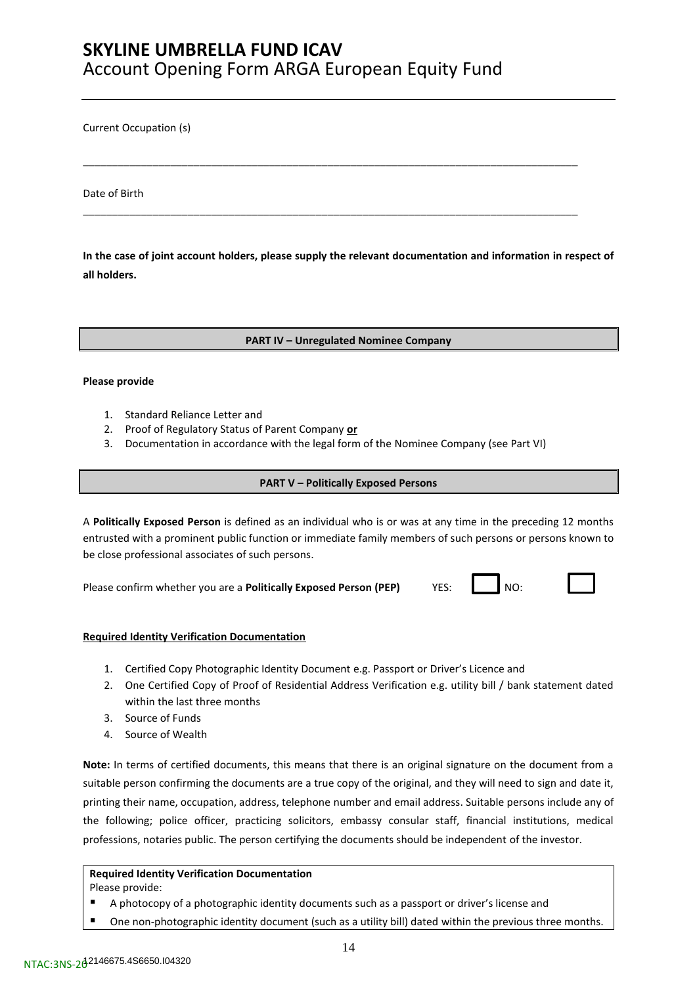Current Occupation (s)

Date of Birth

**In the case of joint account holders, please supply the relevant documentation and information in respect of all holders.** 

\_\_\_\_\_\_\_\_\_\_\_\_\_\_\_\_\_\_\_\_\_\_\_\_\_\_\_\_\_\_\_\_\_\_\_\_\_\_\_\_\_\_\_\_\_\_\_\_\_\_\_\_\_\_\_\_\_\_\_\_\_\_\_\_\_\_\_\_\_\_\_\_\_\_\_\_\_\_\_\_\_\_\_\_\_

\_\_\_\_\_\_\_\_\_\_\_\_\_\_\_\_\_\_\_\_\_\_\_\_\_\_\_\_\_\_\_\_\_\_\_\_\_\_\_\_\_\_\_\_\_\_\_\_\_\_\_\_\_\_\_\_\_\_\_\_\_\_\_\_\_\_\_\_\_\_\_\_\_\_\_\_\_\_\_\_\_\_\_\_\_

**PART IV – Unregulated Nominee Company**

#### **Please provide**

- 1. Standard Reliance Letter and
- 2. Proof of Regulatory Status of Parent Company **or**
- 3. Documentation in accordance with the legal form of the Nominee Company (see Part VI)

### **PART V – Politically Exposed Persons**

A **Politically Exposed Person** is defined as an individual who is or was at any time in the preceding 12 months entrusted with a prominent public function or immediate family members of such persons or persons known to be close professional associates of such persons.

Please confirm whether you are a **Politically Exposed Person (PEP)** YES: NO:

### **Required Identity Verification Documentation**

- 1. Certified Copy Photographic Identity Document e.g. Passport or Driver's Licence and
- 2. One Certified Copy of Proof of Residential Address Verification e.g. utility bill / bank statement dated within the last three months
- 3. Source of Funds
- 4. Source of Wealth

**Note:** In terms of certified documents, this means that there is an original signature on the document from a suitable person confirming the documents are a true copy of the original, and they will need to sign and date it, printing their name, occupation, address, telephone number and email address. Suitable persons include any of the following; police officer, practicing solicitors, embassy consular staff, financial institutions, medical professions, notaries public. The person certifying the documents should be independent of the investor.

### **Required Identity Verification Documentation**

Please provide:

- A photocopy of a photographic identity documents such as a passport or driver's license and
- One non-photographic identity document (such as a utility bill) dated within the previous three months.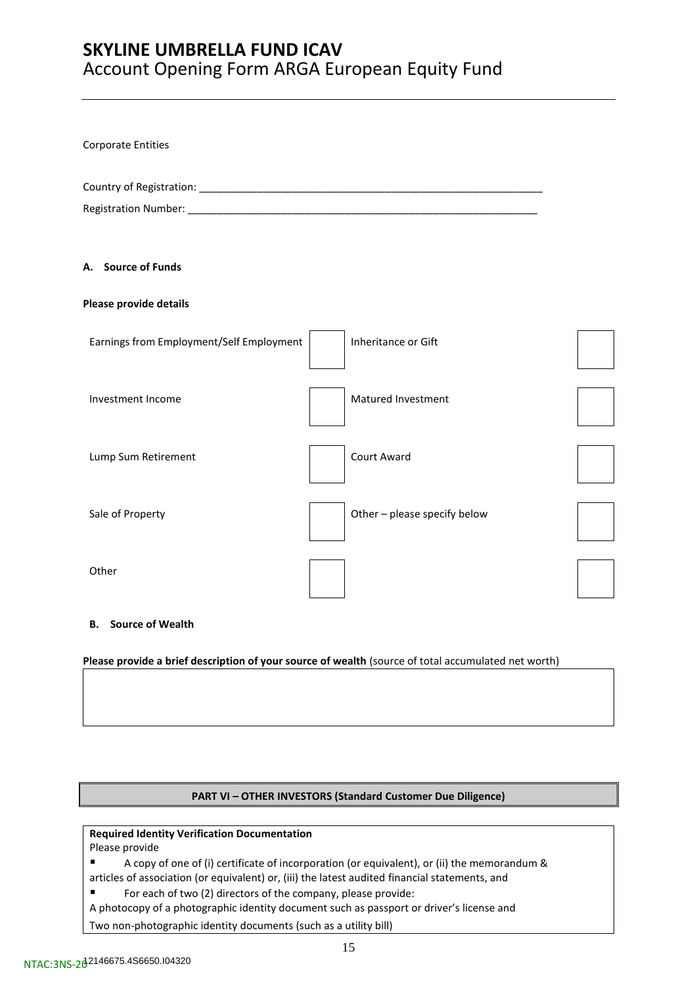| Corporate Entities                       |                              |  |
|------------------------------------------|------------------------------|--|
|                                          |                              |  |
| A. Source of Funds                       |                              |  |
| Please provide details                   |                              |  |
| Earnings from Employment/Self Employment | Inheritance or Gift          |  |
| Investment Income                        | Matured Investment           |  |
| Lump Sum Retirement                      | Court Award                  |  |
| Sale of Property                         | Other - please specify below |  |
| Other                                    |                              |  |

### **B. Source of Wealth**

**Please provide a brief description of your source of wealth** (source of total accumulated net worth)

### **PART VI – OTHER INVESTORS (Standard Customer Due Diligence)**

### **Required Identity Verification Documentation**

Please provide

■ A copy of one of (i) certificate of incorporation (or equivalent), or (ii) the memorandum & articles of association (or equivalent) or, (iii) the latest audited financial statements, and

■ For each of two (2) directors of the company, please provide:

A photocopy of a photographic identity document such as passport or driver's license and

Two non-photographic identity documents (such as a utility bill)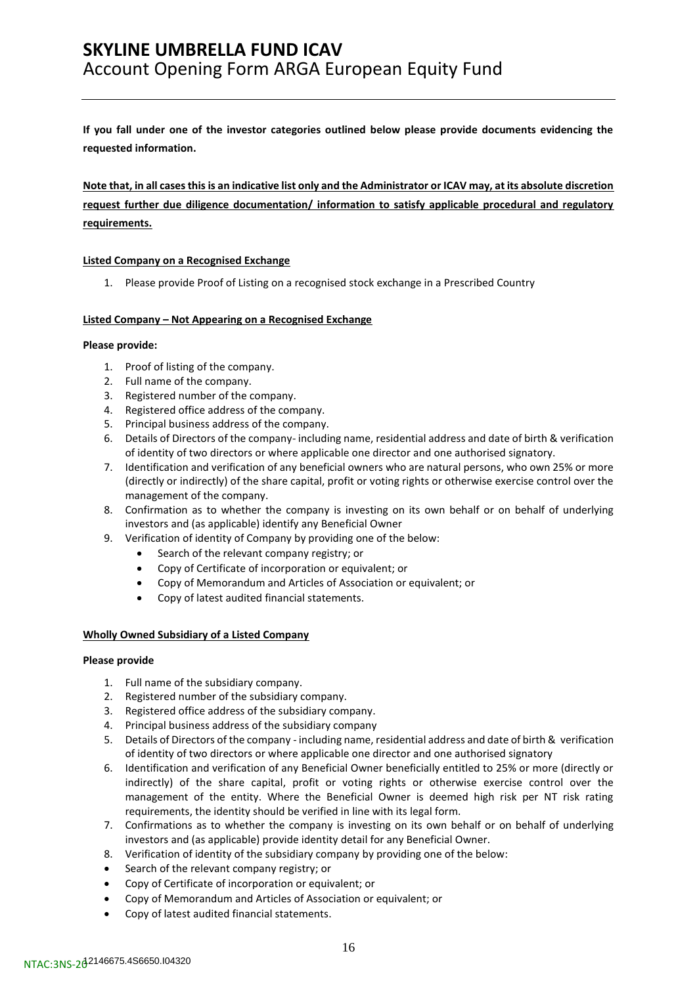**If you fall under one of the investor categories outlined below please provide documents evidencing the requested information.** 

**Note that, in all cases this is an indicative list only and the Administrator or ICAV may, at its absolute discretion request further due diligence documentation/ information to satisfy applicable procedural and regulatory requirements.**

### **Listed Company on a Recognised Exchange**

1. Please provide Proof of Listing on a recognised stock exchange in a Prescribed Country

### **Listed Company – Not Appearing on a Recognised Exchange**

### **Please provide:**

- 1. Proof of listing of the company.
- 2. Full name of the company.
- 3. Registered number of the company.
- 4. Registered office address of the company.
- 5. Principal business address of the company.
- 6. Details of Directors of the company- including name, residential address and date of birth & verification of identity of two directors or where applicable one director and one authorised signatory.
- 7. Identification and verification of any beneficial owners who are natural persons, who own 25% or more (directly or indirectly) of the share capital, profit or voting rights or otherwise exercise control over the management of the company.
- 8. Confirmation as to whether the company is investing on its own behalf or on behalf of underlying investors and (as applicable) identify any Beneficial Owner
- 9. Verification of identity of Company by providing one of the below:
	- Search of the relevant company registry; or
	- Copy of Certificate of incorporation or equivalent; or
	- Copy of Memorandum and Articles of Association or equivalent; or
	- Copy of latest audited financial statements.

### **Wholly Owned Subsidiary of a Listed Company**

### **Please provide**

- 1. Full name of the subsidiary company.
- 2. Registered number of the subsidiary company.
- 3. Registered office address of the subsidiary company.
- 4. Principal business address of the subsidiary company
- 5. Details of Directors of the company including name, residential address and date of birth & verification of identity of two directors or where applicable one director and one authorised signatory
- 6. Identification and verification of any Beneficial Owner beneficially entitled to 25% or more (directly or indirectly) of the share capital, profit or voting rights or otherwise exercise control over the management of the entity. Where the Beneficial Owner is deemed high risk per NT risk rating requirements, the identity should be verified in line with its legal form.
- 7. Confirmations as to whether the company is investing on its own behalf or on behalf of underlying investors and (as applicable) provide identity detail for any Beneficial Owner.
- 8. Verification of identity of the subsidiary company by providing one of the below:
- Search of the relevant company registry; or
- Copy of Certificate of incorporation or equivalent; or
- Copy of Memorandum and Articles of Association or equivalent; or
- Copy of latest audited financial statements.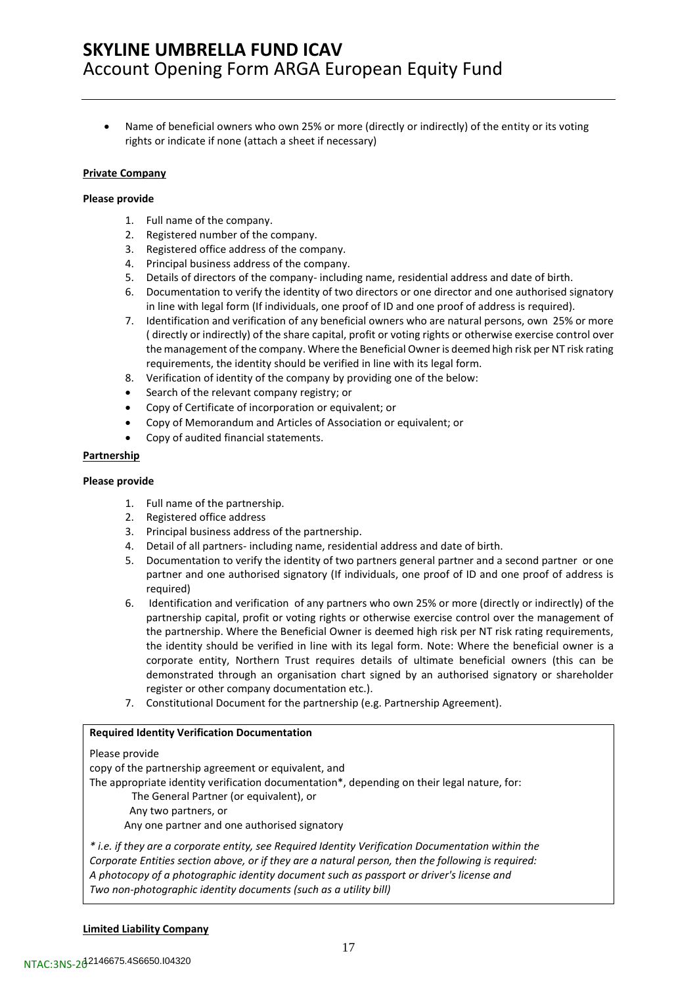• Name of beneficial owners who own 25% or more (directly or indirectly) of the entity or its voting rights or indicate if none (attach a sheet if necessary)

### **Private Company**

### **Please provide**

- 1. Full name of the company.
- 2. Registered number of the company.
- 3. Registered office address of the company.
- 4. Principal business address of the company.
- 5. Details of directors of the company- including name, residential address and date of birth.
- 6. Documentation to verify the identity of two directors or one director and one authorised signatory in line with legal form (If individuals, one proof of ID and one proof of address is required).
- 7. Identification and verification of any beneficial owners who are natural persons, own 25% or more ( directly or indirectly) of the share capital, profit or voting rights or otherwise exercise control over the management of the company. Where the Beneficial Owner is deemed high risk per NT risk rating requirements, the identity should be verified in line with its legal form.
- 8. Verification of identity of the company by providing one of the below:
- Search of the relevant company registry; or
- Copy of Certificate of incorporation or equivalent; or
- Copy of Memorandum and Articles of Association or equivalent; or
- Copy of audited financial statements.

### **Partnership**

### **Please provide**

- 1. Full name of the partnership.
- 2. Registered office address
- 3. Principal business address of the partnership.
- 4. Detail of all partners- including name, residential address and date of birth.
- 5. Documentation to verify the identity of two partners general partner and a second partner or one partner and one authorised signatory (If individuals, one proof of ID and one proof of address is required)
- 6. Identification and verification of any partners who own 25% or more (directly or indirectly) of the partnership capital, profit or voting rights or otherwise exercise control over the management of the partnership. Where the Beneficial Owner is deemed high risk per NT risk rating requirements, the identity should be verified in line with its legal form. Note: Where the beneficial owner is a corporate entity, Northern Trust requires details of ultimate beneficial owners (this can be demonstrated through an organisation chart signed by an authorised signatory or shareholder register or other company documentation etc.).
- 7. Constitutional Document for the partnership (e.g. Partnership Agreement).

### **Required Identity Verification Documentation**

### Please provide

copy of the partnership agreement or equivalent, and The appropriate identity verification documentation\*, depending on their legal nature, for: The General Partner (or equivalent), or Any two partners, or Any one partner and one authorised signatory *\* i.e. if they are a corporate entity, see Required Identity Verification Documentation within the*

*Corporate Entities section above, or if they are a natural person, then the following is required: A photocopy of a photographic identity document such as passport or driver's license and Two non-photographic identity documents (such as a utility bill)*

### **Limited Liability Company**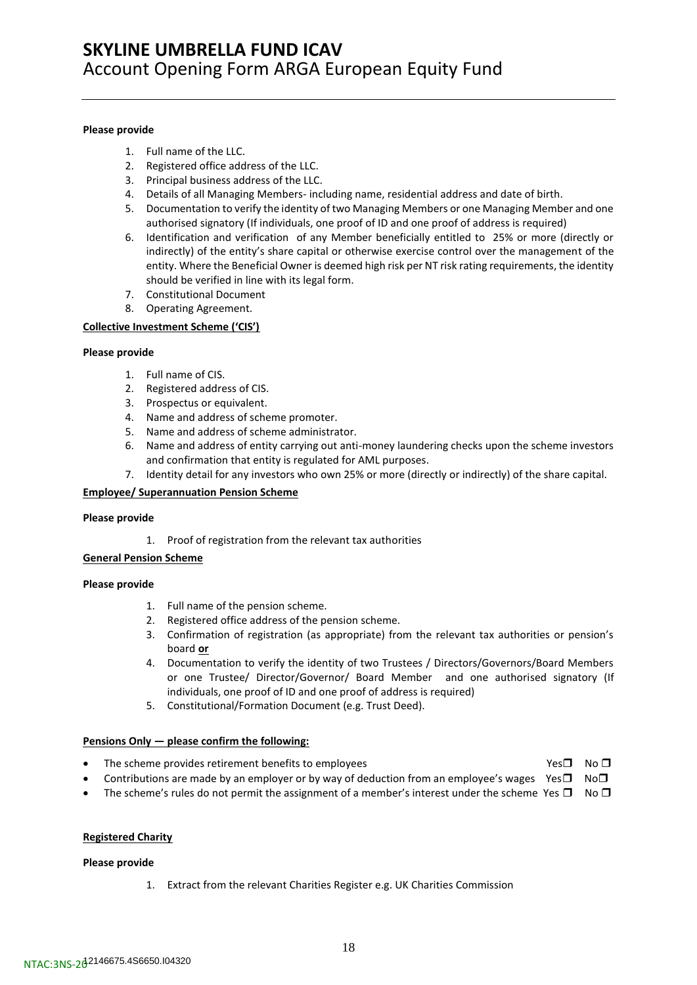#### **Please provide**

- 1. Full name of the LLC.
- 2. Registered office address of the LLC.
- 3. Principal business address of the LLC.
- 4. Details of all Managing Members- including name, residential address and date of birth.
- 5. Documentation to verify the identity of two Managing Members or one Managing Member and one authorised signatory (If individuals, one proof of ID and one proof of address is required)
- 6. Identification and verification of any Member beneficially entitled to 25% or more (directly or indirectly) of the entity's share capital or otherwise exercise control over the management of the entity. Where the Beneficial Owner is deemed high risk per NT risk rating requirements, the identity should be verified in line with its legal form.
- 7. Constitutional Document
- 8. Operating Agreement.

### **Collective Investment Scheme ('CIS')**

#### **Please provide**

- 1. Full name of CIS.
- 2. Registered address of CIS.
- 3. Prospectus or equivalent.
- 4. Name and address of scheme promoter.
- 5. Name and address of scheme administrator.
- 6. Name and address of entity carrying out anti-money laundering checks upon the scheme investors and confirmation that entity is regulated for AML purposes.
- 7. Identity detail for any investors who own 25% or more (directly or indirectly) of the share capital.

#### **Employee/ Superannuation Pension Scheme**

#### **Please provide**

1. Proof of registration from the relevant tax authorities

### **General Pension Scheme**

### **Please provide**

- 1. Full name of the pension scheme.
- 2. Registered office address of the pension scheme.
- 3. Confirmation of registration (as appropriate) from the relevant tax authorities or pension's board **or**
- 4. Documentation to verify the identity of two Trustees / Directors/Governors/Board Members or one Trustee/ Director/Governor/ Board Member and one authorised signatory (If individuals, one proof of ID and one proof of address is required)
- 5. Constitutional/Formation Document (e.g. Trust Deed).

### **Pensions Only — please confirm the following:**

- The scheme provides retirement benefits to employees  $Yes \Box$  No  $\Box$ 
	- Contributions are made by an employer or by way of deduction from an employee's wages Yes  $\square$  No $\square$
- The scheme's rules do not permit the assignment of a member's interest under the scheme Yes  $\Box$  No  $\Box$

### **Registered Charity**

### **Please provide**

1. Extract from the relevant Charities Register e.g. UK Charities Commission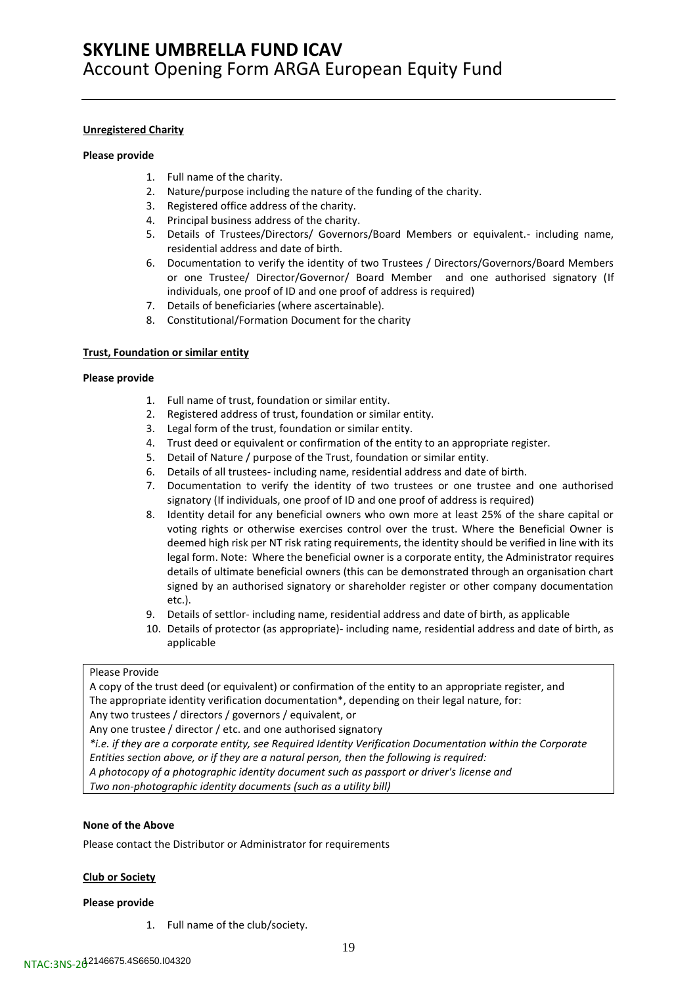#### **Unregistered Charity**

#### **Please provide**

- 1. Full name of the charity.
- 2. Nature/purpose including the nature of the funding of the charity.
- 3. Registered office address of the charity.
- 4. Principal business address of the charity.
- 5. Details of Trustees/Directors/ Governors/Board Members or equivalent.- including name, residential address and date of birth.
- 6. Documentation to verify the identity of two Trustees / Directors/Governors/Board Members or one Trustee/ Director/Governor/ Board Member and one authorised signatory (If individuals, one proof of ID and one proof of address is required)
- 7. Details of beneficiaries (where ascertainable).
- 8. Constitutional/Formation Document for the charity

### **Trust, Foundation or similar entity**

#### **Please provide**

- 1. Full name of trust, foundation or similar entity.
- 2. Registered address of trust, foundation or similar entity.
- 3. Legal form of the trust, foundation or similar entity.
- 4. Trust deed or equivalent or confirmation of the entity to an appropriate register.
- 5. Detail of Nature / purpose of the Trust, foundation or similar entity.
- 6. Details of all trustees- including name, residential address and date of birth.
- 7. Documentation to verify the identity of two trustees or one trustee and one authorised signatory (If individuals, one proof of ID and one proof of address is required)
- 8. Identity detail for any beneficial owners who own more at least 25% of the share capital or voting rights or otherwise exercises control over the trust. Where the Beneficial Owner is deemed high risk per NT risk rating requirements, the identity should be verified in line with its legal form. Note: Where the beneficial owner is a corporate entity, the Administrator requires details of ultimate beneficial owners (this can be demonstrated through an organisation chart signed by an authorised signatory or shareholder register or other company documentation etc.).
- 9. Details of settlor- including name, residential address and date of birth, as applicable
- 10. Details of protector (as appropriate)- including name, residential address and date of birth, as applicable

### Please Provide

A copy of the trust deed (or equivalent) or confirmation of the entity to an appropriate register, and The appropriate identity verification documentation\*, depending on their legal nature, for: Any two trustees / directors / governors / equivalent, or

Any one trustee / director / etc. and one authorised signatory

*\*i.e. if they are a corporate entity, see Required Identity Verification Documentation within the Corporate Entities section above, or if they are a natural person, then the following is required:*

*A photocopy of a photographic identity document such as passport or driver's license and*

*Two non-photographic identity documents (such as a utility bill)*

### **None of the Above**

Please contact the Distributor or Administrator for requirements

### **Club or Society**

#### **Please provide**

1. Full name of the club/society.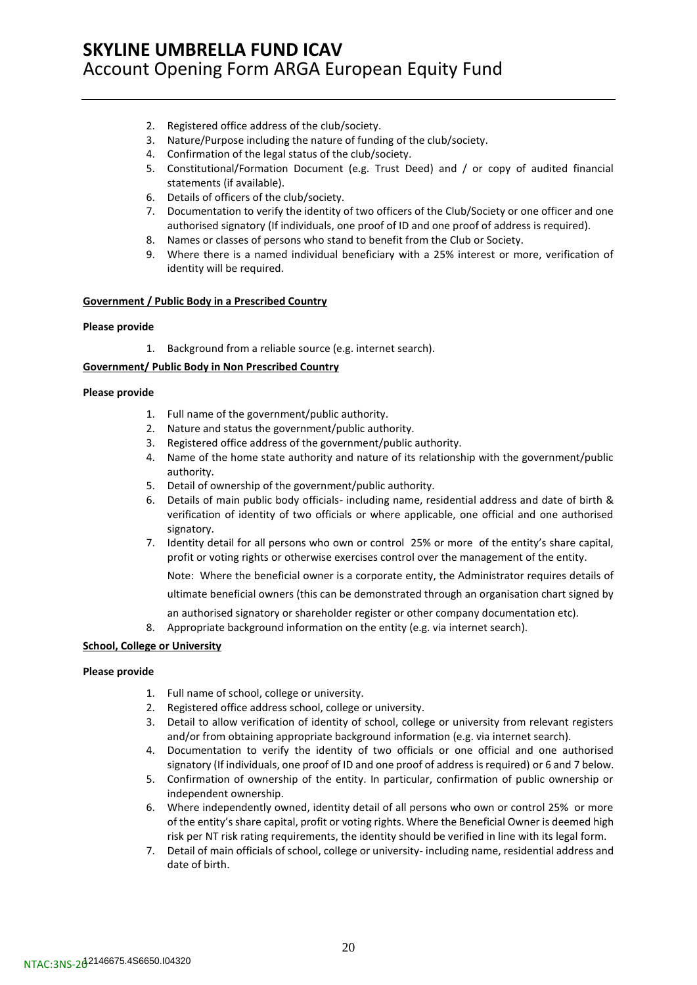- 2. Registered office address of the club/society.
- 3. Nature/Purpose including the nature of funding of the club/society.
- 4. Confirmation of the legal status of the club/society.
- 5. Constitutional/Formation Document (e.g. Trust Deed) and / or copy of audited financial statements (if available).
- 6. Details of officers of the club/society.
- 7. Documentation to verify the identity of two officers of the Club/Society or one officer and one authorised signatory (If individuals, one proof of ID and one proof of address is required).
- 8. Names or classes of persons who stand to benefit from the Club or Society.
- 9. Where there is a named individual beneficiary with a 25% interest or more, verification of identity will be required.

### **Government / Public Body in a Prescribed Country**

### **Please provide**

1. Background from a reliable source (e.g. internet search).

### **Government/ Public Body in Non Prescribed Country**

#### **Please provide**

- 1. Full name of the government/public authority.
- 2. Nature and status the government/public authority.
- 3. Registered office address of the government/public authority.
- 4. Name of the home state authority and nature of its relationship with the government/public authority.
- 5. Detail of ownership of the government/public authority.
- 6. Details of main public body officials- including name, residential address and date of birth & verification of identity of two officials or where applicable, one official and one authorised signatory.
- 7. Identity detail for all persons who own or control 25% or more of the entity's share capital, profit or voting rights or otherwise exercises control over the management of the entity.

Note: Where the beneficial owner is a corporate entity, the Administrator requires details of

ultimate beneficial owners (this can be demonstrated through an organisation chart signed by

- an authorised signatory or shareholder register or other company documentation etc).
- 8. Appropriate background information on the entity (e.g. via internet search).

### **School, College or University**

### **Please provide**

- 1. Full name of school, college or university.
- 2. Registered office address school, college or university.
- 3. Detail to allow verification of identity of school, college or university from relevant registers and/or from obtaining appropriate background information (e.g. via internet search).
- 4. Documentation to verify the identity of two officials or one official and one authorised signatory (If individuals, one proof of ID and one proof of address is required) or 6 and 7 below.
- 5. Confirmation of ownership of the entity. In particular, confirmation of public ownership or independent ownership.
- 6. Where independently owned, identity detail of all persons who own or control 25% or more of the entity's share capital, profit or voting rights. Where the Beneficial Owner is deemed high risk per NT risk rating requirements, the identity should be verified in line with its legal form.
- 7. Detail of main officials of school, college or university- including name, residential address and date of birth.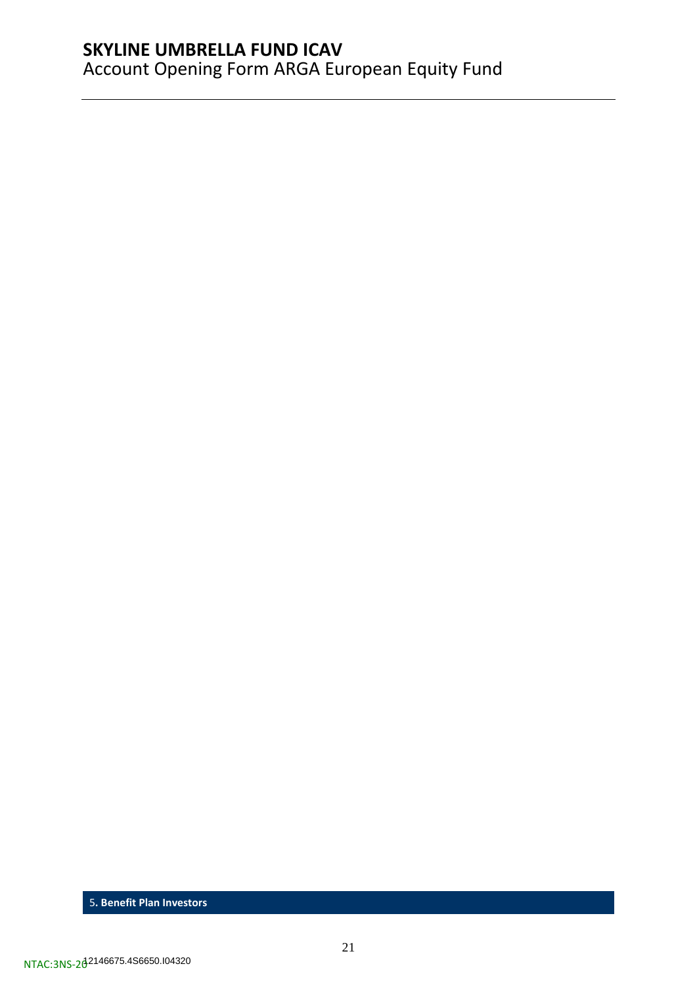<span id="page-20-0"></span>5**. Benefit Plan Investors**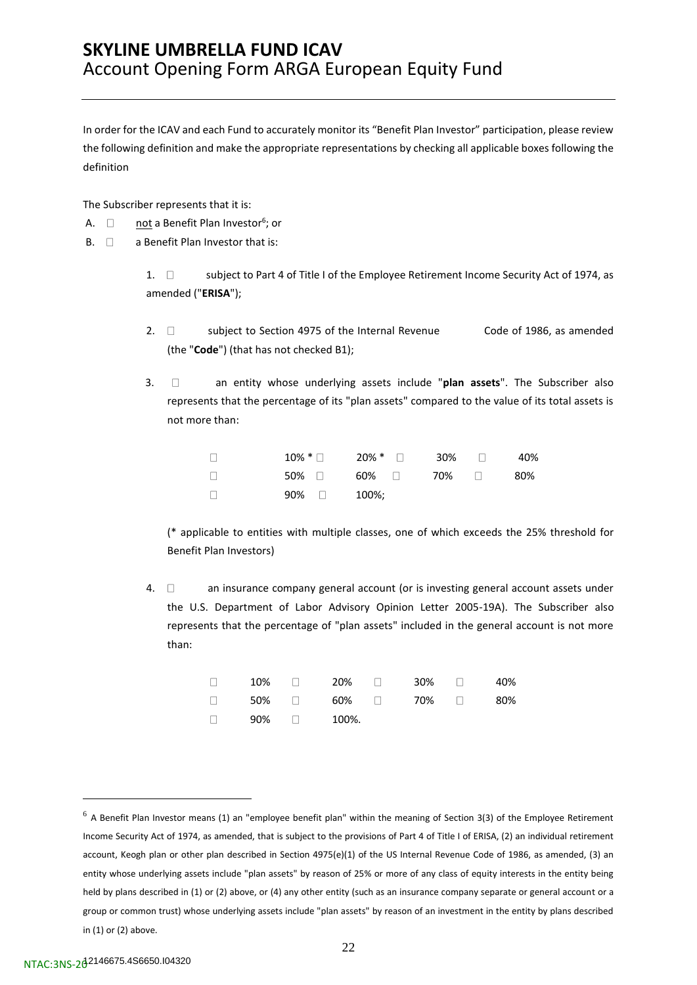In order for the ICAV and each Fund to accurately monitor its "Benefit Plan Investor" participation, please review the following definition and make the appropriate representations by checking all applicable boxes following the definition

The Subscriber represents that it is:

- A. □ not a Benefit Plan Investor<sup>6</sup>; or
- $B. \Box$  a Benefit Plan Investor that is:

1.  $\Box$  subject to Part 4 of Title I of the Employee Retirement Income Security Act of 1974, as amended ("**ERISA**");

- 2.  $\Box$  subject to Section 4975 of the Internal Revenue Code of 1986, as amended (the "**Code**") (that has not checked B1);
- 3. an entity whose underlying assets include "**plan assets**". The Subscriber also represents that the percentage of its "plan assets" compared to the value of its total assets is not more than:

| $\Box$ |                     | $10\%$ * $\Box$ $20\%$ * $\Box$ $30\%$ $\Box$ 40% |  |  |
|--------|---------------------|---------------------------------------------------|--|--|
| $\Box$ |                     | $50\%$ $\Box$ 60% $\Box$ 70% $\Box$ 80%           |  |  |
| $\Box$ | $90\%$ $\Box$ 100%; |                                                   |  |  |

(\* applicable to entities with multiple classes, one of which exceeds the 25% threshold for Benefit Plan Investors)

4.  $\Box$  an insurance company general account (or is investing general account assets under the U.S. Department of Labor Advisory Opinion Letter 2005-19A). The Subscriber also represents that the percentage of "plan assets" included in the general account is not more than:

|  | $\Box$ 10% $\Box$ 20% $\Box$ 30% $\Box$ 40% |  |  |
|--|---------------------------------------------|--|--|
|  | $\Box$ 50% $\Box$ 60% $\Box$ 70% $\Box$ 80% |  |  |
|  | $\Box$ 90% $\Box$ 100%.                     |  |  |

 $6$  A Benefit Plan Investor means (1) an "employee benefit plan" within the meaning of Section 3(3) of the Employee Retirement Income Security Act of 1974, as amended, that is subject to the provisions of Part 4 of Title I of ERISA, (2) an individual retirement account, Keogh plan or other plan described in Section 4975(e)(1) of the US Internal Revenue Code of 1986, as amended, (3) an entity whose underlying assets include "plan assets" by reason of 25% or more of any class of equity interests in the entity being held by plans described in (1) or (2) above, or (4) any other entity (such as an insurance company separate or general account or a group or common trust) whose underlying assets include "plan assets" by reason of an investment in the entity by plans described in (1) or (2) above.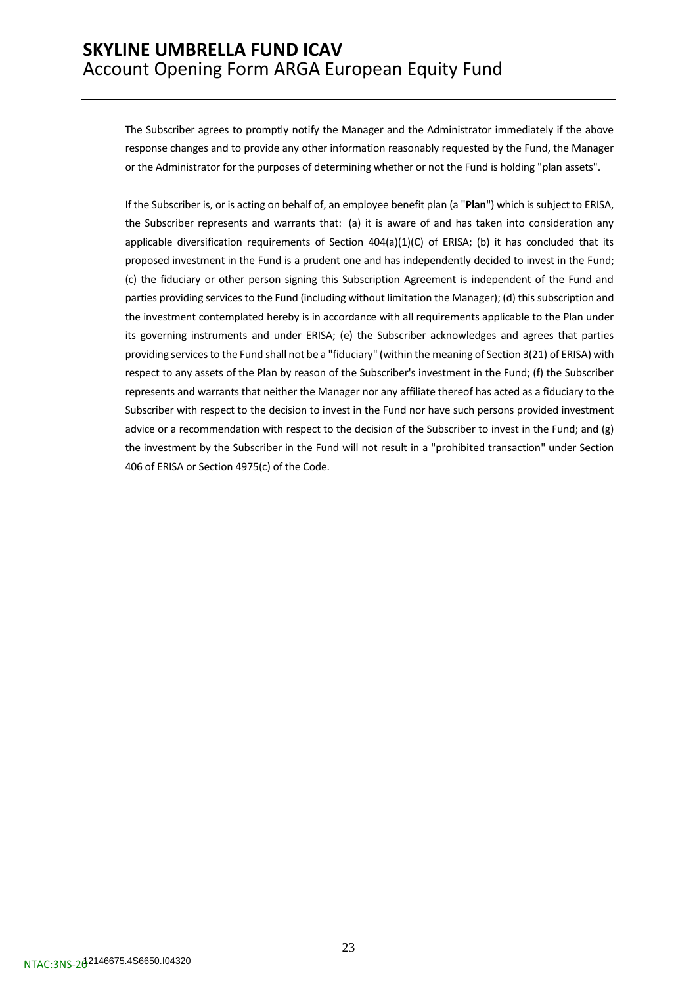The Subscriber agrees to promptly notify the Manager and the Administrator immediately if the above response changes and to provide any other information reasonably requested by the Fund, the Manager or the Administrator for the purposes of determining whether or not the Fund is holding "plan assets".

If the Subscriber is, or is acting on behalf of, an employee benefit plan (a "**Plan**") which is subject to ERISA, the Subscriber represents and warrants that: (a) it is aware of and has taken into consideration any applicable diversification requirements of Section  $404(a)(1)(C)$  of ERISA; (b) it has concluded that its proposed investment in the Fund is a prudent one and has independently decided to invest in the Fund; (c) the fiduciary or other person signing this Subscription Agreement is independent of the Fund and parties providing services to the Fund (including without limitation the Manager); (d) this subscription and the investment contemplated hereby is in accordance with all requirements applicable to the Plan under its governing instruments and under ERISA; (e) the Subscriber acknowledges and agrees that parties providing services to the Fund shall not be a "fiduciary" (within the meaning of Section 3(21) of ERISA) with respect to any assets of the Plan by reason of the Subscriber's investment in the Fund; (f) the Subscriber represents and warrants that neither the Manager nor any affiliate thereof has acted as a fiduciary to the Subscriber with respect to the decision to invest in the Fund nor have such persons provided investment advice or a recommendation with respect to the decision of the Subscriber to invest in the Fund; and (g) the investment by the Subscriber in the Fund will not result in a "prohibited transaction" under Section 406 of ERISA or Section 4975(c) of the Code.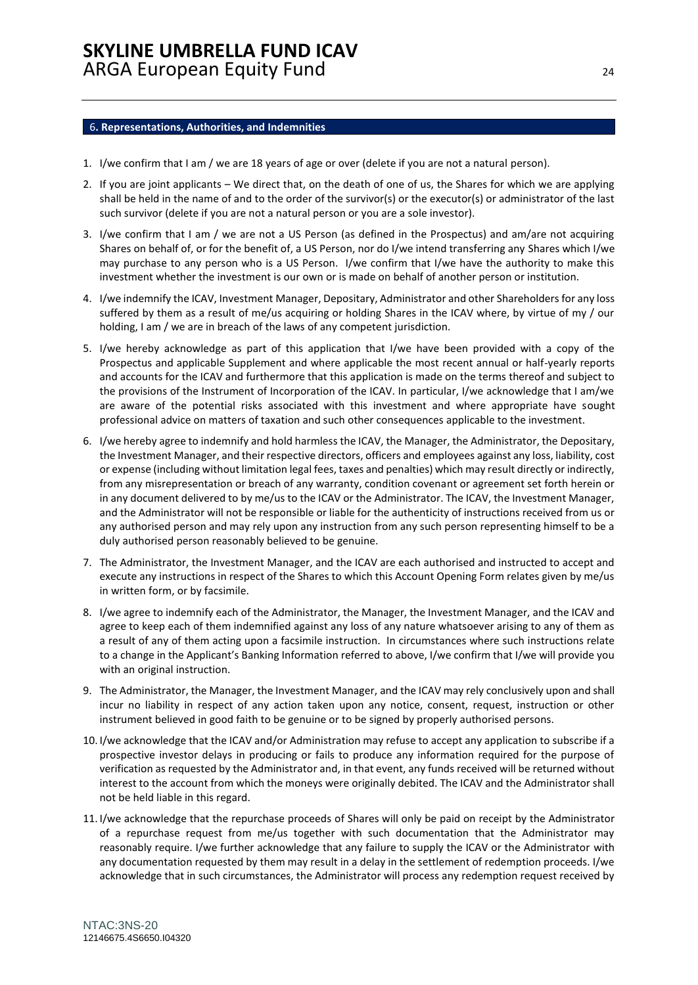#### <span id="page-23-0"></span>6**. Representations, Authorities, and Indemnities**

- 1. I/we confirm that I am / we are 18 years of age or over (delete if you are not a natural person).
- 2. If you are joint applicants We direct that, on the death of one of us, the Shares for which we are applying shall be held in the name of and to the order of the survivor(s) or the executor(s) or administrator of the last such survivor (delete if you are not a natural person or you are a sole investor).
- 3. I/we confirm that I am / we are not a US Person (as defined in the Prospectus) and am/are not acquiring Shares on behalf of, or for the benefit of, a US Person, nor do I/we intend transferring any Shares which I/we may purchase to any person who is a US Person. I/we confirm that I/we have the authority to make this investment whether the investment is our own or is made on behalf of another person or institution.
- 4. I/we indemnify the ICAV, Investment Manager, Depositary, Administrator and other Shareholders for any loss suffered by them as a result of me/us acquiring or holding Shares in the ICAV where, by virtue of my / our holding, I am / we are in breach of the laws of any competent jurisdiction.
- 5. I/we hereby acknowledge as part of this application that I/we have been provided with a copy of the Prospectus and applicable Supplement and where applicable the most recent annual or half-yearly reports and accounts for the ICAV and furthermore that this application is made on the terms thereof and subject to the provisions of the Instrument of Incorporation of the ICAV. In particular, I/we acknowledge that I am/we are aware of the potential risks associated with this investment and where appropriate have sought professional advice on matters of taxation and such other consequences applicable to the investment.
- 6. I/we hereby agree to indemnify and hold harmless the ICAV, the Manager, the Administrator, the Depositary, the Investment Manager, and their respective directors, officers and employees against any loss, liability, cost or expense (including without limitation legal fees, taxes and penalties) which may result directly or indirectly, from any misrepresentation or breach of any warranty, condition covenant or agreement set forth herein or in any document delivered to by me/us to the ICAV or the Administrator. The ICAV, the Investment Manager, and the Administrator will not be responsible or liable for the authenticity of instructions received from us or any authorised person and may rely upon any instruction from any such person representing himself to be a duly authorised person reasonably believed to be genuine.
- 7. The Administrator, the Investment Manager, and the ICAV are each authorised and instructed to accept and execute any instructions in respect of the Shares to which this Account Opening Form relates given by me/us in written form, or by facsimile.
- 8. I/we agree to indemnify each of the Administrator, the Manager, the Investment Manager, and the ICAV and agree to keep each of them indemnified against any loss of any nature whatsoever arising to any of them as a result of any of them acting upon a facsimile instruction. In circumstances where such instructions relate to a change in the Applicant's Banking Information referred to above, I/we confirm that I/we will provide you with an original instruction.
- 9. The Administrator, the Manager, the Investment Manager, and the ICAV may rely conclusively upon and shall incur no liability in respect of any action taken upon any notice, consent, request, instruction or other instrument believed in good faith to be genuine or to be signed by properly authorised persons.
- 10. I/we acknowledge that the ICAV and/or Administration may refuse to accept any application to subscribe if a prospective investor delays in producing or fails to produce any information required for the purpose of verification as requested by the Administrator and, in that event, any funds received will be returned without interest to the account from which the moneys were originally debited. The ICAV and the Administrator shall not be held liable in this regard.
- 11. I/we acknowledge that the repurchase proceeds of Shares will only be paid on receipt by the Administrator of a repurchase request from me/us together with such documentation that the Administrator may reasonably require. I/we further acknowledge that any failure to supply the ICAV or the Administrator with any documentation requested by them may result in a delay in the settlement of redemption proceeds. I/we acknowledge that in such circumstances, the Administrator will process any redemption request received by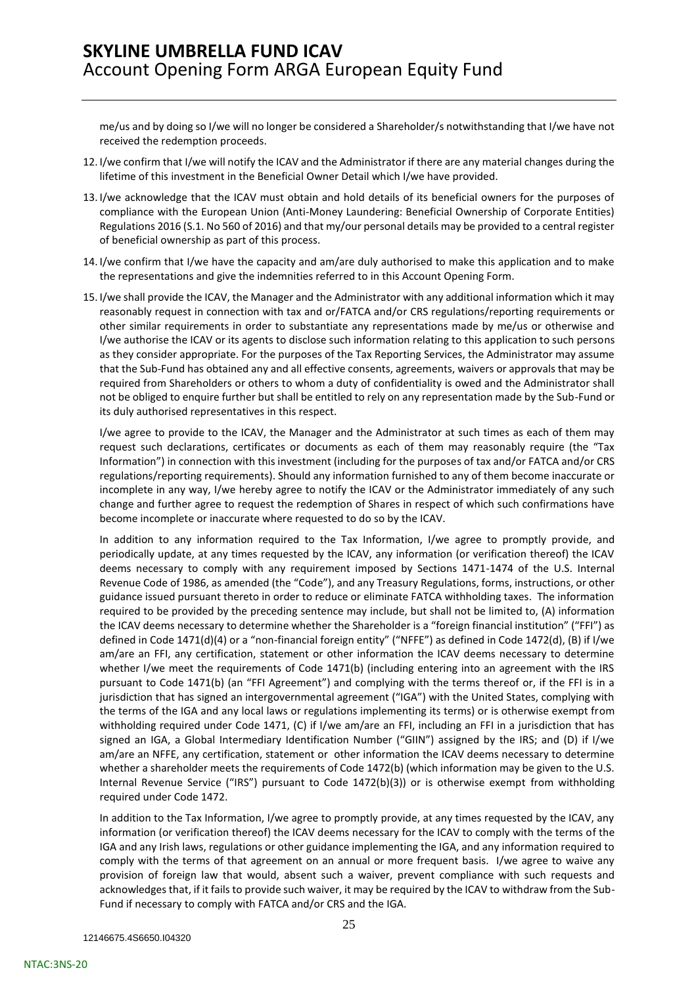me/us and by doing so I/we will no longer be considered a Shareholder/s notwithstanding that I/we have not received the redemption proceeds.

- 12. I/we confirm that I/we will notify the ICAV and the Administrator if there are any material changes during the lifetime of this investment in the Beneficial Owner Detail which I/we have provided.
- 13. I/we acknowledge that the ICAV must obtain and hold details of its beneficial owners for the purposes of compliance with the European Union (Anti-Money Laundering: Beneficial Ownership of Corporate Entities) Regulations 2016 (S.1. No 560 of 2016) and that my/our personal details may be provided to a central register of beneficial ownership as part of this process.
- 14. I/we confirm that I/we have the capacity and am/are duly authorised to make this application and to make the representations and give the indemnities referred to in this Account Opening Form.
- 15. I/we shall provide the ICAV, the Manager and the Administrator with any additional information which it may reasonably request in connection with tax and or/FATCA and/or CRS regulations/reporting requirements or other similar requirements in order to substantiate any representations made by me/us or otherwise and I/we authorise the ICAV or its agents to disclose such information relating to this application to such persons as they consider appropriate. For the purposes of the Tax Reporting Services, the Administrator may assume that the Sub-Fund has obtained any and all effective consents, agreements, waivers or approvals that may be required from Shareholders or others to whom a duty of confidentiality is owed and the Administrator shall not be obliged to enquire further but shall be entitled to rely on any representation made by the Sub-Fund or its duly authorised representatives in this respect.

I/we agree to provide to the ICAV, the Manager and the Administrator at such times as each of them may request such declarations, certificates or documents as each of them may reasonably require (the "Tax Information") in connection with this investment (including for the purposes of tax and/or FATCA and/or CRS regulations/reporting requirements). Should any information furnished to any of them become inaccurate or incomplete in any way, I/we hereby agree to notify the ICAV or the Administrator immediately of any such change and further agree to request the redemption of Shares in respect of which such confirmations have become incomplete or inaccurate where requested to do so by the ICAV.

In addition to any information required to the Tax Information, I/we agree to promptly provide, and periodically update, at any times requested by the ICAV, any information (or verification thereof) the ICAV deems necessary to comply with any requirement imposed by Sections 1471-1474 of the U.S. Internal Revenue Code of 1986, as amended (the "Code"), and any Treasury Regulations, forms, instructions, or other guidance issued pursuant thereto in order to reduce or eliminate FATCA withholding taxes. The information required to be provided by the preceding sentence may include, but shall not be limited to, (A) information the ICAV deems necessary to determine whether the Shareholder is a "foreign financial institution" ("FFI") as defined in Code 1471(d)(4) or a "non-financial foreign entity" ("NFFE") as defined in Code 1472(d), (B) if I/we am/are an FFI, any certification, statement or other information the ICAV deems necessary to determine whether I/we meet the requirements of Code 1471(b) (including entering into an agreement with the IRS pursuant to Code 1471(b) (an "FFI Agreement") and complying with the terms thereof or, if the FFI is in a jurisdiction that has signed an intergovernmental agreement ("IGA") with the United States, complying with the terms of the IGA and any local laws or regulations implementing its terms) or is otherwise exempt from withholding required under Code 1471, (C) if I/we am/are an FFI, including an FFI in a jurisdiction that has signed an IGA, a Global Intermediary Identification Number ("GIIN") assigned by the IRS; and (D) if I/we am/are an NFFE, any certification, statement or other information the ICAV deems necessary to determine whether a shareholder meets the requirements of Code 1472(b) (which information may be given to the U.S. Internal Revenue Service ("IRS") pursuant to Code 1472(b)(3)) or is otherwise exempt from withholding required under Code 1472.

In addition to the Tax Information, I/we agree to promptly provide, at any times requested by the ICAV, any information (or verification thereof) the ICAV deems necessary for the ICAV to comply with the terms of the IGA and any Irish laws, regulations or other guidance implementing the IGA, and any information required to comply with the terms of that agreement on an annual or more frequent basis. I/we agree to waive any provision of foreign law that would, absent such a waiver, prevent compliance with such requests and acknowledges that, if it fails to provide such waiver, it may be required by the ICAV to withdraw from the Sub-Fund if necessary to comply with FATCA and/or CRS and the IGA.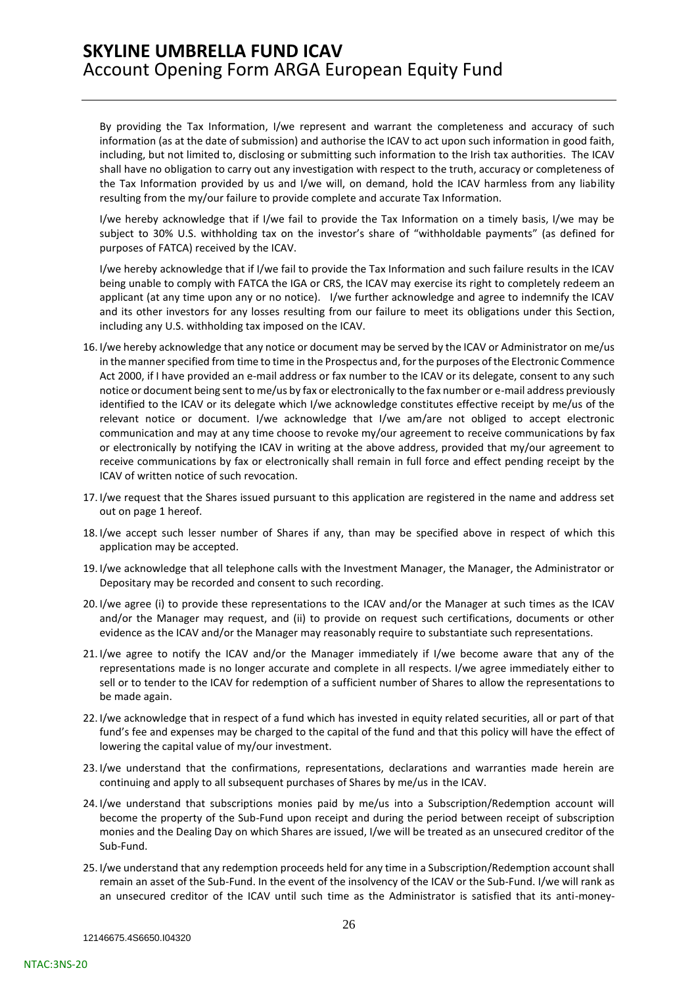By providing the Tax Information, I/we represent and warrant the completeness and accuracy of such information (as at the date of submission) and authorise the ICAV to act upon such information in good faith, including, but not limited to, disclosing or submitting such information to the Irish tax authorities. The ICAV shall have no obligation to carry out any investigation with respect to the truth, accuracy or completeness of the Tax Information provided by us and I/we will, on demand, hold the ICAV harmless from any liability resulting from the my/our failure to provide complete and accurate Tax Information.

I/we hereby acknowledge that if I/we fail to provide the Tax Information on a timely basis, I/we may be subject to 30% U.S. withholding tax on the investor's share of "withholdable payments" (as defined for purposes of FATCA) received by the ICAV.

I/we hereby acknowledge that if I/we fail to provide the Tax Information and such failure results in the ICAV being unable to comply with FATCA the IGA or CRS, the ICAV may exercise its right to completely redeem an applicant (at any time upon any or no notice). I/we further acknowledge and agree to indemnify the ICAV and its other investors for any losses resulting from our failure to meet its obligations under this Section, including any U.S. withholding tax imposed on the ICAV.

- 16. I/we hereby acknowledge that any notice or document may be served by the ICAV or Administrator on me/us in the manner specified from time to time in the Prospectus and, for the purposes of the Electronic Commence Act 2000, if I have provided an e-mail address or fax number to the ICAV or its delegate, consent to any such notice or document being sent to me/us by fax or electronically to the fax number or e-mail address previously identified to the ICAV or its delegate which I/we acknowledge constitutes effective receipt by me/us of the relevant notice or document. I/we acknowledge that I/we am/are not obliged to accept electronic communication and may at any time choose to revoke my/our agreement to receive communications by fax or electronically by notifying the ICAV in writing at the above address, provided that my/our agreement to receive communications by fax or electronically shall remain in full force and effect pending receipt by the ICAV of written notice of such revocation.
- 17. I/we request that the Shares issued pursuant to this application are registered in the name and address set out on page 1 hereof.
- 18. I/we accept such lesser number of Shares if any, than may be specified above in respect of which this application may be accepted.
- 19. I/we acknowledge that all telephone calls with the Investment Manager, the Manager, the Administrator or Depositary may be recorded and consent to such recording.
- 20. I/we agree (i) to provide these representations to the ICAV and/or the Manager at such times as the ICAV and/or the Manager may request, and (ii) to provide on request such certifications, documents or other evidence as the ICAV and/or the Manager may reasonably require to substantiate such representations.
- 21. I/we agree to notify the ICAV and/or the Manager immediately if I/we become aware that any of the representations made is no longer accurate and complete in all respects. I/we agree immediately either to sell or to tender to the ICAV for redemption of a sufficient number of Shares to allow the representations to be made again.
- 22. I/we acknowledge that in respect of a fund which has invested in equity related securities, all or part of that fund's fee and expenses may be charged to the capital of the fund and that this policy will have the effect of lowering the capital value of my/our investment.
- 23. I/we understand that the confirmations, representations, declarations and warranties made herein are continuing and apply to all subsequent purchases of Shares by me/us in the ICAV.
- 24. I/we understand that subscriptions monies paid by me/us into a Subscription/Redemption account will become the property of the Sub-Fund upon receipt and during the period between receipt of subscription monies and the Dealing Day on which Shares are issued, I/we will be treated as an unsecured creditor of the Sub-Fund.
- 25. I/we understand that any redemption proceeds held for any time in a Subscription/Redemption account shall remain an asset of the Sub-Fund. In the event of the insolvency of the ICAV or the Sub-Fund. I/we will rank as an unsecured creditor of the ICAV until such time as the Administrator is satisfied that its anti-money-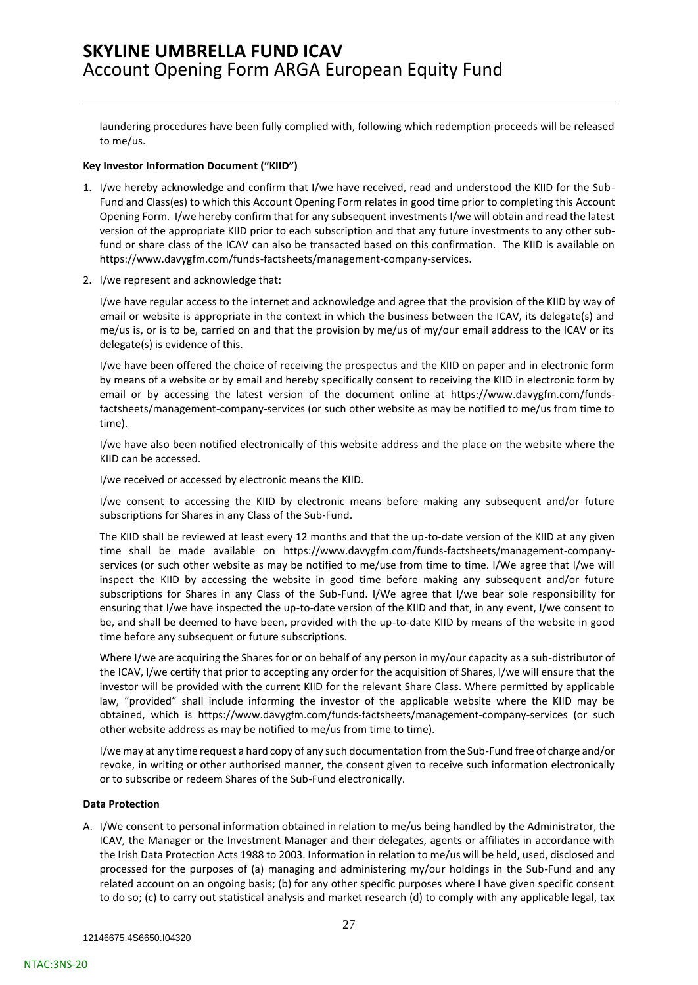laundering procedures have been fully complied with, following which redemption proceeds will be released to me/us.

#### **Key Investor Information Document ("KIID")**

- 1. I/we hereby acknowledge and confirm that I/we have received, read and understood the KIID for the Sub-Fund and Class(es) to which this Account Opening Form relates in good time prior to completing this Account Opening Form. I/we hereby confirm that for any subsequent investments I/we will obtain and read the latest version of the appropriate KIID prior to each subscription and that any future investments to any other subfund or share class of the ICAV can also be transacted based on this confirmation. The KIID is available on https://www.davygfm.com/funds-factsheets/management-company-services.
- 2. I/we represent and acknowledge that:

I/we have regular access to the internet and acknowledge and agree that the provision of the KIID by way of email or website is appropriate in the context in which the business between the ICAV, its delegate(s) and me/us is, or is to be, carried on and that the provision by me/us of my/our email address to the ICAV or its delegate(s) is evidence of this.

I/we have been offered the choice of receiving the prospectus and the KIID on paper and in electronic form by means of a website or by email and hereby specifically consent to receiving the KIID in electronic form by email or by accessing the latest version of the document online at https://www.davygfm.com/fundsfactsheets/management-company-services (or such other website as may be notified to me/us from time to time).

I/we have also been notified electronically of this website address and the place on the website where the KIID can be accessed.

I/we received or accessed by electronic means the KIID.

I/we consent to accessing the KIID by electronic means before making any subsequent and/or future subscriptions for Shares in any Class of the Sub-Fund.

The KIID shall be reviewed at least every 12 months and that the up-to-date version of the KIID at any given time shall be made available on https://www.davygfm.com/funds-factsheets/management-companyservices (or such other website as may be notified to me/use from time to time. I/We agree that I/we will inspect the KIID by accessing the website in good time before making any subsequent and/or future subscriptions for Shares in any Class of the Sub-Fund. I/We agree that I/we bear sole responsibility for ensuring that I/we have inspected the up-to-date version of the KIID and that, in any event, I/we consent to be, and shall be deemed to have been, provided with the up-to-date KIID by means of the website in good time before any subsequent or future subscriptions.

Where I/we are acquiring the Shares for or on behalf of any person in my/our capacity as a sub-distributor of the ICAV, I/we certify that prior to accepting any order for the acquisition of Shares, I/we will ensure that the investor will be provided with the current KIID for the relevant Share Class. Where permitted by applicable law, "provided" shall include informing the investor of the applicable website where the KIID may be obtained, which is https://www.davygfm.com/funds-factsheets/management-company-services (or such other website address as may be notified to me/us from time to time).

I/we may at any time request a hard copy of any such documentation from the Sub-Fund free of charge and/or revoke, in writing or other authorised manner, the consent given to receive such information electronically or to subscribe or redeem Shares of the Sub-Fund electronically.

#### **Data Protection**

A. I/We consent to personal information obtained in relation to me/us being handled by the Administrator, the ICAV, the Manager or the Investment Manager and their delegates, agents or affiliates in accordance with the Irish Data Protection Acts 1988 to 2003. Information in relation to me/us will be held, used, disclosed and processed for the purposes of (a) managing and administering my/our holdings in the Sub-Fund and any related account on an ongoing basis; (b) for any other specific purposes where I have given specific consent to do so; (c) to carry out statistical analysis and market research (d) to comply with any applicable legal, tax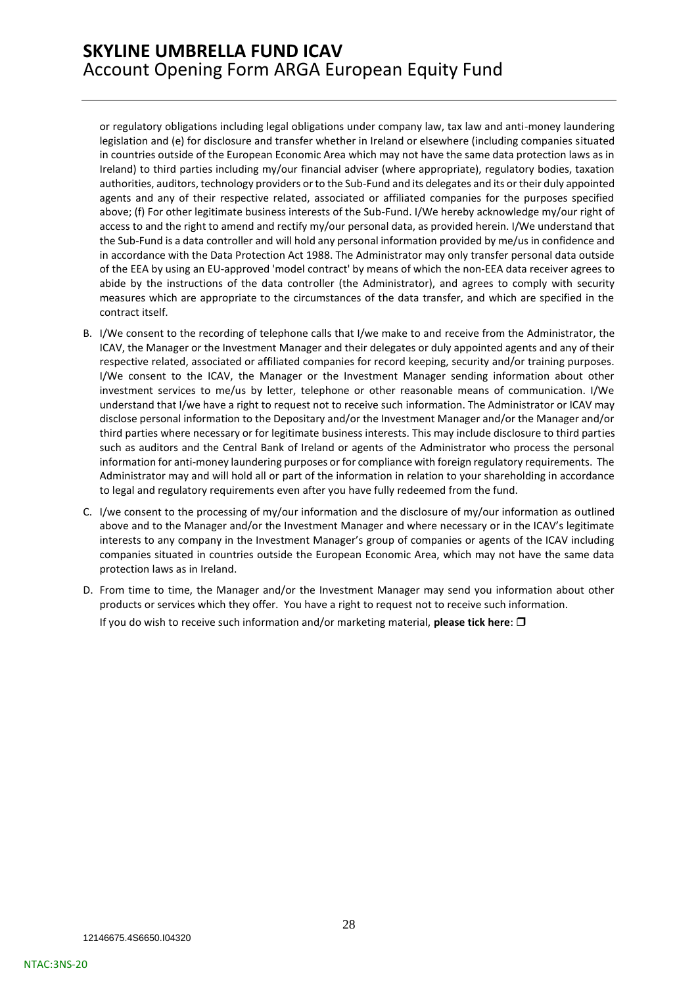or regulatory obligations including legal obligations under company law, tax law and anti-money laundering legislation and (e) for disclosure and transfer whether in Ireland or elsewhere (including companies situated in countries outside of the European Economic Area which may not have the same data protection laws as in Ireland) to third parties including my/our financial adviser (where appropriate), regulatory bodies, taxation authorities, auditors, technology providers or to the Sub-Fund and its delegates and its or their duly appointed agents and any of their respective related, associated or affiliated companies for the purposes specified above; (f) For other legitimate business interests of the Sub-Fund. I/We hereby acknowledge my/our right of access to and the right to amend and rectify my/our personal data, as provided herein. I/We understand that the Sub-Fund is a data controller and will hold any personal information provided by me/us in confidence and in accordance with the Data Protection Act 1988. The Administrator may only transfer personal data outside of the EEA by using an EU-approved 'model contract' by means of which the non-EEA data receiver agrees to abide by the instructions of the data controller (the Administrator), and agrees to comply with security measures which are appropriate to the circumstances of the data transfer, and which are specified in the contract itself.

- B. I/We consent to the recording of telephone calls that I/we make to and receive from the Administrator, the ICAV, the Manager or the Investment Manager and their delegates or duly appointed agents and any of their respective related, associated or affiliated companies for record keeping, security and/or training purposes. I/We consent to the ICAV, the Manager or the Investment Manager sending information about other investment services to me/us by letter, telephone or other reasonable means of communication. I/We understand that I/we have a right to request not to receive such information. The Administrator or ICAV may disclose personal information to the Depositary and/or the Investment Manager and/or the Manager and/or third parties where necessary or for legitimate business interests. This may include disclosure to third parties such as auditors and the Central Bank of Ireland or agents of the Administrator who process the personal information for anti-money laundering purposes or for compliance with foreign regulatory requirements. The Administrator may and will hold all or part of the information in relation to your shareholding in accordance to legal and regulatory requirements even after you have fully redeemed from the fund.
- C. I/we consent to the processing of my/our information and the disclosure of my/our information as outlined above and to the Manager and/or the Investment Manager and where necessary or in the ICAV's legitimate interests to any company in the Investment Manager's group of companies or agents of the ICAV including companies situated in countries outside the European Economic Area, which may not have the same data protection laws as in Ireland.
- D. From time to time, the Manager and/or the Investment Manager may send you information about other products or services which they offer. You have a right to request not to receive such information. If you do wish to receive such information and/or marketing material, **please tick here**: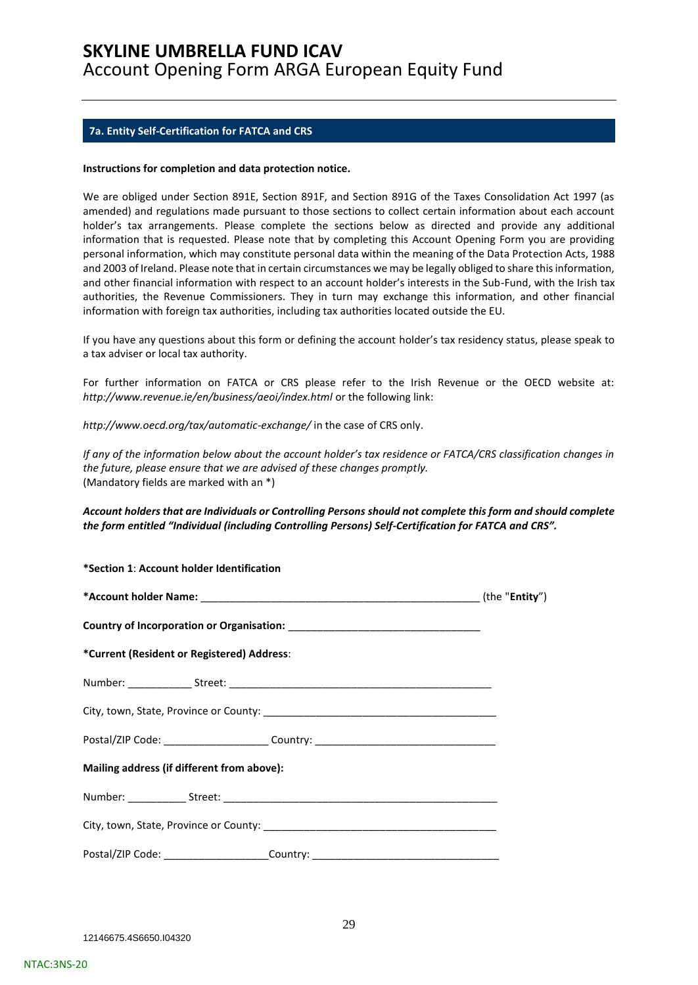### <span id="page-28-0"></span>**7a. Entity Self-Certification for FATCA and CRS**

#### **Instructions for completion and data protection notice.**

We are obliged under Section 891E, Section 891F, and Section 891G of the Taxes Consolidation Act 1997 (as amended) and regulations made pursuant to those sections to collect certain information about each account holder's tax arrangements. Please complete the sections below as directed and provide any additional information that is requested. Please note that by completing this Account Opening Form you are providing personal information, which may constitute personal data within the meaning of the Data Protection Acts, 1988 and 2003 of Ireland. Please note that in certain circumstances we may be legally obliged to share this information, and other financial information with respect to an account holder's interests in the Sub-Fund, with the Irish tax authorities, the Revenue Commissioners. They in turn may exchange this information, and other financial information with foreign tax authorities, including tax authorities located outside the EU.

If you have any questions about this form or defining the account holder's tax residency status, please speak to a tax adviser or local tax authority.

For further information on FATCA or CRS please refer to the Irish Revenue or the OECD website at: *http://www.revenue.ie/en/business/aeoi/index.html* or the following link:

*http://www.oecd.org/tax/automatic-exchange/* in the case of CRS only.

*If any of the information below about the account holder's tax residence or FATCA/CRS classification changes in the future, please ensure that we are advised of these changes promptly.*  (Mandatory fields are marked with an \*)

### *Account holders that are Individuals or Controlling Persons should not complete this form and should complete the form entitled "Individual (including Controlling Persons) Self-Certification for FATCA and CRS".*

| *Section 1: Account holder Identification  |                                                                                  |  |
|--------------------------------------------|----------------------------------------------------------------------------------|--|
|                                            |                                                                                  |  |
|                                            |                                                                                  |  |
| *Current (Resident or Registered) Address: |                                                                                  |  |
|                                            |                                                                                  |  |
|                                            |                                                                                  |  |
|                                            | Postal/ZIP Code: ________________________Country: ______________________________ |  |
| Mailing address (if different from above): |                                                                                  |  |
|                                            |                                                                                  |  |
|                                            |                                                                                  |  |
|                                            | Postal/ZIP Code: ________________________Country: ______________________________ |  |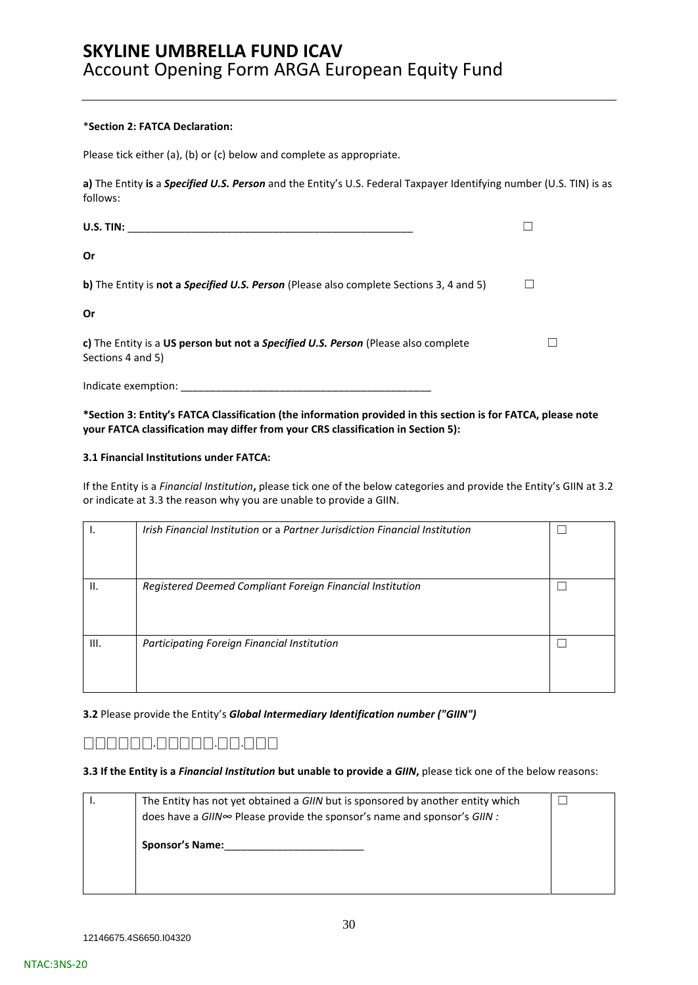#### \***Section 2: FATCA Declaration:**

Please tick either (a), (b) or (c) below and complete as appropriate.

**a)** The Entity **is** a *Specified U.S. Person* and the Entity's U.S. Federal Taxpayer Identifying number (U.S. TIN) is as follows:

| U.S. TIN:                                                                                               |  |
|---------------------------------------------------------------------------------------------------------|--|
| Or                                                                                                      |  |
| <b>b)</b> The Entity is <b>not a Specified U.S. Person</b> (Please also complete Sections 3, 4 and 5)   |  |
| Or                                                                                                      |  |
| c) The Entity is a US person but not a Specified U.S. Person (Please also complete<br>Sections 4 and 5) |  |
| Indicate exemption:                                                                                     |  |

### **\*Section 3: Entity's FATCA Classification (the information provided in this section is for FATCA, please note your FATCA classification may differ from your CRS classification in Section 5):**

#### **3.1 Financial Institutions under FATCA:**

If the Entity is a *Financial Institution***,** please tick one of the below categories and provide the Entity's GIIN at 3.2 or indicate at 3.3 the reason why you are unable to provide a GIIN.

|                 | Irish Financial Institution or a Partner Jurisdiction Financial Institution |  |
|-----------------|-----------------------------------------------------------------------------|--|
| $\mathsf{II}$ . | Registered Deemed Compliant Foreign Financial Institution                   |  |
| III.            | Participating Foreign Financial Institution                                 |  |

### **3.2** Please provide the Entity's *Global Intermediary Identification number ("GIIN")*

## ⎕⎕⎕⎕⎕⎕.⎕⎕⎕⎕⎕.⎕⎕.⎕⎕⎕

### **3.3 If the Entity is a** *Financial Institution* **but unable to provide a** *GIIN***,** please tick one of the below reasons:

| The Entity has not yet obtained a GIIN but is sponsored by another entity which |  |
|---------------------------------------------------------------------------------|--|
| does have a GIIN∞ Please provide the sponsor's name and sponsor's GIIN :        |  |
| <b>Sponsor's Name:</b>                                                          |  |
|                                                                                 |  |
|                                                                                 |  |
|                                                                                 |  |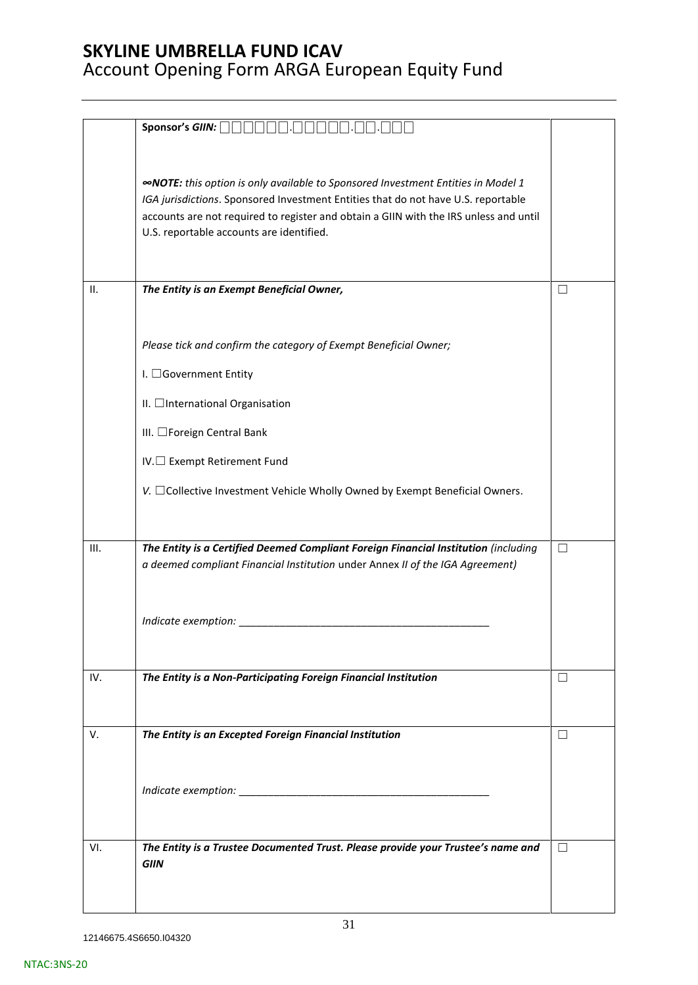|      | Sponsor's GIIN: $\Box\Box$                                                                                                                                                                                                                                                                                        |               |
|------|-------------------------------------------------------------------------------------------------------------------------------------------------------------------------------------------------------------------------------------------------------------------------------------------------------------------|---------------|
|      |                                                                                                                                                                                                                                                                                                                   |               |
|      | <b>«NOTE:</b> this option is only available to Sponsored Investment Entities in Model 1<br>IGA jurisdictions. Sponsored Investment Entities that do not have U.S. reportable<br>accounts are not required to register and obtain a GIIN with the IRS unless and until<br>U.S. reportable accounts are identified. |               |
| ΙΙ.  | The Entity is an Exempt Beneficial Owner,                                                                                                                                                                                                                                                                         | $\Box$        |
|      |                                                                                                                                                                                                                                                                                                                   |               |
|      |                                                                                                                                                                                                                                                                                                                   |               |
|      | Please tick and confirm the category of Exempt Beneficial Owner;                                                                                                                                                                                                                                                  |               |
|      | I. □Government Entity                                                                                                                                                                                                                                                                                             |               |
|      | II. □International Organisation                                                                                                                                                                                                                                                                                   |               |
|      | III. □Foreign Central Bank                                                                                                                                                                                                                                                                                        |               |
|      |                                                                                                                                                                                                                                                                                                                   |               |
|      | IV.□ Exempt Retirement Fund                                                                                                                                                                                                                                                                                       |               |
|      | V. □ Collective Investment Vehicle Wholly Owned by Exempt Beneficial Owners.                                                                                                                                                                                                                                      |               |
|      |                                                                                                                                                                                                                                                                                                                   |               |
| III. | The Entity is a Certified Deemed Compliant Foreign Financial Institution (including                                                                                                                                                                                                                               | П             |
|      | a deemed compliant Financial Institution under Annex II of the IGA Agreement)                                                                                                                                                                                                                                     |               |
|      |                                                                                                                                                                                                                                                                                                                   |               |
|      |                                                                                                                                                                                                                                                                                                                   |               |
|      |                                                                                                                                                                                                                                                                                                                   |               |
|      |                                                                                                                                                                                                                                                                                                                   |               |
| IV.  | The Entity is a Non-Participating Foreign Financial Institution                                                                                                                                                                                                                                                   | $\mathcal{L}$ |
|      |                                                                                                                                                                                                                                                                                                                   |               |
| V.   | The Entity is an Excepted Foreign Financial Institution                                                                                                                                                                                                                                                           | П             |
|      |                                                                                                                                                                                                                                                                                                                   |               |
|      |                                                                                                                                                                                                                                                                                                                   |               |
|      |                                                                                                                                                                                                                                                                                                                   |               |
|      |                                                                                                                                                                                                                                                                                                                   |               |
| VI.  | The Entity is a Trustee Documented Trust. Please provide your Trustee's name and                                                                                                                                                                                                                                  | П             |
|      | <b>GIIN</b>                                                                                                                                                                                                                                                                                                       |               |
|      |                                                                                                                                                                                                                                                                                                                   |               |
|      |                                                                                                                                                                                                                                                                                                                   |               |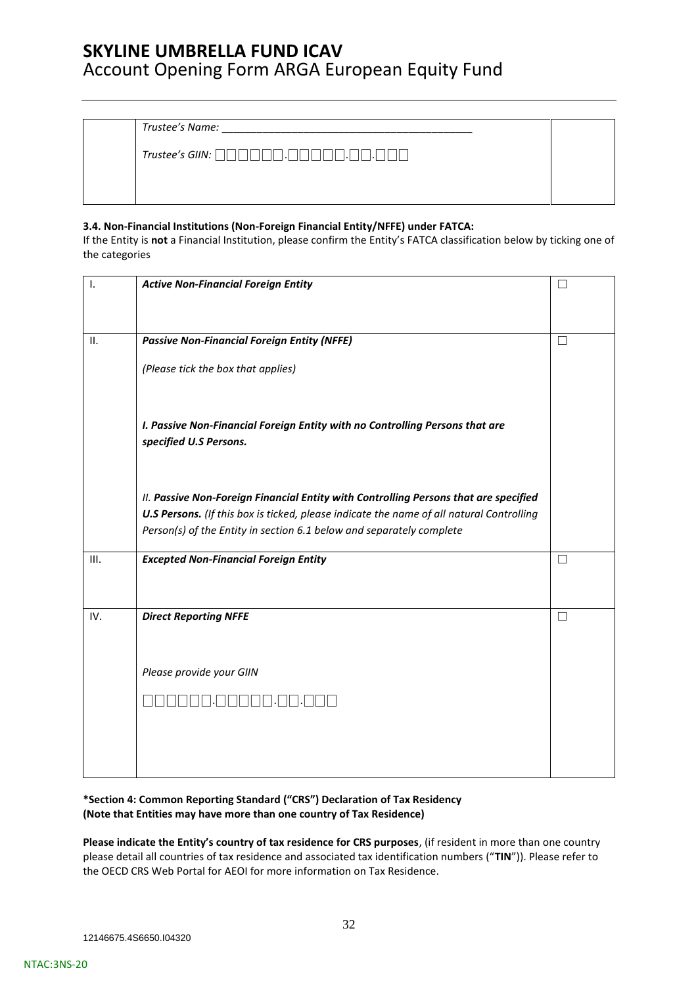*Trustee's Name:* \_\_\_\_\_\_\_\_\_\_\_\_\_\_\_\_\_\_\_\_\_\_\_\_\_\_\_\_\_\_\_\_\_\_\_\_\_\_\_\_\_\_\_

*Trustee's GIIN:* ⎕⎕⎕⎕⎕⎕.⎕⎕⎕⎕⎕.⎕⎕.⎕⎕⎕

### **3.4. Non-Financial Institutions (Non-Foreign Financial Entity/NFFE) under FATCA:**

If the Entity is **not** a Financial Institution, please confirm the Entity's FATCA classification below by ticking one of the categories

| Ι.  | <b>Active Non-Financial Foreign Entity</b>                                                                                                                       |              |
|-----|------------------------------------------------------------------------------------------------------------------------------------------------------------------|--------------|
|     |                                                                                                                                                                  |              |
| ΙΙ. | <b>Passive Non-Financial Foreign Entity (NFFE)</b>                                                                                                               | H            |
|     | (Please tick the box that applies)                                                                                                                               |              |
|     |                                                                                                                                                                  |              |
|     |                                                                                                                                                                  |              |
|     | I. Passive Non-Financial Foreign Entity with no Controlling Persons that are                                                                                     |              |
|     | specified U.S Persons.                                                                                                                                           |              |
|     |                                                                                                                                                                  |              |
|     | II. Passive Non-Foreign Financial Entity with Controlling Persons that are specified                                                                             |              |
|     | U.S Persons. (If this box is ticked, please indicate the name of all natural Controlling<br>Person(s) of the Entity in section 6.1 below and separately complete |              |
|     |                                                                                                                                                                  |              |
| Ш.  | <b>Excepted Non-Financial Foreign Entity</b>                                                                                                                     | П            |
|     |                                                                                                                                                                  |              |
| IV. | <b>Direct Reporting NFFE</b>                                                                                                                                     | $\mathsf{L}$ |
|     |                                                                                                                                                                  |              |
|     | Please provide your GIIN                                                                                                                                         |              |
|     |                                                                                                                                                                  |              |
|     |                                                                                                                                                                  |              |
|     |                                                                                                                                                                  |              |
|     |                                                                                                                                                                  |              |

### **\*Section 4: Common Reporting Standard ("CRS") Declaration of Tax Residency (Note that Entities may have more than one country of Tax Residence)**

**Please indicate the Entity's country of tax residence for CRS purposes**, (if resident in more than one country please detail all countries of tax residence and associated tax identification numbers ("**TIN**")). Please refer to the OECD CRS Web Portal for AEOI for more information on Tax Residence.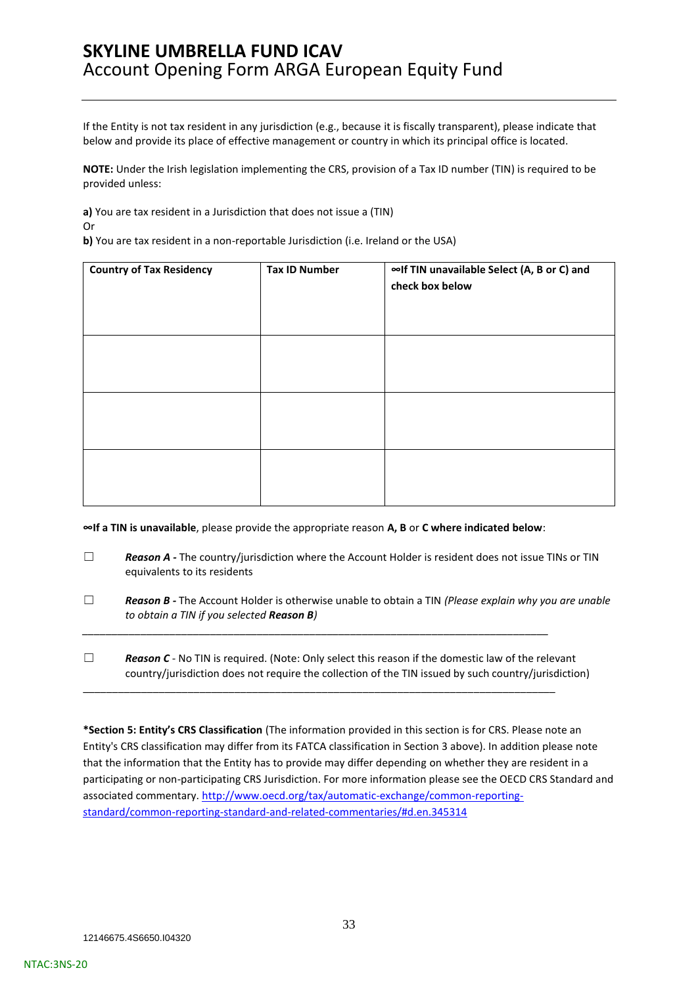If the Entity is not tax resident in any jurisdiction (e.g., because it is fiscally transparent), please indicate that below and provide its place of effective management or country in which its principal office is located.

**NOTE:** Under the Irish legislation implementing the CRS, provision of a Tax ID number (TIN) is required to be provided unless:

**a)** You are tax resident in a Jurisdiction that does not issue a (TIN)

Or

**b)** You are tax resident in a non-reportable Jurisdiction (i.e. Ireland or the USA)

| <b>Country of Tax Residency</b> | <b>Tax ID Number</b> | ∞If TIN unavailable Select (A, B or C) and<br>check box below |
|---------------------------------|----------------------|---------------------------------------------------------------|
|                                 |                      |                                                               |
|                                 |                      |                                                               |
|                                 |                      |                                                               |

**∞If a TIN is unavailable**, please provide the appropriate reason **A, B** or **C where indicated below**:

*\_\_\_\_\_\_\_\_\_\_\_\_\_\_\_\_\_\_\_\_\_\_\_\_\_\_\_\_\_\_\_\_\_\_\_\_\_\_\_\_\_\_\_\_\_\_\_\_\_\_\_\_\_\_\_\_\_\_\_\_\_\_\_\_\_\_\_\_\_\_\_\_\_\_\_\_\_\_\_\_*

\_\_\_\_\_\_\_\_\_\_\_\_\_\_\_\_\_\_\_\_\_\_\_\_\_\_\_\_\_\_\_\_\_\_\_\_\_\_\_\_\_\_\_\_\_\_\_\_\_\_\_\_\_\_\_\_\_\_\_\_\_\_\_\_\_\_\_\_\_\_\_\_\_\_\_\_\_\_\_\_\_

- □ **Reason A** The country/jurisdiction where the Account Holder is resident does not issue TINs or TIN equivalents to its residents
- ☐ *Reason B -* The Account Holder is otherwise unable to obtain a TIN *(Please explain why you are unable to obtain a TIN if you selected Reason B)*
- □ **Reason C** <sup>*-*</sup> No TIN is required. (Note: Only select this reason if the domestic law of the relevant country/jurisdiction does not require the collection of the TIN issued by such country/jurisdiction)

**\*Section 5: Entity's CRS Classification** (The information provided in this section is for CRS. Please note an Entity's CRS classification may differ from its FATCA classification in Section 3 above). In addition please note that the information that the Entity has to provide may differ depending on whether they are resident in a participating or non-participating CRS Jurisdiction. For more information please see the OECD CRS Standard and associated commentary[. http://www.oecd.org/tax/automatic-exchange/common-reporting](http://www.oecd.org/tax/automatic-exchange/common-reporting-standard/common-reporting-standard-and-related-commentaries/#d.en.345314)[standard/common-reporting-standard-and-related-commentaries/#d.en.345314](http://www.oecd.org/tax/automatic-exchange/common-reporting-standard/common-reporting-standard-and-related-commentaries/#d.en.345314)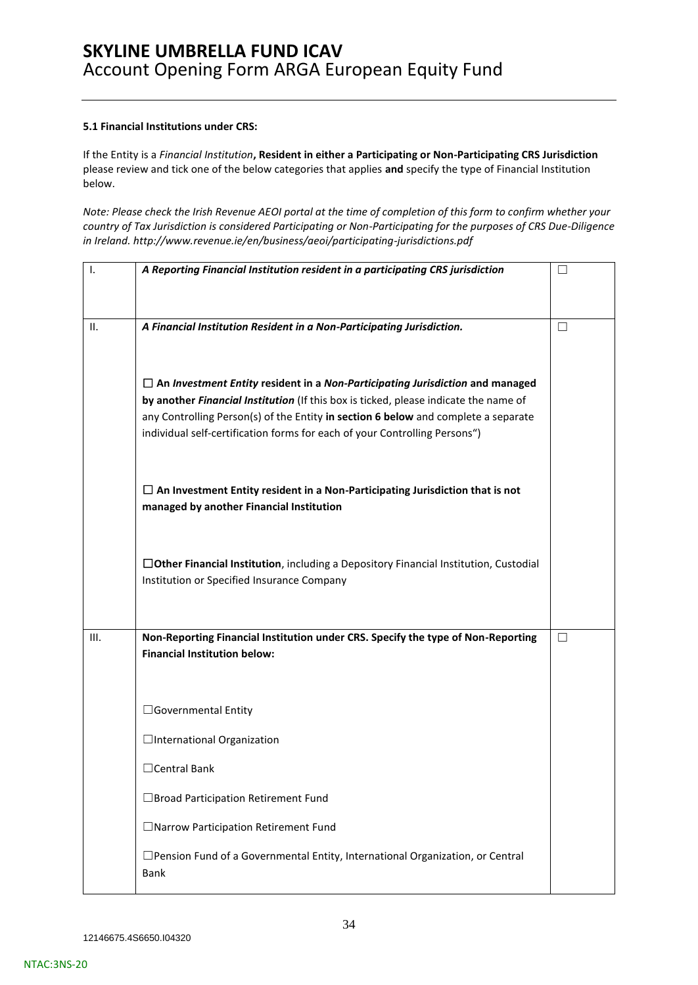### **5.1 Financial Institutions under CRS:**

If the Entity is a *Financial Institution***, Resident in either a Participating or Non-Participating CRS Jurisdiction**  please review and tick one of the below categories that applies **and** specify the type of Financial Institution below.

*Note: Please check the Irish Revenue AEOI portal at the time of completion of this form to confirm whether your country of Tax Jurisdiction is considered Participating or Non-Participating for the purposes of CRS Due-Diligence in Ireland.<http://www.revenue.ie/en/business/aeoi/participating-jurisdictions.pdf>*

| I.   | A Reporting Financial Institution resident in a participating CRS jurisdiction                  | $\Box$  |
|------|-------------------------------------------------------------------------------------------------|---------|
|      |                                                                                                 |         |
| Ш.   | A Financial Institution Resident in a Non-Participating Jurisdiction.                           | $\perp$ |
|      |                                                                                                 |         |
|      | $\Box$ An Investment Entity resident in a Non-Participating Jurisdiction and managed            |         |
|      | by another Financial Institution (If this box is ticked, please indicate the name of            |         |
|      | any Controlling Person(s) of the Entity in section 6 below and complete a separate              |         |
|      | individual self-certification forms for each of your Controlling Persons")                      |         |
|      |                                                                                                 |         |
|      | $\Box$ An Investment Entity resident in a Non-Participating Jurisdiction that is not            |         |
|      | managed by another Financial Institution                                                        |         |
|      |                                                                                                 |         |
|      | $\Box$ Other Financial Institution, including a Depository Financial Institution, Custodial     |         |
|      | Institution or Specified Insurance Company                                                      |         |
|      |                                                                                                 |         |
| III. | Non-Reporting Financial Institution under CRS. Specify the type of Non-Reporting                | П       |
|      | <b>Financial Institution below:</b>                                                             |         |
|      |                                                                                                 |         |
|      | □Governmental Entity                                                                            |         |
|      | □International Organization                                                                     |         |
|      | $\Box$ Central Bank                                                                             |         |
|      | □Broad Participation Retirement Fund                                                            |         |
|      |                                                                                                 |         |
|      | □Narrow Participation Retirement Fund                                                           |         |
|      | $\square$ Pension Fund of a Governmental Entity, International Organization, or Central<br>Bank |         |
|      |                                                                                                 |         |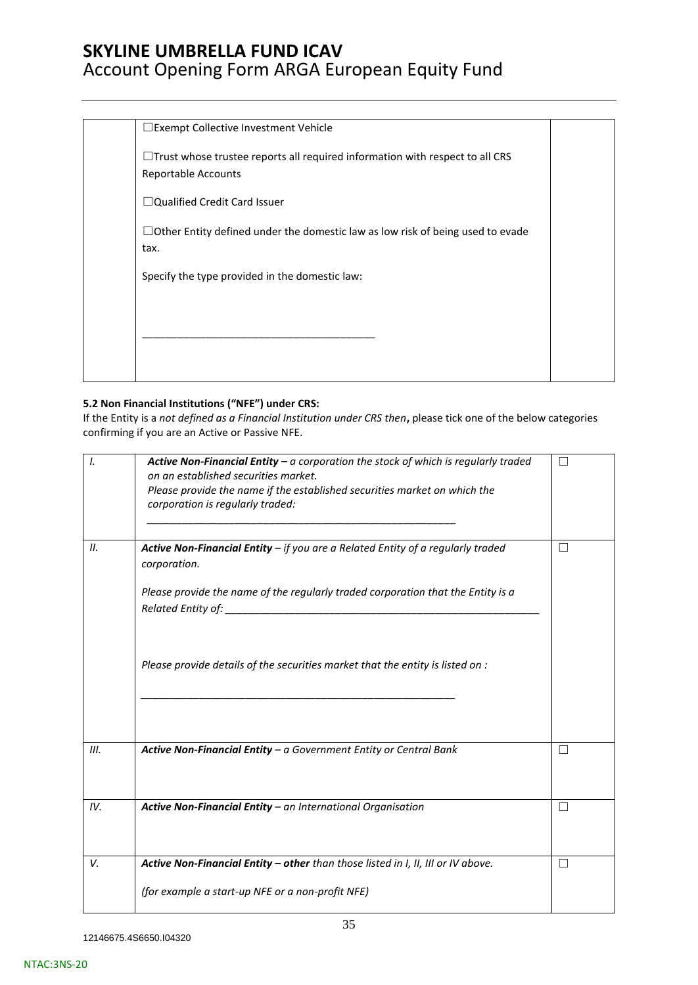| □ Exempt Collective Investment Vehicle                                                                     |  |
|------------------------------------------------------------------------------------------------------------|--|
| $\Box$ Trust whose trustee reports all required information with respect to all CRS<br>Reportable Accounts |  |
| $\Box$ Qualified Credit Card Issuer                                                                        |  |
| $\Box$ Other Entity defined under the domestic law as low risk of being used to evade<br>tax.              |  |
| Specify the type provided in the domestic law:                                                             |  |
|                                                                                                            |  |
|                                                                                                            |  |
|                                                                                                            |  |

### **5.2 Non Financial Institutions ("NFE") under CRS:**

If the Entity is a *not defined as a Financial Institution under CRS then***,** please tick one of the below categories confirming if you are an Active or Passive NFE.

| Ι.   | <b>Active Non-Financial Entity - a corporation the stock of which is regularly traded</b><br>on an established securities market.<br>Please provide the name if the established securities market on which the<br>corporation is regularly traded: | - 1    |
|------|----------------------------------------------------------------------------------------------------------------------------------------------------------------------------------------------------------------------------------------------------|--------|
| II.  | Active Non-Financial Entity $-$ if you are a Related Entity of a regularly traded<br>corporation.                                                                                                                                                  | П      |
|      | Please provide the name of the regularly traded corporation that the Entity is a                                                                                                                                                                   |        |
|      | Please provide details of the securities market that the entity is listed on :                                                                                                                                                                     |        |
| III. | Active Non-Financial Entity - a Government Entity or Central Bank                                                                                                                                                                                  | П      |
| IV.  | Active Non-Financial Entity - an International Organisation                                                                                                                                                                                        | $\Box$ |
| V.   | Active Non-Financial Entity - other than those listed in I, II, III or IV above.                                                                                                                                                                   | П      |
|      | (for example a start-up NFE or a non-profit NFE)                                                                                                                                                                                                   |        |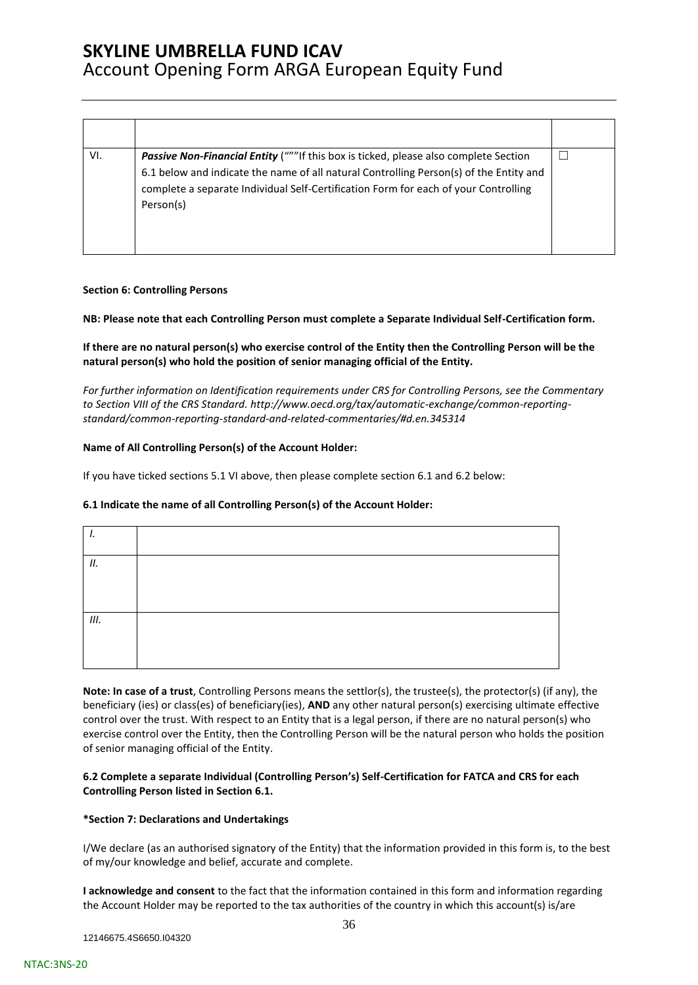| VI. | <b>Passive Non-Financial Entity</b> ("""If this box is ticked, please also complete Section |  |
|-----|---------------------------------------------------------------------------------------------|--|
|     | 6.1 below and indicate the name of all natural Controlling Person(s) of the Entity and      |  |
|     | complete a separate Individual Self-Certification Form for each of your Controlling         |  |
|     | Person(s)                                                                                   |  |
|     |                                                                                             |  |
|     |                                                                                             |  |

### **Section 6: Controlling Persons**

**NB: Please note that each Controlling Person must complete a Separate Individual Self-Certification form.** 

**If there are no natural person(s) who exercise control of the Entity then the Controlling Person will be the natural person(s) who hold the position of senior managing official of the Entity.** 

*For further information on Identification requirements under CRS for Controlling Persons, see the Commentary to Section VIII of the CRS Standard. [http://www.oecd.org/tax/automatic-exchange/common-reporting](http://www.oecd.org/tax/automatic-exchange/common-reporting-standard/common-reporting-standard-and-related-commentaries/#d.en.345314)[standard/common-reporting-standard-and-related-commentaries/#d.en.345314](http://www.oecd.org/tax/automatic-exchange/common-reporting-standard/common-reporting-standard-and-related-commentaries/#d.en.345314)*

### **Name of All Controlling Person(s) of the Account Holder:**

If you have ticked sections 5.1 VI above, then please complete section 6.1 and 6.2 below:

### **6.1 Indicate the name of all Controlling Person(s) of the Account Holder:**

| ,,  |  |
|-----|--|
| 11. |  |
|     |  |
| Ш.  |  |
|     |  |

**Note: In case of a trust**, Controlling Persons means the settlor(s), the trustee(s), the protector(s) (if any), the beneficiary (ies) or class(es) of beneficiary(ies), **AND** any other natural person(s) exercising ultimate effective control over the trust. With respect to an Entity that is a legal person, if there are no natural person(s) who exercise control over the Entity, then the Controlling Person will be the natural person who holds the position of senior managing official of the Entity.

### **6.2 Complete a separate Individual (Controlling Person's) Self-Certification for FATCA and CRS for each Controlling Person listed in Section 6.1.**

### **\*Section 7: Declarations and Undertakings**

I/We declare (as an authorised signatory of the Entity) that the information provided in this form is, to the best of my/our knowledge and belief, accurate and complete.

**I acknowledge and consent** to the fact that the information contained in this form and information regarding the Account Holder may be reported to the tax authorities of the country in which this account(s) is/are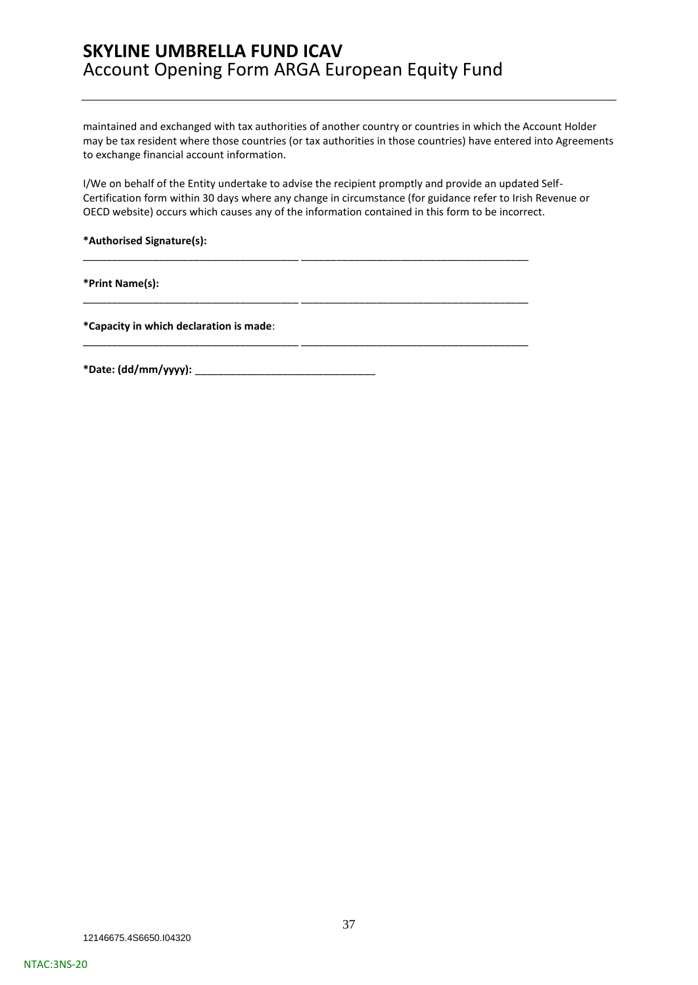maintained and exchanged with tax authorities of another country or countries in which the Account Holder may be tax resident where those countries (or tax authorities in those countries) have entered into Agreements to exchange financial account information.

I/We on behalf of the Entity undertake to advise the recipient promptly and provide an updated Self-Certification form within 30 days where any change in circumstance (for guidance refer to Irish Revenue or OECD website) occurs which causes any of the information contained in this form to be incorrect.

\_\_\_\_\_\_\_\_\_\_\_\_\_\_\_\_\_\_\_\_\_\_\_\_\_\_\_\_\_\_\_\_\_\_\_\_\_ \_\_\_\_\_\_\_\_\_\_\_\_\_\_\_\_\_\_\_\_\_\_\_\_\_\_\_\_\_\_\_\_\_\_\_\_\_\_\_

\_\_\_\_\_\_\_\_\_\_\_\_\_\_\_\_\_\_\_\_\_\_\_\_\_\_\_\_\_\_\_\_\_\_\_\_\_ \_\_\_\_\_\_\_\_\_\_\_\_\_\_\_\_\_\_\_\_\_\_\_\_\_\_\_\_\_\_\_\_\_\_\_\_\_\_\_

\_\_\_\_\_\_\_\_\_\_\_\_\_\_\_\_\_\_\_\_\_\_\_\_\_\_\_\_\_\_\_\_\_\_\_\_\_ \_\_\_\_\_\_\_\_\_\_\_\_\_\_\_\_\_\_\_\_\_\_\_\_\_\_\_\_\_\_\_\_\_\_\_\_\_\_\_

**\*Authorised Signature(s):** 

**\*Print Name(s):** 

**\*Capacity in which declaration is made**:

**\*Date: (dd/mm/yyyy):** \_\_\_\_\_\_\_\_\_\_\_\_\_\_\_\_\_\_\_\_\_\_\_\_\_\_\_\_\_\_\_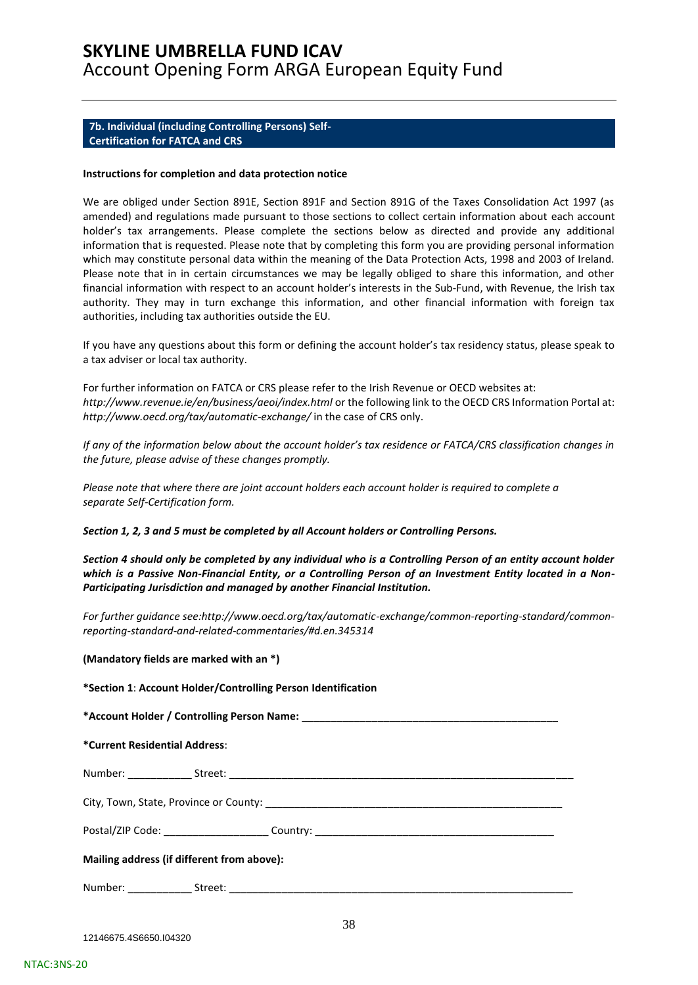### <span id="page-37-0"></span>**7b. Individual (including Controlling Persons) Self-Certification for FATCA and CRS**

#### **Instructions for completion and data protection notice**

We are obliged under Section 891E, Section 891F and Section 891G of the Taxes Consolidation Act 1997 (as amended) and regulations made pursuant to those sections to collect certain information about each account holder's tax arrangements. Please complete the sections below as directed and provide any additional information that is requested. Please note that by completing this form you are providing personal information which may constitute personal data within the meaning of the Data Protection Acts, 1998 and 2003 of Ireland. Please note that in in certain circumstances we may be legally obliged to share this information, and other financial information with respect to an account holder's interests in the Sub-Fund, with Revenue, the Irish tax authority. They may in turn exchange this information, and other financial information with foreign tax authorities, including tax authorities outside the EU.

If you have any questions about this form or defining the account holder's tax residency status, please speak to a tax adviser or local tax authority.

For further information on FATCA or CRS please refer to the Irish Revenue or OECD websites at: *http://www.revenue.ie/en/business/aeoi/index.html* or the following link to the OECD CRS Information Portal at: *http://www.oecd.org/tax/automatic-exchange/* in the case of CRS only.

*If any of the information below about the account holder's tax residence or FATCA/CRS classification changes in the future, please advise of these changes promptly.*

*Please note that where there are joint account holders each account holder is required to complete a separate Self-Certification form.* 

### *Section 1, 2, 3 and 5 must be completed by all Account holders or Controlling Persons.*

*Section 4 should only be completed by any individual who is a Controlling Person of an entity account holder which is a Passive Non-Financial Entity, or a Controlling Person of an Investment Entity located in a Non-Participating Jurisdiction and managed by another Financial Institution.* 

*For further guidance see:http://www.oecd.org/tax/automatic-exchange/common-reporting-standard/commonreporting-standard-and-related-commentaries/#d.en.345314* 

### **(Mandatory fields are marked with an \*)**

| *Section 1: Account Holder/Controlling Person Identification |                                                                                  |  |  |  |  |
|--------------------------------------------------------------|----------------------------------------------------------------------------------|--|--|--|--|
|                                                              |                                                                                  |  |  |  |  |
| *Current Residential Address:                                |                                                                                  |  |  |  |  |
|                                                              |                                                                                  |  |  |  |  |
|                                                              |                                                                                  |  |  |  |  |
|                                                              | Postal/ZIP Code: ________________________Country: ______________________________ |  |  |  |  |
| Mailing address (if different from above):                   |                                                                                  |  |  |  |  |
|                                                              |                                                                                  |  |  |  |  |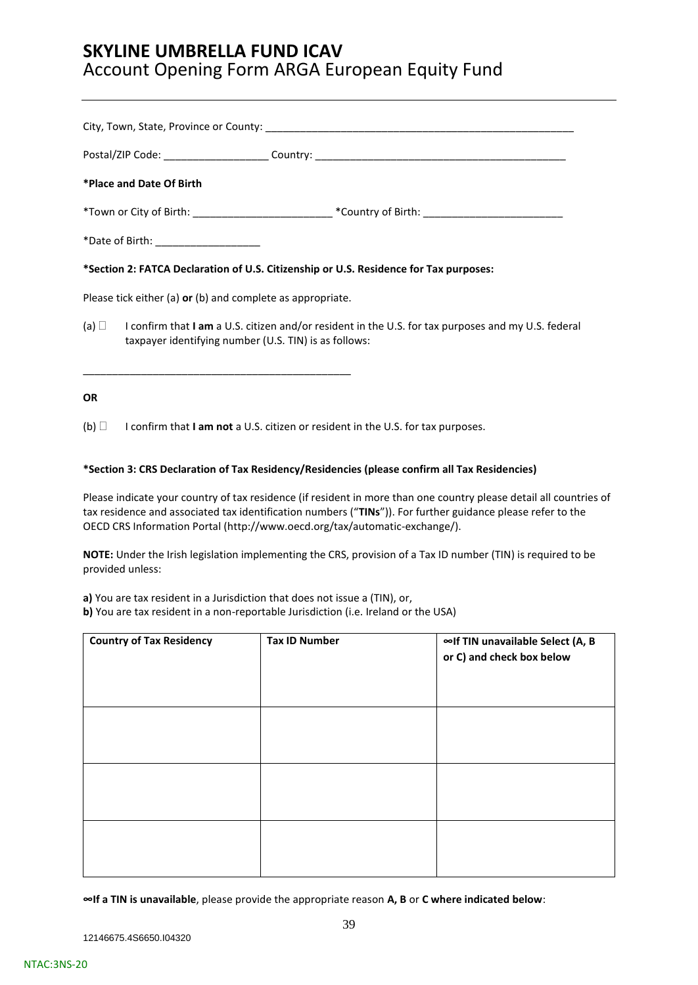|           | *Place and Date Of Birth                                   |                                                                                                                |
|-----------|------------------------------------------------------------|----------------------------------------------------------------------------------------------------------------|
|           |                                                            |                                                                                                                |
|           | *Date of Birth: ___________________                        |                                                                                                                |
|           |                                                            | *Section 2: FATCA Declaration of U.S. Citizenship or U.S. Residence for Tax purposes:                          |
|           | Please tick either (a) or (b) and complete as appropriate. |                                                                                                                |
|           | taxpayer identifying number (U.S. TIN) is as follows:      | (a) $\Box$ I confirm that I am a U.S. citizen and/or resident in the U.S. for tax purposes and my U.S. federal |
| <b>OR</b> |                                                            |                                                                                                                |

(b) I confirm that **I am not** a U.S. citizen or resident in the U.S. for tax purposes.

### **\*Section 3: CRS Declaration of Tax Residency/Residencies (please confirm all Tax Residencies)**

Please indicate your country of tax residence (if resident in more than one country please detail all countries of tax residence and associated tax identification numbers ("**TINs**")). For further guidance please refer to the OECD CRS Information Portal [\(http://www.oecd.org/tax/automatic-exchange/\)](http://www.oecd.org/tax/automatic-exchange/).

**NOTE:** Under the Irish legislation implementing the CRS, provision of a Tax ID number (TIN) is required to be provided unless:

**a)** You are tax resident in a Jurisdiction that does not issue a (TIN), or,

**b)** You are tax resident in a non-reportable Jurisdiction (i.e. Ireland or the USA)

| <b>Country of Tax Residency</b> | <b>Tax ID Number</b> | ∞If TIN unavailable Select (A, B<br>or C) and check box below |
|---------------------------------|----------------------|---------------------------------------------------------------|
|                                 |                      |                                                               |
|                                 |                      |                                                               |
|                                 |                      |                                                               |

**∞If a TIN is unavailable**, please provide the appropriate reason **A, B** or **C where indicated below**: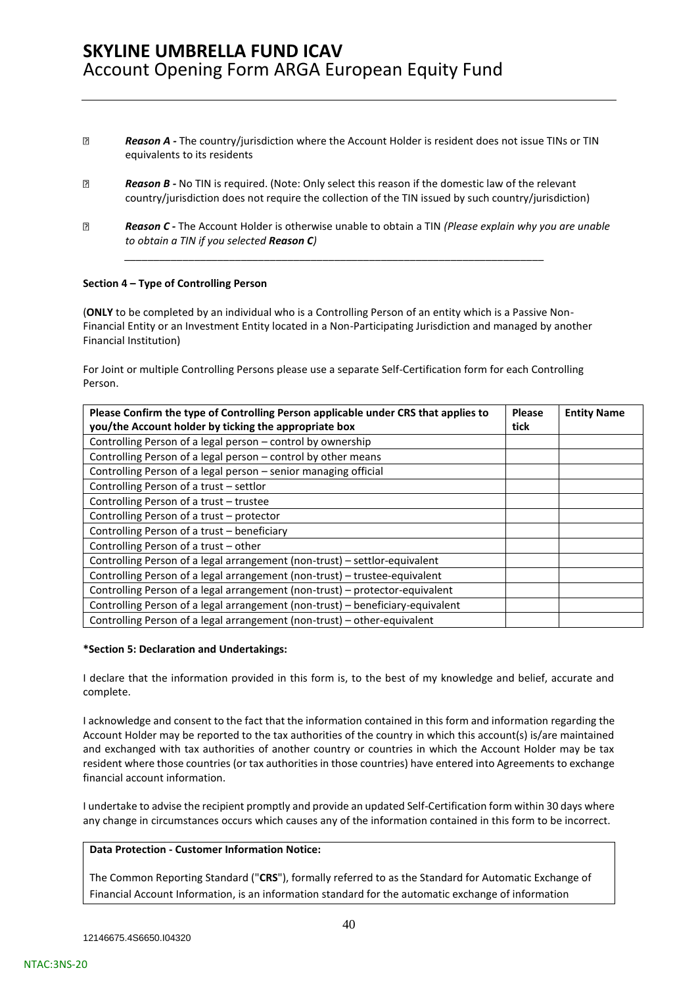- **Reason A** The country/jurisdiction where the Account Holder is resident does not issue TINs or TIN equivalents to its residents
- *Reason B -* No TIN is required. (Note: Only select this reason if the domestic law of the relevant country/jurisdiction does not require the collection of the TIN issued by such country/jurisdiction)

*\_\_\_\_\_\_\_\_\_\_\_\_\_\_\_\_\_\_\_\_\_\_\_\_\_\_\_\_\_\_\_\_\_\_\_\_\_\_\_\_\_\_\_\_\_\_\_\_\_\_\_\_\_\_\_\_\_\_\_\_\_\_\_\_\_\_\_\_\_\_\_\_*

 *Reason C -* The Account Holder is otherwise unable to obtain a TIN *(Please explain why you are unable to obtain a TIN if you selected Reason C)* 

### **Section 4 – Type of Controlling Person**

(**ONLY** to be completed by an individual who is a Controlling Person of an entity which is a Passive Non-Financial Entity or an Investment Entity located in a Non-Participating Jurisdiction and managed by another Financial Institution)

For Joint or multiple Controlling Persons please use a separate Self-Certification form for each Controlling Person.

| Please Confirm the type of Controlling Person applicable under CRS that applies to | <b>Please</b> | <b>Entity Name</b> |
|------------------------------------------------------------------------------------|---------------|--------------------|
| you/the Account holder by ticking the appropriate box                              |               |                    |
| Controlling Person of a legal person - control by ownership                        |               |                    |
| Controlling Person of a legal person - control by other means                      |               |                    |
| Controlling Person of a legal person - senior managing official                    |               |                    |
| Controlling Person of a trust - settlor                                            |               |                    |
| Controlling Person of a trust - trustee                                            |               |                    |
| Controlling Person of a trust - protector                                          |               |                    |
| Controlling Person of a trust - beneficiary                                        |               |                    |
| Controlling Person of a trust – other                                              |               |                    |
| Controlling Person of a legal arrangement (non-trust) - settlor-equivalent         |               |                    |
| Controlling Person of a legal arrangement (non-trust) - trustee-equivalent         |               |                    |
| Controlling Person of a legal arrangement (non-trust) - protector-equivalent       |               |                    |
| Controlling Person of a legal arrangement (non-trust) - beneficiary-equivalent     |               |                    |
| Controlling Person of a legal arrangement (non-trust) - other-equivalent           |               |                    |

#### **\*Section 5: Declaration and Undertakings:**

I declare that the information provided in this form is, to the best of my knowledge and belief, accurate and complete.

I acknowledge and consent to the fact that the information contained in this form and information regarding the Account Holder may be reported to the tax authorities of the country in which this account(s) is/are maintained and exchanged with tax authorities of another country or countries in which the Account Holder may be tax resident where those countries (or tax authorities in those countries) have entered into Agreements to exchange financial account information.

I undertake to advise the recipient promptly and provide an updated Self-Certification form within 30 days where any change in circumstances occurs which causes any of the information contained in this form to be incorrect.

### **Data Protection - Customer Information Notice:**

The Common Reporting Standard ("**CRS**"), formally referred to as the Standard for Automatic Exchange of Financial Account Information, is an information standard for the automatic exchange of information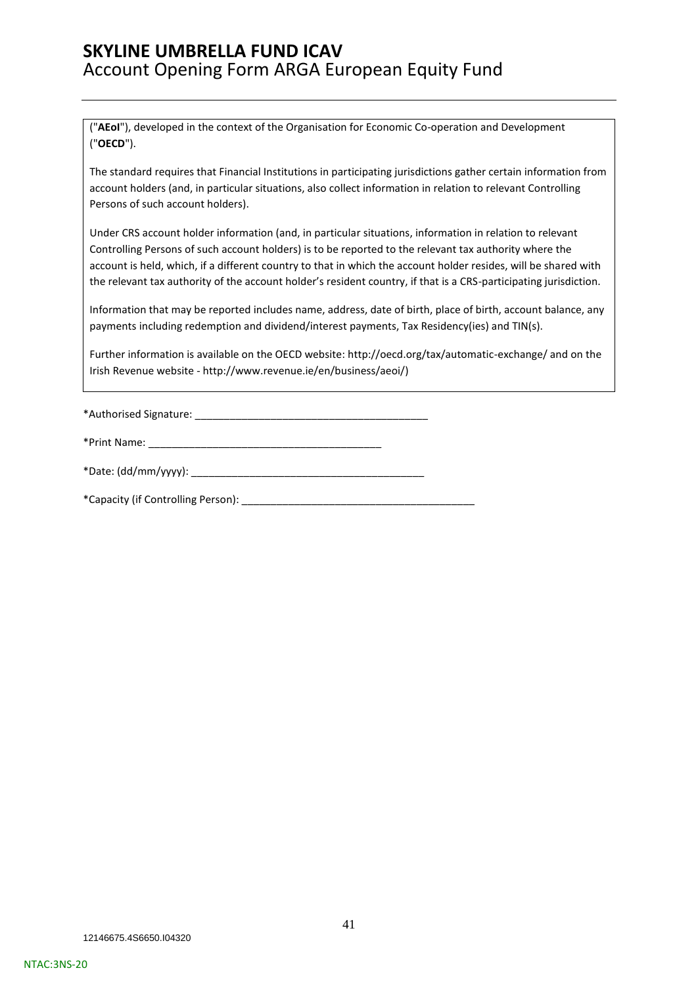("**AEoI**"), developed in the context of the Organisation for Economic Co-operation and Development ("**OECD**").

The standard requires that Financial Institutions in participating jurisdictions gather certain information from account holders (and, in particular situations, also collect information in relation to relevant Controlling Persons of such account holders).

Under CRS account holder information (and, in particular situations, information in relation to relevant Controlling Persons of such account holders) is to be reported to the relevant tax authority where the account is held, which, if a different country to that in which the account holder resides, will be shared with the relevant tax authority of the account holder's resident country, if that is a CRS-participating jurisdiction.

Information that may be reported includes name, address, date of birth, place of birth, account balance, any payments including redemption and dividend/interest payments, Tax Residency(ies) and TIN(s).

Further information is available on the OECD website: http://oecd.org/tax/automatic-exchange/ and on the Irish Revenue website - [http://www.revenue.ie/en/business/aeoi/\)](http://www.revenue.ie/en/business/aeoi/)

\*Authorised Signature: \_\_\_\_\_\_\_\_\_\_\_\_\_\_\_\_\_\_\_\_\_\_\_\_\_\_\_\_\_\_\_\_\_\_\_\_\_\_\_\_

| *Print Name: |  |
|--------------|--|
|--------------|--|

| *Date: (dd/mm/yyyy): |
|----------------------|
|----------------------|

\*Capacity (if Controlling Person): \_\_\_\_\_\_\_\_\_\_\_\_\_\_\_\_\_\_\_\_\_\_\_\_\_\_\_\_\_\_\_\_\_\_\_\_\_\_\_\_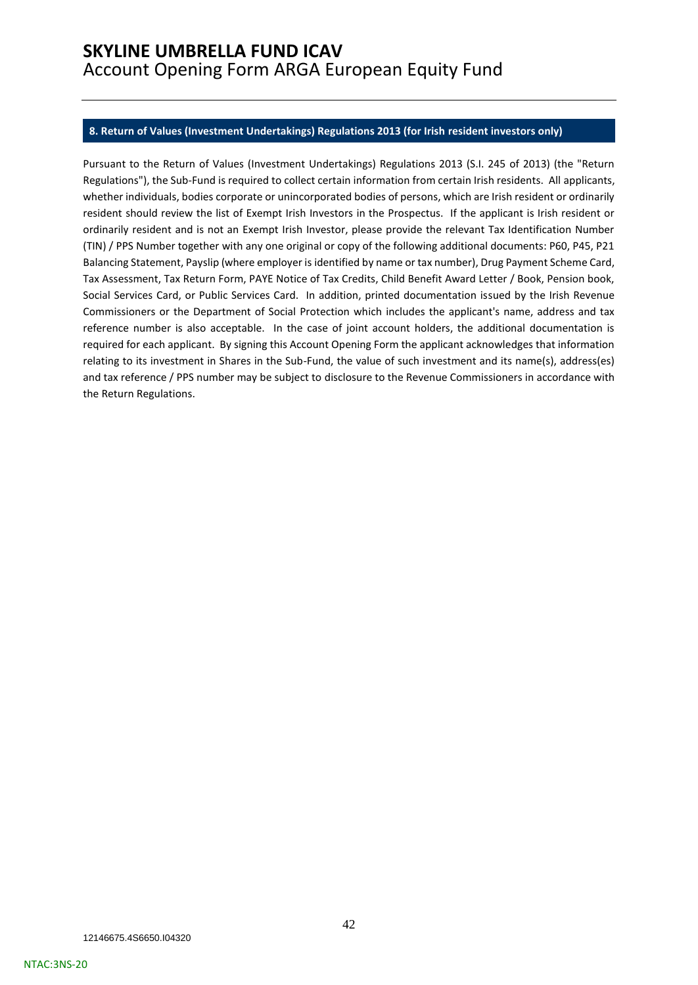### <span id="page-41-0"></span>**8. Return of Values (Investment Undertakings) Regulations 2013 (for Irish resident investors only)**

Pursuant to the Return of Values (Investment Undertakings) Regulations 2013 (S.I. 245 of 2013) (the "Return Regulations"), the Sub-Fund is required to collect certain information from certain Irish residents. All applicants, whether individuals, bodies corporate or unincorporated bodies of persons, which are Irish resident or ordinarily resident should review the list of Exempt Irish Investors in the Prospectus. If the applicant is Irish resident or ordinarily resident and is not an Exempt Irish Investor, please provide the relevant Tax Identification Number (TIN) / PPS Number together with any one original or copy of the following additional documents: P60, P45, P21 Balancing Statement, Payslip (where employer is identified by name or tax number), Drug Payment Scheme Card, Tax Assessment, Tax Return Form, PAYE Notice of Tax Credits, Child Benefit Award Letter / Book, Pension book, Social Services Card, or Public Services Card. In addition, printed documentation issued by the Irish Revenue Commissioners or the Department of Social Protection which includes the applicant's name, address and tax reference number is also acceptable. In the case of joint account holders, the additional documentation is required for each applicant. By signing this Account Opening Form the applicant acknowledges that information relating to its investment in Shares in the Sub-Fund, the value of such investment and its name(s), address(es) and tax reference / PPS number may be subject to disclosure to the Revenue Commissioners in accordance with the Return Regulations.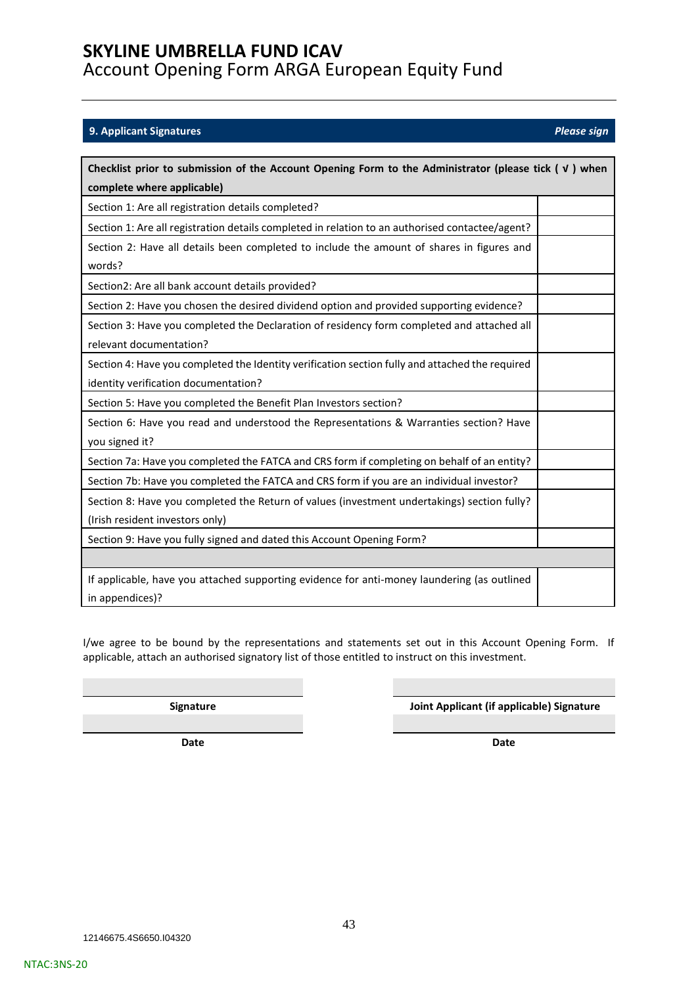### <span id="page-42-0"></span>**9. Applicant Signatures** *Please sign*

| Checklist prior to submission of the Account Opening Form to the Administrator (please tick $(\nu)$ when |  |  |
|----------------------------------------------------------------------------------------------------------|--|--|
| complete where applicable)                                                                               |  |  |
| Section 1: Are all registration details completed?                                                       |  |  |
| Section 1: Are all registration details completed in relation to an authorised contactee/agent?          |  |  |
| Section 2: Have all details been completed to include the amount of shares in figures and                |  |  |
| words?                                                                                                   |  |  |
| Section2: Are all bank account details provided?                                                         |  |  |
| Section 2: Have you chosen the desired dividend option and provided supporting evidence?                 |  |  |
| Section 3: Have you completed the Declaration of residency form completed and attached all               |  |  |
| relevant documentation?                                                                                  |  |  |
| Section 4: Have you completed the Identity verification section fully and attached the required          |  |  |
| identity verification documentation?                                                                     |  |  |
| Section 5: Have you completed the Benefit Plan Investors section?                                        |  |  |
| Section 6: Have you read and understood the Representations & Warranties section? Have                   |  |  |
| you signed it?                                                                                           |  |  |
| Section 7a: Have you completed the FATCA and CRS form if completing on behalf of an entity?              |  |  |
| Section 7b: Have you completed the FATCA and CRS form if you are an individual investor?                 |  |  |
| Section 8: Have you completed the Return of values (investment undertakings) section fully?              |  |  |
| (Irish resident investors only)                                                                          |  |  |
| Section 9: Have you fully signed and dated this Account Opening Form?                                    |  |  |
|                                                                                                          |  |  |
| If applicable, have you attached supporting evidence for anti-money laundering (as outlined              |  |  |
| in appendices)?                                                                                          |  |  |

I/we agree to be bound by the representations and statements set out in this Account Opening Form. If applicable, attach an authorised signatory list of those entitled to instruct on this investment.

**Signature Joint Applicant (if applicable) Signature**

**Date Date**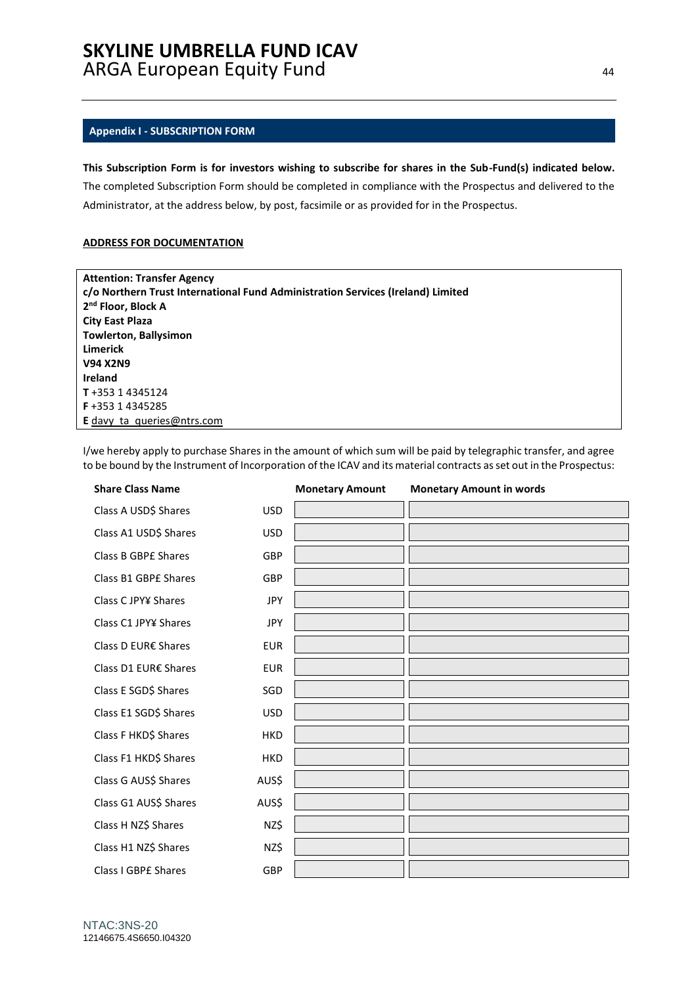#### <span id="page-43-0"></span>**Appendix I - SUBSCRIPTION FORM**

### **This Subscription Form is for investors wishing to subscribe for shares in the Sub-Fund(s) indicated below.**

The completed Subscription Form should be completed in compliance with the Prospectus and delivered to the Administrator, at the address below, by post, facsimile or as provided for in the Prospectus.

#### **ADDRESS FOR DOCUMENTATION**

| <b>Attention: Transfer Agency</b>                                               |
|---------------------------------------------------------------------------------|
| c/o Northern Trust International Fund Administration Services (Ireland) Limited |
| 2 <sup>nd</sup> Floor, Block A                                                  |
| <b>City East Plaza</b>                                                          |
| <b>Towlerton, Ballysimon</b>                                                    |
| Limerick                                                                        |
| <b>V94 X2N9</b>                                                                 |
| <b>Ireland</b>                                                                  |
| T+353 14345124                                                                  |
| <b>F</b> +353 1 4345285                                                         |
| <b>E</b> davy ta queries @ ntrs.com                                             |

I/we hereby apply to purchase Shares in the amount of which sum will be paid by telegraphic transfer, and agree to be bound by the Instrument of Incorporation of the ICAV and its material contracts as set out in the Prospectus:

| <b>Share Class Name</b>    |            | <b>Monetary Amount</b> | <b>Monetary Amount in words</b> |
|----------------------------|------------|------------------------|---------------------------------|
| Class A USD\$ Shares       | <b>USD</b> |                        |                                 |
| Class A1 USD\$ Shares      | <b>USD</b> |                        |                                 |
| <b>Class B GBPE Shares</b> | GBP        |                        |                                 |
| Class B1 GBPE Shares       | GBP        |                        |                                 |
| Class C JPY¥ Shares        | <b>JPY</b> |                        |                                 |
| Class C1 JPY¥ Shares       | <b>JPY</b> |                        |                                 |
| Class D EUR€ Shares        | <b>EUR</b> |                        |                                 |
| Class D1 EUR€ Shares       | <b>EUR</b> |                        |                                 |
| Class E SGD\$ Shares       | SGD        |                        |                                 |
| Class E1 SGD\$ Shares      | <b>USD</b> |                        |                                 |
| Class F HKD\$ Shares       | <b>HKD</b> |                        |                                 |
| Class F1 HKD\$ Shares      | <b>HKD</b> |                        |                                 |
| Class G AUS\$ Shares       | AUS\$      |                        |                                 |
| Class G1 AUS\$ Shares      | AUS\$      |                        |                                 |
| Class H NZ\$ Shares        | NZ\$       |                        |                                 |
| Class H1 NZ\$ Shares       | NZ\$       |                        |                                 |
| <b>Class I GBPE Shares</b> | GBP        |                        |                                 |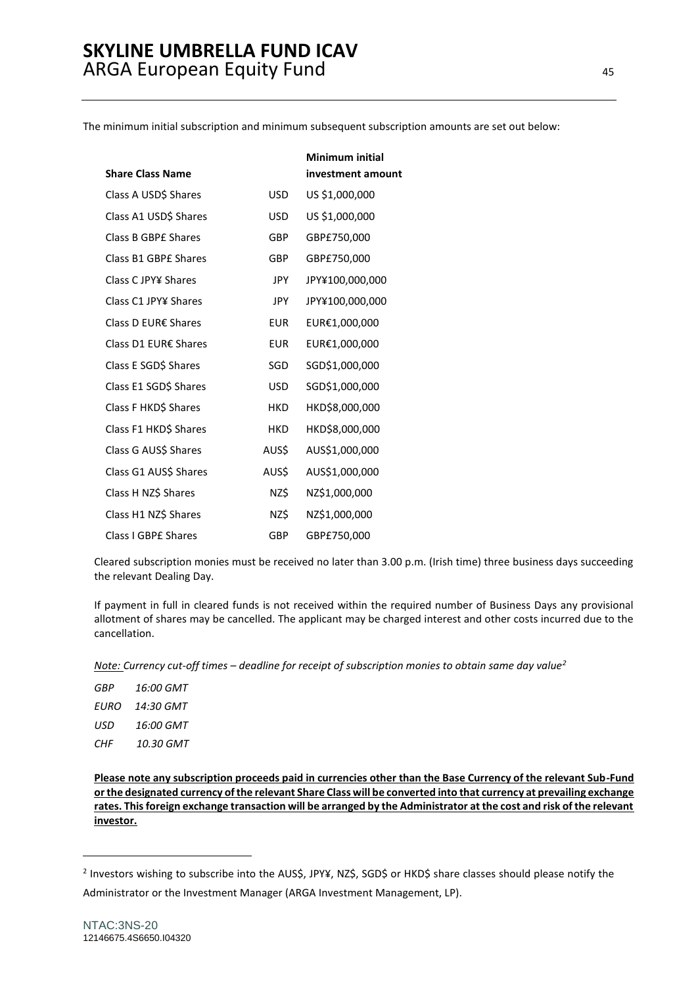The minimum initial subscription and minimum subsequent subscription amounts are set out below:

|                         |            | Minimum initial   |
|-------------------------|------------|-------------------|
| <b>Share Class Name</b> |            | investment amount |
| Class A USD\$ Shares    | <b>USD</b> | US \$1,000,000    |
| Class A1 USD\$ Shares   | <b>USD</b> | US \$1,000,000    |
| Class B GBPE Shares     | GBP        | GBP£750,000       |
| Class B1 GBPE Shares    | GBP        | GBP£750,000       |
| Class C JPY¥ Shares     | JPY        | JPY¥100,000,000   |
| Class C1 JPY¥ Shares    | <b>JPY</b> | JPY¥100,000,000   |
| Class D EUR€ Shares     | <b>EUR</b> | EUR€1,000,000     |
| Class D1 EUR€ Shares    | <b>EUR</b> | EUR€1,000,000     |
| Class E SGD\$ Shares    | SGD        | SGD\$1,000,000    |
| Class E1 SGD\$ Shares   | <b>USD</b> | SGD\$1,000,000    |
| Class F HKD\$ Shares    | <b>HKD</b> | HKD\$8,000,000    |
| Class F1 HKD\$ Shares   | <b>HKD</b> | HKD\$8,000,000    |
| Class G AUS\$ Shares    | AUS\$      | AUS\$1,000,000    |
| Class G1 AUS\$ Shares   | AUS\$      | AUS\$1,000,000    |
| Class H NZ\$ Shares     | NZ\$       | NZ\$1,000,000     |
| Class H1 NZ\$ Shares    | NZ\$       | NZ\$1,000,000     |
| Class I GBPE Shares     | GBP        | GBP£750,000       |

Cleared subscription monies must be received no later than 3.00 p.m. (Irish time) three business days succeeding the relevant Dealing Day.

If payment in full in cleared funds is not received within the required number of Business Days any provisional allotment of shares may be cancelled. The applicant may be charged interest and other costs incurred due to the cancellation.

*Note: Currency cut-off times – deadline for receipt of subscription monies to obtain same day value<sup>2</sup>*

| GBP  | 16:00 GMT |
|------|-----------|
| EURO | 14:30 GMT |
| USD. | 16:00 GMT |
| CHF  | 10.30 GMT |

**Please note any subscription proceeds paid in currencies other than the Base Currency of the relevant Sub-Fund or the designated currency of the relevant Share Class will be converted into that currency at prevailing exchange rates. This foreign exchange transaction will be arranged by the Administrator at the cost and risk of the relevant investor.**

<sup>2</sup> Investors wishing to subscribe into the AUS\$, JPY¥, NZ\$, SGD\$ or HKD\$ share classes should please notify the Administrator or the Investment Manager (ARGA Investment Management, LP).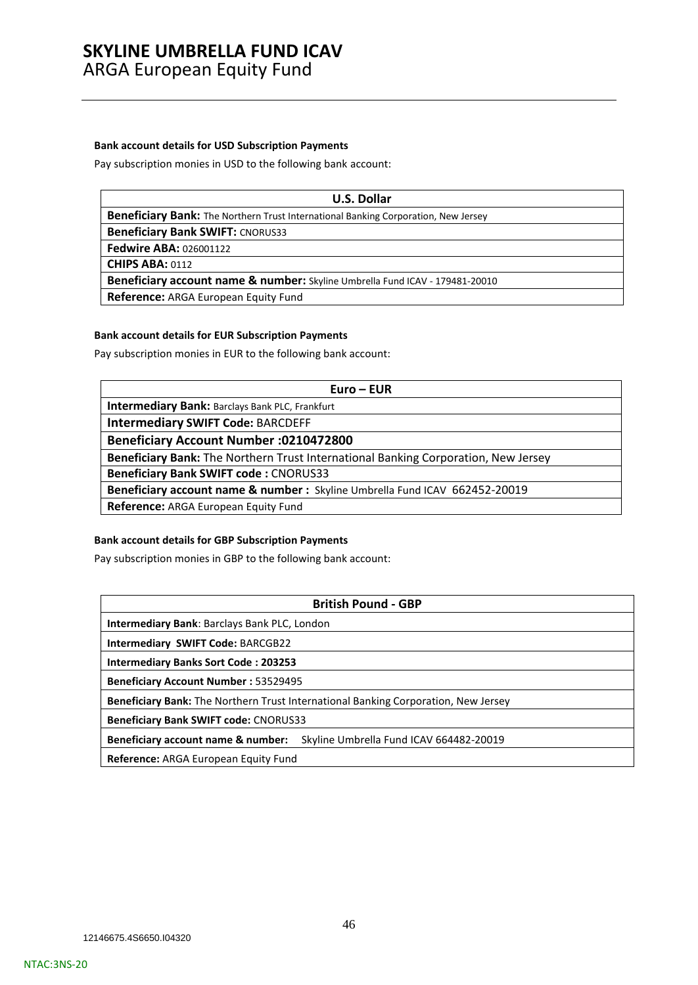#### **Bank account details for USD Subscription Payments**

Pay subscription monies in USD to the following bank account:

| U.S. Dollar                                                                        |
|------------------------------------------------------------------------------------|
| Beneficiary Bank: The Northern Trust International Banking Corporation, New Jersey |
| <b>Beneficiary Bank SWIFT: CNORUS33</b>                                            |
| <b>Fedwire ABA: 026001122</b>                                                      |
| <b>CHIPS ABA: 0112</b>                                                             |
| Beneficiary account name & number: Skyline Umbrella Fund ICAV - 179481-20010       |
| <b>Reference:</b> ARGA European Equity Fund                                        |

### **Bank account details for EUR Subscription Payments**

Pay subscription monies in EUR to the following bank account:

| $Euro - EUR$                                                                       |  |  |
|------------------------------------------------------------------------------------|--|--|
| Intermediary Bank: Barclays Bank PLC, Frankfurt                                    |  |  |
| <b>Intermediary SWIFT Code: BARCDEFF</b>                                           |  |  |
| <b>Beneficiary Account Number :0210472800</b>                                      |  |  |
| Beneficiary Bank: The Northern Trust International Banking Corporation, New Jersey |  |  |
| <b>Beneficiary Bank SWIFT code: CNORUS33</b>                                       |  |  |
| Beneficiary account name & number : Skyline Umbrella Fund ICAV 662452-20019        |  |  |
| Reference: ARGA European Equity Fund                                               |  |  |

### **Bank account details for GBP Subscription Payments**

Pay subscription monies in GBP to the following bank account:

| <b>British Pound - GBP</b>                                                         |  |  |
|------------------------------------------------------------------------------------|--|--|
| <b>Intermediary Bank: Barclays Bank PLC, London</b>                                |  |  |
| <b>Intermediary SWIFT Code: BARCGB22</b>                                           |  |  |
| <b>Intermediary Banks Sort Code: 203253</b>                                        |  |  |
| <b>Beneficiary Account Number: 53529495</b>                                        |  |  |
| Beneficiary Bank: The Northern Trust International Banking Corporation, New Jersey |  |  |
| <b>Beneficiary Bank SWIFT code: CNORUS33</b>                                       |  |  |
| Skyline Umbrella Fund ICAV 664482-20019<br>Beneficiary account name & number:      |  |  |
| Reference: ARGA European Equity Fund                                               |  |  |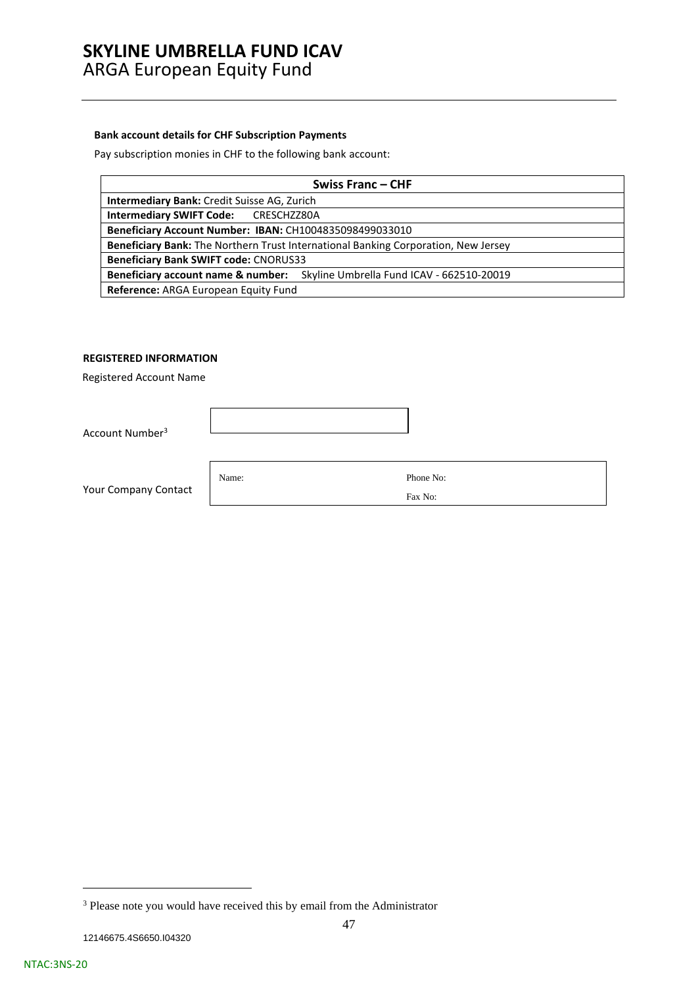### **Bank account details for CHF Subscription Payments**

Pay subscription monies in CHF to the following bank account:

| <b>Swiss Franc-CHF</b>                                                             |  |  |
|------------------------------------------------------------------------------------|--|--|
| Intermediary Bank: Credit Suisse AG, Zurich                                        |  |  |
| Intermediary SWIFT Code: CRESCHZZ80A                                               |  |  |
| Beneficiary Account Number: IBAN: CH1004835098499033010                            |  |  |
| Beneficiary Bank: The Northern Trust International Banking Corporation, New Jersey |  |  |
| <b>Beneficiary Bank SWIFT code: CNORUS33</b>                                       |  |  |
| Beneficiary account name & number: Skyline Umbrella Fund ICAV - 662510-20019       |  |  |
| Reference: ARGA European Equity Fund                                               |  |  |

### **REGISTERED INFORMATION**

Registered Account Name

Account Number<sup>3</sup>

Your Company Contact

Name: Phone No: Fax No:

<sup>&</sup>lt;sup>3</sup> Please note you would have received this by email from the Administrator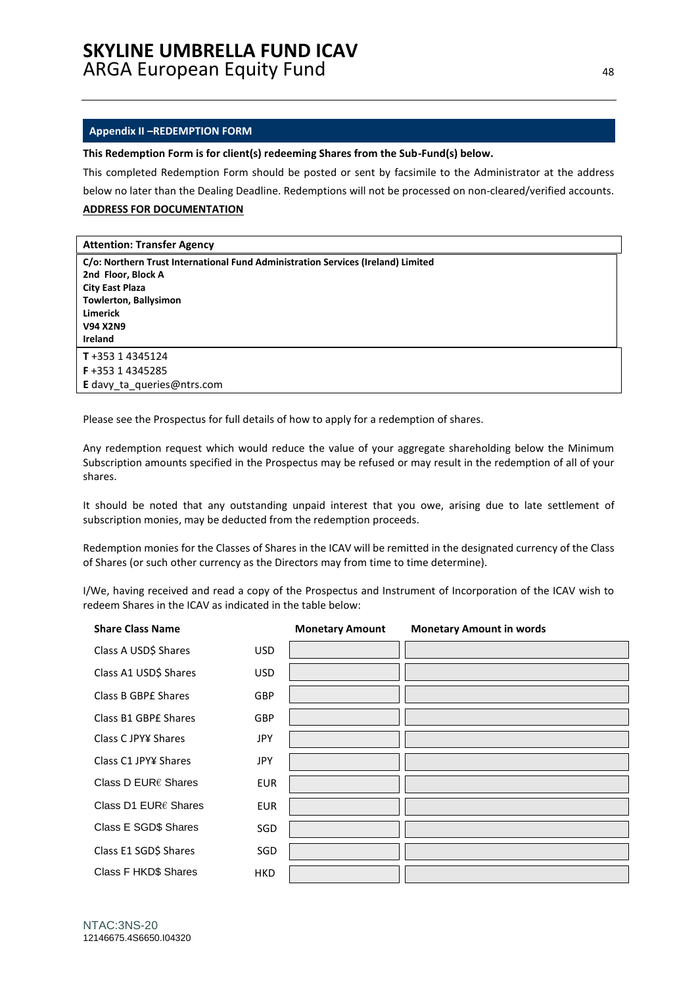#### <span id="page-47-0"></span>**Appendix II –REDEMPTION FORM**

**This Redemption Form is for client(s) redeeming Shares from the Sub-Fund(s) below.**

This completed Redemption Form should be posted or sent by facsimile to the Administrator at the address below no later than the Dealing Deadline. Redemptions will not be processed on non-cleared/verified accounts.

### **ADDRESS FOR DOCUMENTATION**

| <b>Attention: Transfer Agency</b>                                                |
|----------------------------------------------------------------------------------|
| C/o: Northern Trust International Fund Administration Services (Ireland) Limited |
| 2nd Floor, Block A                                                               |
| <b>City East Plaza</b>                                                           |
| <b>Towlerton, Ballysimon</b>                                                     |
| <b>Limerick</b>                                                                  |
| <b>V94 X2N9</b>                                                                  |
| Ireland                                                                          |
| T+353 14345124                                                                   |
| F+353 14345285                                                                   |
| <b>E</b> davy ta queries@ntrs.com                                                |

Please see the Prospectus for full details of how to apply for a redemption of shares.

Any redemption request which would reduce the value of your aggregate shareholding below the Minimum Subscription amounts specified in the Prospectus may be refused or may result in the redemption of all of your shares.

It should be noted that any outstanding unpaid interest that you owe, arising due to late settlement of subscription monies, may be deducted from the redemption proceeds.

Redemption monies for the Classes of Shares in the ICAV will be remitted in the designated currency of the Class of Shares (or such other currency as the Directors may from time to time determine).

I/We, having received and read a copy of the Prospectus and Instrument of Incorporation of the ICAV wish to redeem Shares in the ICAV as indicated in the table below:

| <b>Share Class Name</b>       |            | <b>Monetary Amount</b> | <b>Monetary Amount in words</b> |
|-------------------------------|------------|------------------------|---------------------------------|
| Class A USD\$ Shares          | <b>USD</b> |                        |                                 |
| Class A1 USD\$ Shares         | <b>USD</b> |                        |                                 |
| Class B GBPE Shares           | <b>GBP</b> |                        |                                 |
| Class B1 GBPE Shares          | <b>GBP</b> |                        |                                 |
| Class C JPY¥ Shares           | <b>JPY</b> |                        |                                 |
| Class C1 JPY¥ Shares          | <b>JPY</b> |                        |                                 |
| Class D EUR $\epsilon$ Shares | <b>EUR</b> |                        |                                 |
| Class D1 EUR€ Shares          | <b>EUR</b> |                        |                                 |
| Class E SGD\$ Shares          | SGD        |                        |                                 |
| Class E1 SGD\$ Shares         | SGD        |                        |                                 |
| Class F HKD\$ Shares          | HKD        |                        |                                 |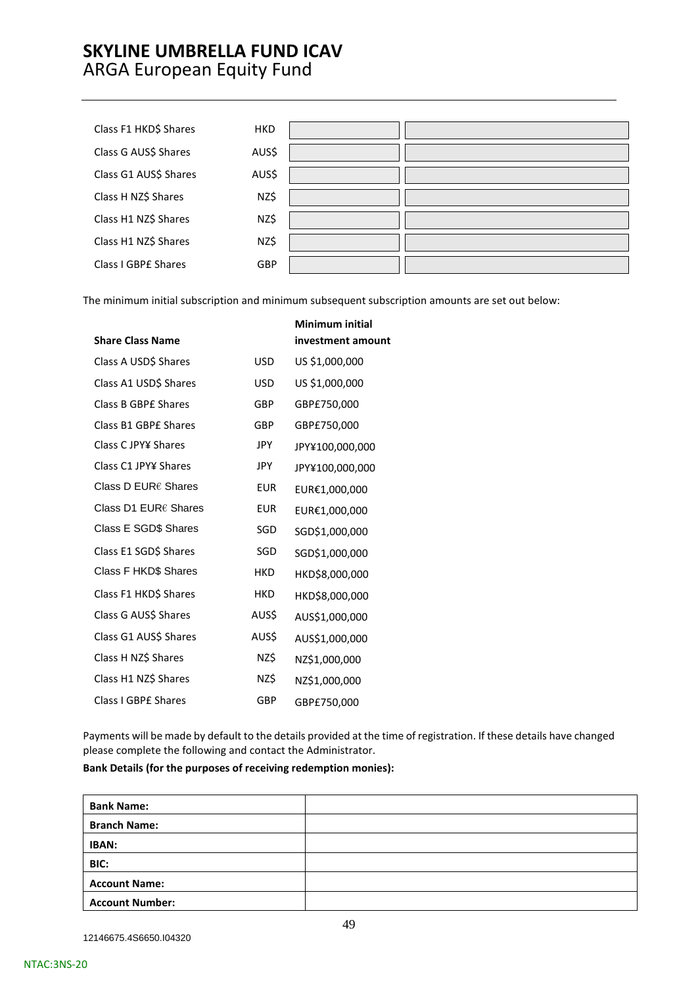| Class F1 HKD\$ Shares | <b>HKD</b> |  |
|-----------------------|------------|--|
| Class G AUS\$ Shares  | AUS\$      |  |
| Class G1 AUS\$ Shares | AUS\$      |  |
| Class H NZ\$ Shares   | NZ\$       |  |
| Class H1 NZ\$ Shares  | NZ\$       |  |
| Class H1 NZ\$ Shares  | NZ\$       |  |
| Class I GBPE Shares   | GBP        |  |

The minimum initial subscription and minimum subsequent subscription amounts are set out below:

|                             |            | Minimum initial   |
|-----------------------------|------------|-------------------|
| <b>Share Class Name</b>     |            | investment amount |
| Class A USD\$ Shares        | <b>USD</b> | US \$1,000,000    |
| Class A1 USD\$ Shares       | <b>USD</b> | US \$1,000,000    |
| Class B GBPE Shares         | GBP        | GBP£750,000       |
| Class B1 GBPE Shares        | GBP        | GBP£750,000       |
| Class C JPY¥ Shares         | JPY.       | JPY¥100,000,000   |
| Class C1 JPY¥ Shares        | <b>JPY</b> | JPY¥100,000,000   |
| Class D EUR€ Shares         | <b>EUR</b> | EUR€1,000,000     |
| Class D1 EUR€ Shares        | <b>EUR</b> | EUR€1,000,000     |
| Class E SGD\$ Shares        | SGD        | SGD\$1,000,000    |
| Class E1 SGD\$ Shares       | SGD        | SGD\$1,000,000    |
| <b>Class F HKD\$ Shares</b> | <b>HKD</b> | HKD\$8,000,000    |
| Class F1 HKD\$ Shares       | <b>HKD</b> | HKD\$8,000,000    |
| Class G AUS\$ Shares        | AUS\$      | AUS\$1,000,000    |
| Class G1 AUS\$ Shares       | AUS\$      | AUS\$1,000,000    |
| Class H NZ\$ Shares         | NZ\$       | NZ\$1,000,000     |
| Class H1 NZ\$ Shares        | NZ\$       | NZ\$1,000,000     |
| Class I GBPE Shares         | GBP        | GBP£750,000       |

Payments will be made by default to the details provided at the time of registration. If these details have changed please complete the following and contact the Administrator.

#### **Bank Details (for the purposes of receiving redemption monies):**

12146675.4S6650.I04320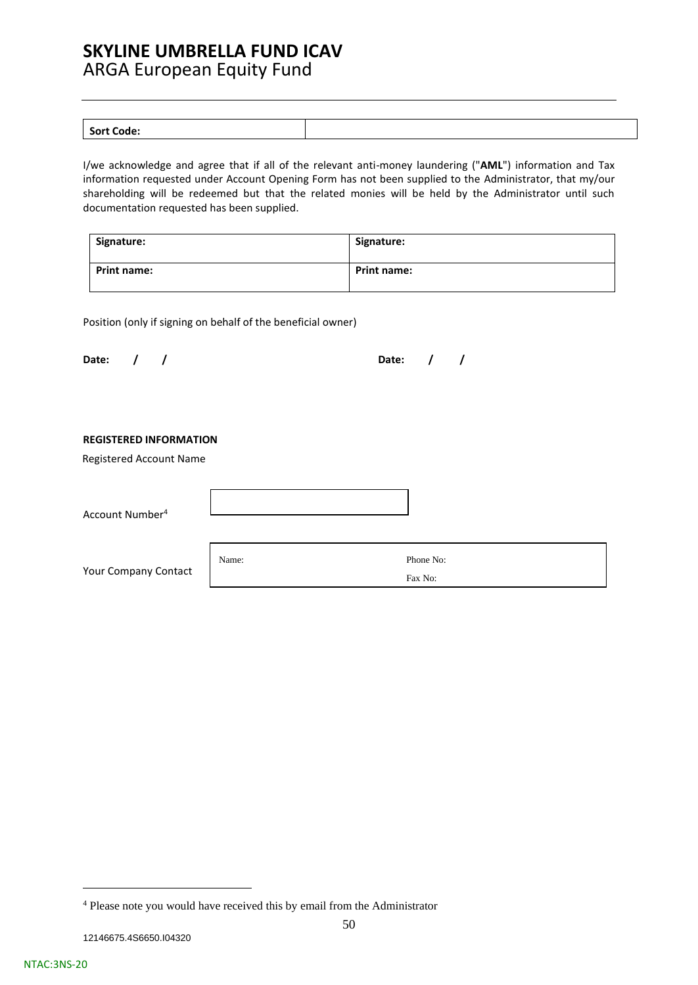| <b>Sort Code:</b> |  |
|-------------------|--|
| ----              |  |

I/we acknowledge and agree that if all of the relevant anti-money laundering ("**AML**") information and Tax information requested under Account Opening Form has not been supplied to the Administrator, that my/our shareholding will be redeemed but that the related monies will be held by the Administrator until such documentation requested has been supplied.

| Signature:         | Signature:         |
|--------------------|--------------------|
| <b>Print name:</b> | <b>Print name:</b> |

Position (only if signing on behalf of the beneficial owner)

| Date: $/ /$ |  | Date: $/$ / |  |
|-------------|--|-------------|--|
|             |  |             |  |

### **REGISTERED INFORMATION**

Registered Account Name

Account Number<sup>4</sup>

Your Company Contact

Name: Phone No: Fax No:

| <sup>4</sup> Please note you would have received this by email from the Administrator |  |
|---------------------------------------------------------------------------------------|--|
|---------------------------------------------------------------------------------------|--|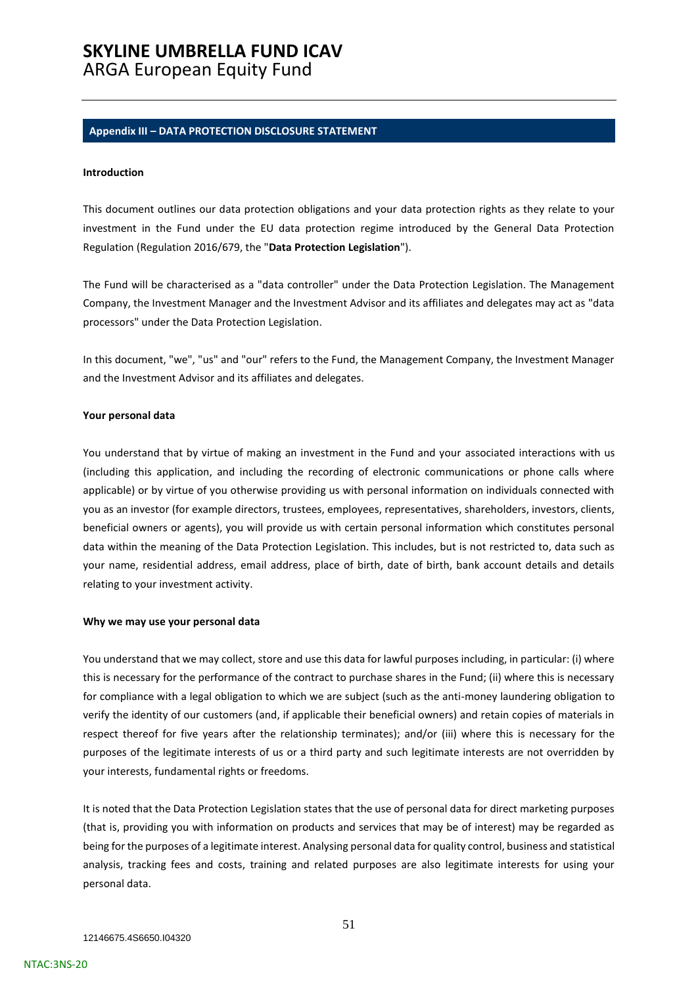#### <span id="page-50-0"></span>**Appendix III – DATA PROTECTION DISCLOSURE STATEMENT**

#### **Introduction**

This document outlines our data protection obligations and your data protection rights as they relate to your investment in the Fund under the EU data protection regime introduced by the General Data Protection Regulation (Regulation 2016/679, the "**Data Protection Legislation**").

The Fund will be characterised as a "data controller" under the Data Protection Legislation. The Management Company, the Investment Manager and the Investment Advisor and its affiliates and delegates may act as "data processors" under the Data Protection Legislation.

In this document, "we", "us" and "our" refers to the Fund, the Management Company, the Investment Manager and the Investment Advisor and its affiliates and delegates.

#### **Your personal data**

You understand that by virtue of making an investment in the Fund and your associated interactions with us (including this application, and including the recording of electronic communications or phone calls where applicable) or by virtue of you otherwise providing us with personal information on individuals connected with you as an investor (for example directors, trustees, employees, representatives, shareholders, investors, clients, beneficial owners or agents), you will provide us with certain personal information which constitutes personal data within the meaning of the Data Protection Legislation. This includes, but is not restricted to, data such as your name, residential address, email address, place of birth, date of birth, bank account details and details relating to your investment activity.

#### **Why we may use your personal data**

You understand that we may collect, store and use this data for lawful purposes including, in particular: (i) where this is necessary for the performance of the contract to purchase shares in the Fund; (ii) where this is necessary for compliance with a legal obligation to which we are subject (such as the anti-money laundering obligation to verify the identity of our customers (and, if applicable their beneficial owners) and retain copies of materials in respect thereof for five years after the relationship terminates); and/or (iii) where this is necessary for the purposes of the legitimate interests of us or a third party and such legitimate interests are not overridden by your interests, fundamental rights or freedoms.

It is noted that the Data Protection Legislation states that the use of personal data for direct marketing purposes (that is, providing you with information on products and services that may be of interest) may be regarded as being for the purposes of a legitimate interest. Analysing personal data for quality control, business and statistical analysis, tracking fees and costs, training and related purposes are also legitimate interests for using your personal data.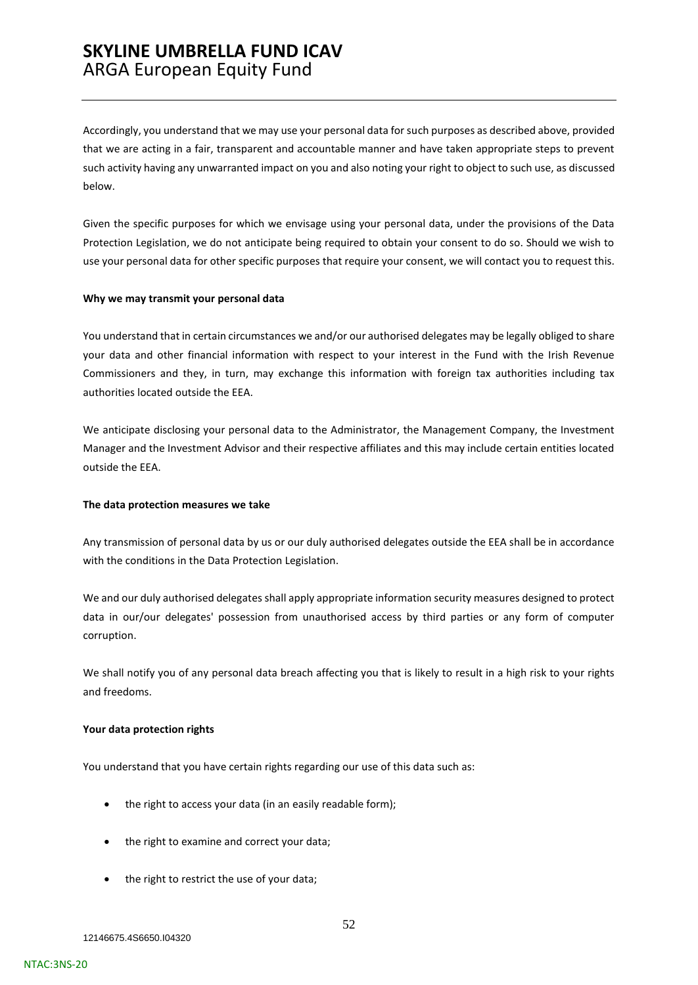Accordingly, you understand that we may use your personal data for such purposes as described above, provided that we are acting in a fair, transparent and accountable manner and have taken appropriate steps to prevent such activity having any unwarranted impact on you and also noting your right to object to such use, as discussed below.

Given the specific purposes for which we envisage using your personal data, under the provisions of the Data Protection Legislation, we do not anticipate being required to obtain your consent to do so. Should we wish to use your personal data for other specific purposes that require your consent, we will contact you to request this.

#### **Why we may transmit your personal data**

You understand that in certain circumstances we and/or our authorised delegates may be legally obliged to share your data and other financial information with respect to your interest in the Fund with the Irish Revenue Commissioners and they, in turn, may exchange this information with foreign tax authorities including tax authorities located outside the EEA.

We anticipate disclosing your personal data to the Administrator, the Management Company, the Investment Manager and the Investment Advisor and their respective affiliates and this may include certain entities located outside the EEA.

#### **The data protection measures we take**

Any transmission of personal data by us or our duly authorised delegates outside the EEA shall be in accordance with the conditions in the Data Protection Legislation.

We and our duly authorised delegates shall apply appropriate information security measures designed to protect data in our/our delegates' possession from unauthorised access by third parties or any form of computer corruption.

We shall notify you of any personal data breach affecting you that is likely to result in a high risk to your rights and freedoms.

### **Your data protection rights**

You understand that you have certain rights regarding our use of this data such as:

- the right to access your data (in an easily readable form);
- the right to examine and correct your data;
- the right to restrict the use of your data;